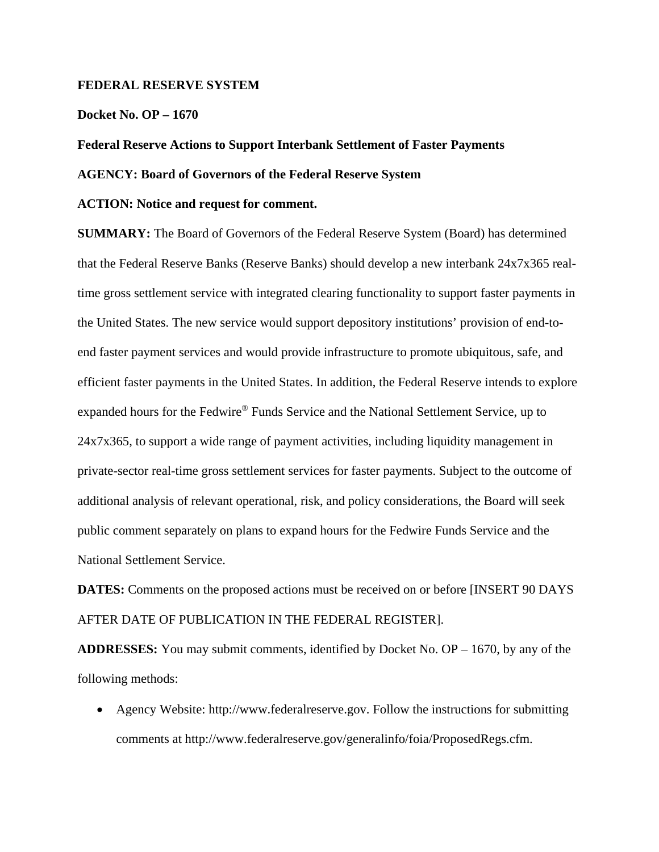# **FEDERAL RESERVE SYSTEM**

### **Docket No. OP – 1670**

# **Federal Reserve Actions to Support Interbank Settlement of Faster Payments**

# **AGENCY: Board of Governors of the Federal Reserve System**

### **ACTION: Notice and request for comment.**

**SUMMARY:** The Board of Governors of the Federal Reserve System (Board) has determined that the Federal Reserve Banks (Reserve Banks) should develop a new interbank 24x7x365 realtime gross settlement service with integrated clearing functionality to support faster payments in the United States. The new service would support depository institutions' provision of end-toend faster payment services and would provide infrastructure to promote ubiquitous, safe, and efficient faster payments in the United States. In addition, the Federal Reserve intends to explore expanded hours for the Fedwire® Funds Service and the National Settlement Service, up to 24x7x365, to support a wide range of payment activities, including liquidity management in private-sector real-time gross settlement services for faster payments. Subject to the outcome of additional analysis of relevant operational, risk, and policy considerations, the Board will seek public comment separately on plans to expand hours for the Fedwire Funds Service and the National Settlement Service.

**DATES:** Comments on the proposed actions must be received on or before [INSERT 90 DAYS] AFTER DATE OF PUBLICATION IN THE FEDERAL REGISTER].

**ADDRESSES:** You may submit comments, identified by Docket No. OP – 1670, by any of the following methods:

• Agency Website: http://www.federalreserve.gov. Follow the instructions for submitting comments at http://www.federalreserve.gov/generalinfo/foia/ProposedRegs.cfm.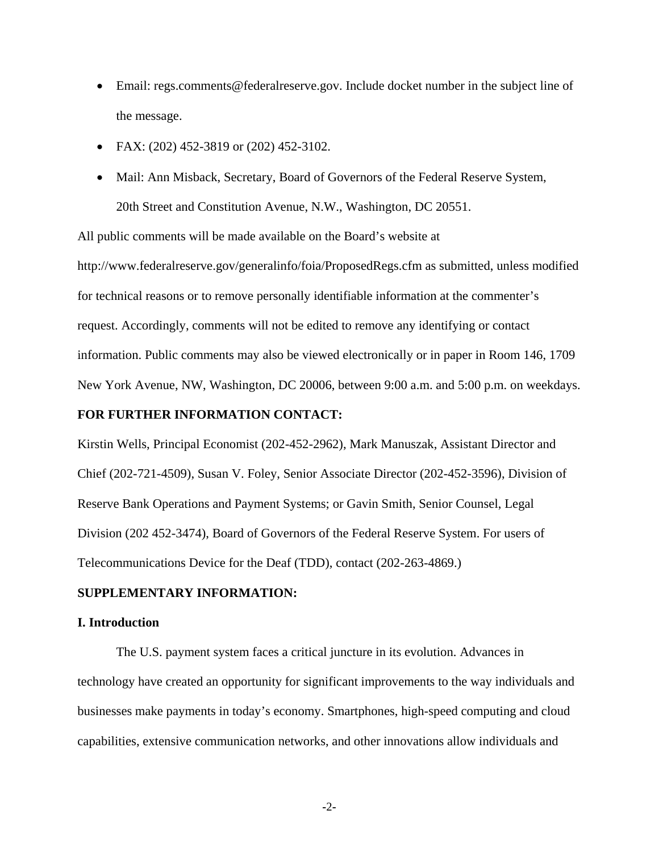- Email: regs.comments@federalreserve.gov. Include docket number in the subject line of the message.
- FAX:  $(202)$  452-3819 or  $(202)$  452-3102.
- Mail: Ann Misback, Secretary, Board of Governors of the Federal Reserve System, 20th Street and Constitution Avenue, N.W., Washington, DC 20551.

All public comments will be made available on the Board's website at http://www.federalreserve.gov/generalinfo/foia/ProposedRegs.cfm as submitted, unless modified for technical reasons or to remove personally identifiable information at the commenter's request. Accordingly, comments will not be edited to remove any identifying or contact information. Public comments may also be viewed electronically or in paper in Room 146, 1709 New York Avenue, NW, Washington, DC 20006, between 9:00 a.m. and 5:00 p.m. on weekdays.

# **FOR FURTHER INFORMATION CONTACT:**

Kirstin Wells, Principal Economist (202-452-2962), Mark Manuszak, Assistant Director and Chief (202-721-4509), Susan V. Foley, Senior Associate Director (202-452-3596), Division of Reserve Bank Operations and Payment Systems; or Gavin Smith, Senior Counsel, Legal Division (202 452-3474), Board of Governors of the Federal Reserve System. For users of Telecommunications Device for the Deaf (TDD), contact (202-263-4869.)

# **SUPPLEMENTARY INFORMATION:**

### **I. Introduction**

The U.S. payment system faces a critical juncture in its evolution. Advances in technology have created an opportunity for significant improvements to the way individuals and businesses make payments in today's economy. Smartphones, high-speed computing and cloud capabilities, extensive communication networks, and other innovations allow individuals and

**-**2**-**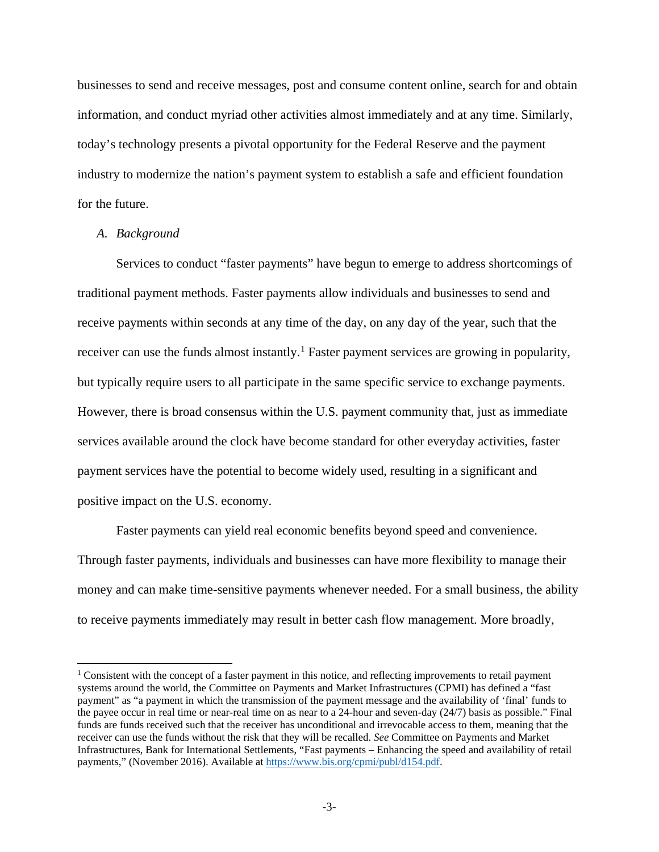businesses to send and receive messages, post and consume content online, search for and obtain information, and conduct myriad other activities almost immediately and at any time. Similarly, today's technology presents a pivotal opportunity for the Federal Reserve and the payment industry to modernize the nation's payment system to establish a safe and efficient foundation for the future.

# *A. Background*

 $\overline{\phantom{a}}$ 

Services to conduct "faster payments" have begun to emerge to address shortcomings of traditional payment methods. Faster payments allow individuals and businesses to send and receive payments within seconds at any time of the day, on any day of the year, such that the receiver can use the funds almost instantly.<sup>[1](#page-2-0)</sup> Faster payment services are growing in popularity, but typically require users to all participate in the same specific service to exchange payments. However, there is broad consensus within the U.S. payment community that, just as immediate services available around the clock have become standard for other everyday activities, faster payment services have the potential to become widely used, resulting in a significant and positive impact on the U.S. economy.

Faster payments can yield real economic benefits beyond speed and convenience. Through faster payments, individuals and businesses can have more flexibility to manage their money and can make time-sensitive payments whenever needed. For a small business, the ability to receive payments immediately may result in better cash flow management. More broadly,

<span id="page-2-0"></span><sup>&</sup>lt;sup>1</sup> Consistent with the concept of a faster payment in this notice, and reflecting improvements to retail payment systems around the world, the Committee on Payments and Market Infrastructures (CPMI) has defined a "fast payment" as "a payment in which the transmission of the payment message and the availability of 'final' funds to the payee occur in real time or near-real time on as near to a 24-hour and seven-day  $(24/7)$  basis as possible." Final funds are funds received such that the receiver has unconditional and irrevocable access to them, meaning that the receiver can use the funds without the risk that they will be recalled. *See* Committee on Payments and Market Infrastructures, Bank for International Settlements, "Fast payments – Enhancing the speed and availability of retail payments," (November 2016). Available at [https://www.bis.org/cpmi/publ/d154.pdf.](https://www.bis.org/cpmi/publ/d154.pdf)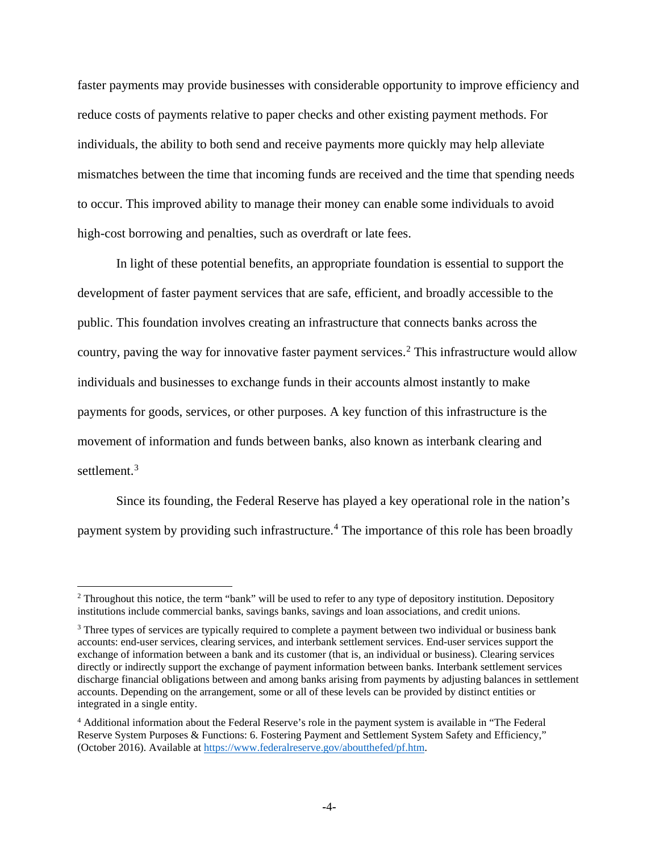faster payments may provide businesses with considerable opportunity to improve efficiency and reduce costs of payments relative to paper checks and other existing payment methods. For individuals, the ability to both send and receive payments more quickly may help alleviate mismatches between the time that incoming funds are received and the time that spending needs to occur. This improved ability to manage their money can enable some individuals to avoid high-cost borrowing and penalties, such as overdraft or late fees.

In light of these potential benefits, an appropriate foundation is essential to support the development of faster payment services that are safe, efficient, and broadly accessible to the public. This foundation involves creating an infrastructure that connects banks across the country, paving the way for innovative faster payment services.<sup>[2](#page-3-0)</sup> This infrastructure would allow individuals and businesses to exchange funds in their accounts almost instantly to make payments for goods, services, or other purposes. A key function of this infrastructure is the movement of information and funds between banks, also known as interbank clearing and settlement.<sup>[3](#page-3-1)</sup>

Since its founding, the Federal Reserve has played a key operational role in the nation's payment system by providing such infrastructure.<sup>[4](#page-3-2)</sup> The importance of this role has been broadly

l

<span id="page-3-0"></span><sup>&</sup>lt;sup>2</sup> Throughout this notice, the term "bank" will be used to refer to any type of depository institution. Depository institutions include commercial banks, savings banks, savings and loan associations, and credit unions.

<span id="page-3-1"></span><sup>&</sup>lt;sup>3</sup> Three types of services are typically required to complete a payment between two individual or business bank accounts: end-user services, clearing services, and interbank settlement services. End-user services support the exchange of information between a bank and its customer (that is, an individual or business). Clearing services directly or indirectly support the exchange of payment information between banks. Interbank settlement services discharge financial obligations between and among banks arising from payments by adjusting balances in settlement accounts. Depending on the arrangement, some or all of these levels can be provided by distinct entities or integrated in a single entity.

<span id="page-3-2"></span><sup>4</sup> Additional information about the Federal Reserve's role in the payment system is available in "The Federal Reserve System Purposes & Functions: 6. Fostering Payment and Settlement System Safety and Efficiency," (October 2016). Available a[t https://www.federalreserve.gov/aboutthefed/pf.htm.](https://www.federalreserve.gov/aboutthefed/pf.htm)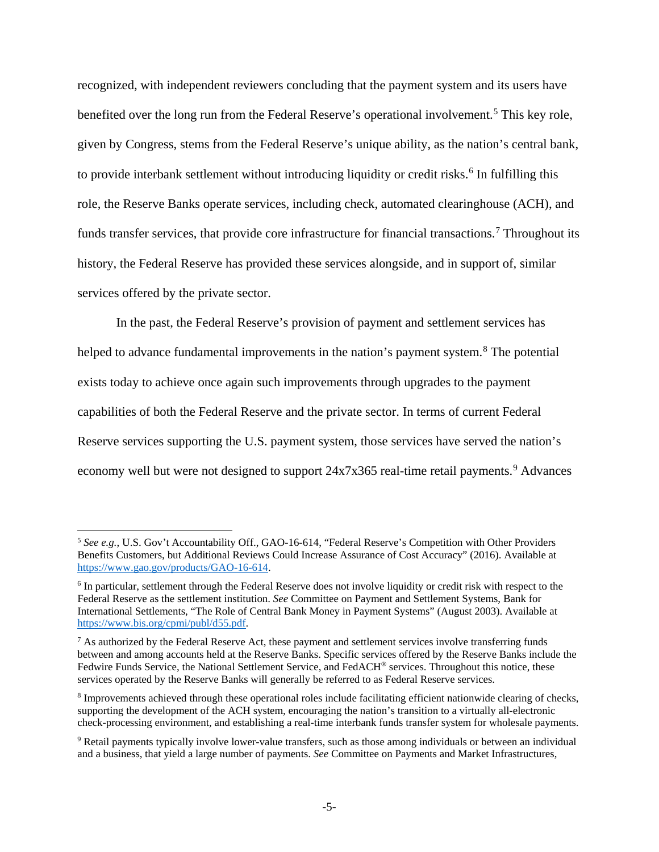recognized, with independent reviewers concluding that the payment system and its users have benefited over the long run from the Federal Reserve's operational involvement.<sup>[5](#page-4-0)</sup> This key role, given by Congress, stems from the Federal Reserve's unique ability, as the nation's central bank, to provide interbank settlement without introducing liquidity or credit risks.<sup>[6](#page-4-1)</sup> In fulfilling this role, the Reserve Banks operate services, including check, automated clearinghouse (ACH), and funds transfer services, that provide core infrastructure for financial transactions.<sup>[7](#page-4-2)</sup> Throughout its history, the Federal Reserve has provided these services alongside, and in support of, similar services offered by the private sector.

In the past, the Federal Reserve's provision of payment and settlement services has helped to advance fundamental improvements in the nation's payment system.<sup>[8](#page-4-3)</sup> The potential exists today to achieve once again such improvements through upgrades to the payment capabilities of both the Federal Reserve and the private sector. In terms of current Federal Reserve services supporting the U.S. payment system, those services have served the nation's economy well but were not designed to support  $24x7x365$  real-time retail payments.<sup>[9](#page-4-4)</sup> Advances

 $\overline{\phantom{a}}$ 

<span id="page-4-0"></span><sup>5</sup> *See e.g.*, U.S. Gov't Accountability Off., GAO-16-614, "Federal Reserve's Competition with Other Providers Benefits Customers, but Additional Reviews Could Increase Assurance of Cost Accuracy" (2016). Available at [https://www.gao.gov/products/GAO-16-614.](https://www.gao.gov/products/GAO-16-614)

<span id="page-4-1"></span><sup>&</sup>lt;sup>6</sup> In particular, settlement through the Federal Reserve does not involve liquidity or credit risk with respect to the Federal Reserve as the settlement institution. *See* Committee on Payment and Settlement Systems, Bank for International Settlements, "The Role of Central Bank Money in Payment Systems" (August 2003). Available at [https://www.bis.org/cpmi/publ/d55.pdf.](https://www.bis.org/cpmi/publ/d55.pdf)

<span id="page-4-2"></span> $<sup>7</sup>$  As authorized by the Federal Reserve Act, these payment and settlement services involve transferring funds</sup> between and among accounts held at the Reserve Banks. Specific services offered by the Reserve Banks include the Fedwire Funds Service, the National Settlement Service, and FedACH® services. Throughout this notice, these services operated by the Reserve Banks will generally be referred to as Federal Reserve services.

<span id="page-4-3"></span><sup>8</sup> Improvements achieved through these operational roles include facilitating efficient nationwide clearing of checks, supporting the development of the ACH system, encouraging the nation's transition to a virtually all-electronic check-processing environment, and establishing a real-time interbank funds transfer system for wholesale payments.

<span id="page-4-4"></span><sup>9</sup> Retail payments typically involve lower-value transfers, such as those among individuals or between an individual and a business, that yield a large number of payments. *See* Committee on Payments and Market Infrastructures,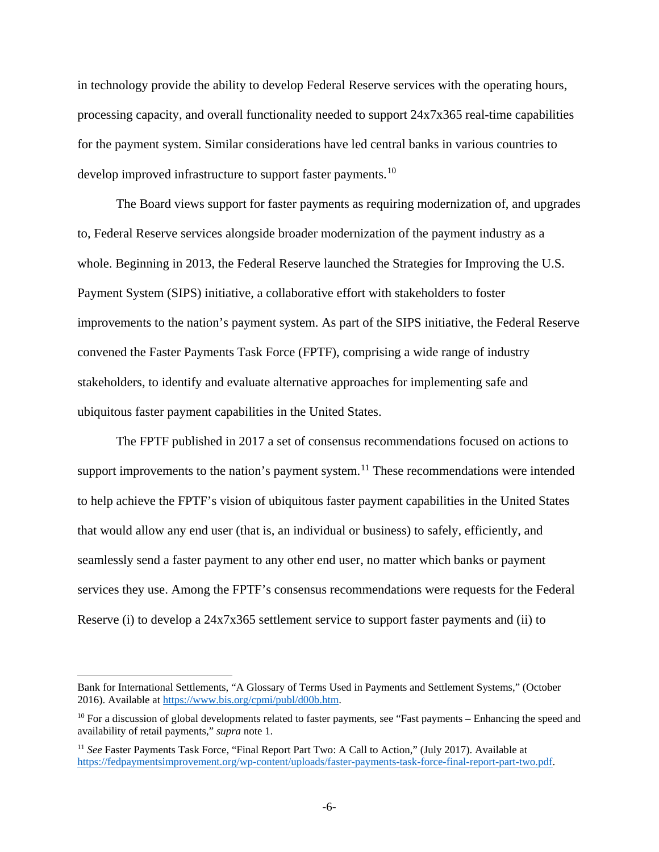in technology provide the ability to develop Federal Reserve services with the operating hours, processing capacity, and overall functionality needed to support 24x7x365 real-time capabilities for the payment system. Similar considerations have led central banks in various countries to develop improved infrastructure to support faster payments.<sup>[10](#page-5-0)</sup>

The Board views support for faster payments as requiring modernization of, and upgrades to, Federal Reserve services alongside broader modernization of the payment industry as a whole. Beginning in 2013, the Federal Reserve launched the Strategies for Improving the U.S. Payment System (SIPS) initiative, a collaborative effort with stakeholders to foster improvements to the nation's payment system. As part of the SIPS initiative, the Federal Reserve convened the Faster Payments Task Force (FPTF), comprising a wide range of industry stakeholders, to identify and evaluate alternative approaches for implementing safe and ubiquitous faster payment capabilities in the United States.

The FPTF published in 2017 a set of consensus recommendations focused on actions to support improvements to the nation's payment system.<sup>[11](#page-5-1)</sup> These recommendations were intended to help achieve the FPTF's vision of ubiquitous faster payment capabilities in the United States that would allow any end user (that is, an individual or business) to safely, efficiently, and seamlessly send a faster payment to any other end user, no matter which banks or payment services they use. Among the FPTF's consensus recommendations were requests for the Federal Reserve (i) to develop a 24x7x365 settlement service to support faster payments and (ii) to

 $\overline{a}$ 

Bank for International Settlements, "A Glossary of Terms Used in Payments and Settlement Systems," (October 2016). Available at [https://www.bis.org/cpmi/publ/d00b.htm.](https://www.bis.org/cpmi/publ/d00b.htm)

<span id="page-5-0"></span><sup>&</sup>lt;sup>10</sup> For a discussion of global developments related to faster payments, see "Fast payments – Enhancing the speed and availability of retail payments," *supra* note 1.

<span id="page-5-1"></span><sup>&</sup>lt;sup>11</sup> See Faster Payments Task Force, "Final Report Part Two: A Call to Action," (July 2017). Available at [https://fedpaymentsimprovement.org/wp-content/uploads/faster-payments-task-force-final-report-part-two.pdf.](https://fedpaymentsimprovement.org/wp-content/uploads/faster-payments-task-force-final-report-part-two.pdf)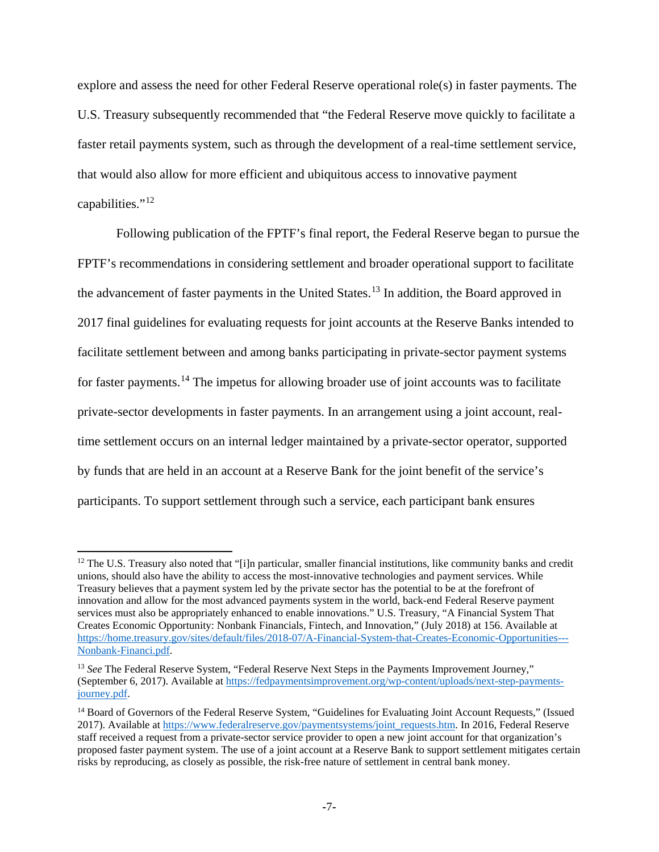explore and assess the need for other Federal Reserve operational role(s) in faster payments. The U.S. Treasury subsequently recommended that "the Federal Reserve move quickly to facilitate a faster retail payments system, such as through the development of a real-time settlement service, that would also allow for more efficient and ubiquitous access to innovative payment capabilities."[12](#page-6-0)

Following publication of the FPTF's final report, the Federal Reserve began to pursue the FPTF's recommendations in considering settlement and broader operational support to facilitate the advancement of faster payments in the United States.<sup>[13](#page-6-1)</sup> In addition, the Board approved in 2017 final guidelines for evaluating requests for joint accounts at the Reserve Banks intended to facilitate settlement between and among banks participating in private-sector payment systems for faster payments.<sup>[14](#page-6-2)</sup> The impetus for allowing broader use of joint accounts was to facilitate private-sector developments in faster payments. In an arrangement using a joint account, realtime settlement occurs on an internal ledger maintained by a private-sector operator, supported by funds that are held in an account at a Reserve Bank for the joint benefit of the service's participants. To support settlement through such a service, each participant bank ensures

 $\overline{\phantom{a}}$ 

<span id="page-6-0"></span> $12$  The U.S. Treasury also noted that "[i]n particular, smaller financial institutions, like community banks and credit unions, should also have the ability to access the most-innovative technologies and payment services. While Treasury believes that a payment system led by the private sector has the potential to be at the forefront of innovation and allow for the most advanced payments system in the world, back-end Federal Reserve payment services must also be appropriately enhanced to enable innovations." U.S. Treasury, "A Financial System That Creates Economic Opportunity: Nonbank Financials, Fintech, and Innovation," (July 2018) at 156. Available at [https://home.treasury.gov/sites/default/files/2018-07/A-Financial-System-that-Creates-Economic-Opportunities---](https://home.treasury.gov/sites/default/files/2018-07/A-Financial-System-that-Creates-Economic-Opportunities---Nonbank-Financi....pdf) [Nonbank-Financi.pdf.](https://home.treasury.gov/sites/default/files/2018-07/A-Financial-System-that-Creates-Economic-Opportunities---Nonbank-Financi....pdf)

<span id="page-6-1"></span><sup>&</sup>lt;sup>13</sup> See The Federal Reserve System, "Federal Reserve Next Steps in the Payments Improvement Journey," (September 6, 2017). Available at [https://fedpaymentsimprovement.org/wp-content/uploads/next-step-payments](https://fedpaymentsimprovement.org/wp-content/uploads/next-step-payments-journey.pdf)[journey.pdf.](https://fedpaymentsimprovement.org/wp-content/uploads/next-step-payments-journey.pdf)

<span id="page-6-2"></span><sup>&</sup>lt;sup>14</sup> Board of Governors of the Federal Reserve System, "Guidelines for Evaluating Joint Account Requests," (Issued 2017). Available at [https://www.federalreserve.gov/paymentsystems/joint\\_requests.htm.](https://www.federalreserve.gov/paymentsystems/joint_requests.htm) In 2016, Federal Reserve staff received a request from a private-sector service provider to open a new joint account for that organization's proposed faster payment system. The use of a joint account at a Reserve Bank to support settlement mitigates certain risks by reproducing, as closely as possible, the risk-free nature of settlement in central bank money.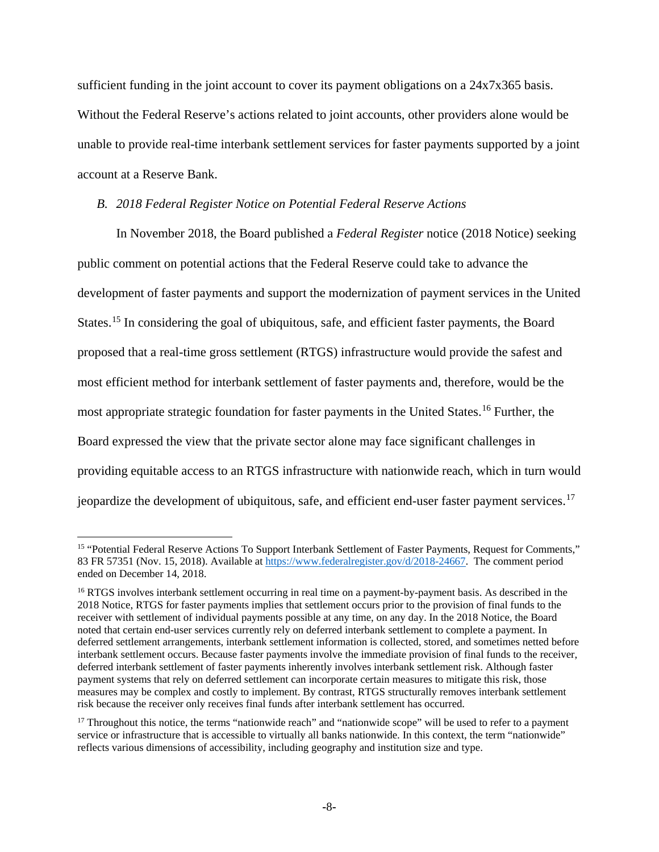sufficient funding in the joint account to cover its payment obligations on a 24x7x365 basis. Without the Federal Reserve's actions related to joint accounts, other providers alone would be unable to provide real-time interbank settlement services for faster payments supported by a joint account at a Reserve Bank.

## *B. 2018 Federal Register Notice on Potential Federal Reserve Actions*

In November 2018, the Board published a *Federal Register* notice (2018 Notice) seeking public comment on potential actions that the Federal Reserve could take to advance the development of faster payments and support the modernization of payment services in the United States.<sup>[15](#page-7-0)</sup> In considering the goal of ubiquitous, safe, and efficient faster payments, the Board proposed that a real-time gross settlement (RTGS) infrastructure would provide the safest and most efficient method for interbank settlement of faster payments and, therefore, would be the most appropriate strategic foundation for faster payments in the United States.<sup>[16](#page-7-1)</sup> Further, the Board expressed the view that the private sector alone may face significant challenges in providing equitable access to an RTGS infrastructure with nationwide reach, which in turn would jeopardize the development of ubiquitous, safe, and efficient end-user faster payment services.<sup>[17](#page-7-2)</sup>

 $\overline{\phantom{a}}$ 

<span id="page-7-0"></span><sup>15</sup> "Potential Federal Reserve Actions To Support Interbank Settlement of Faster Payments, Request for Comments," 83 FR 57351 (Nov. 15, 2018). Available a[t https://www.federalregister.gov/d/2018-24667.](https://www.federalregister.gov/d/2018-24667) The comment period ended on December 14, 2018.

<span id="page-7-1"></span><sup>&</sup>lt;sup>16</sup> RTGS involves interbank settlement occurring in real time on a payment-by-payment basis. As described in the 2018 Notice, RTGS for faster payments implies that settlement occurs prior to the provision of final funds to the receiver with settlement of individual payments possible at any time, on any day. In the 2018 Notice, the Board noted that certain end-user services currently rely on deferred interbank settlement to complete a payment. In deferred settlement arrangements, interbank settlement information is collected, stored, and sometimes netted before interbank settlement occurs. Because faster payments involve the immediate provision of final funds to the receiver, deferred interbank settlement of faster payments inherently involves interbank settlement risk. Although faster payment systems that rely on deferred settlement can incorporate certain measures to mitigate this risk, those measures may be complex and costly to implement. By contrast, RTGS structurally removes interbank settlement risk because the receiver only receives final funds after interbank settlement has occurred.

<span id="page-7-2"></span><sup>&</sup>lt;sup>17</sup> Throughout this notice, the terms "nationwide reach" and "nationwide scope" will be used to refer to a payment service or infrastructure that is accessible to virtually all banks nationwide. In this context, the term "nationwide" reflects various dimensions of accessibility, including geography and institution size and type.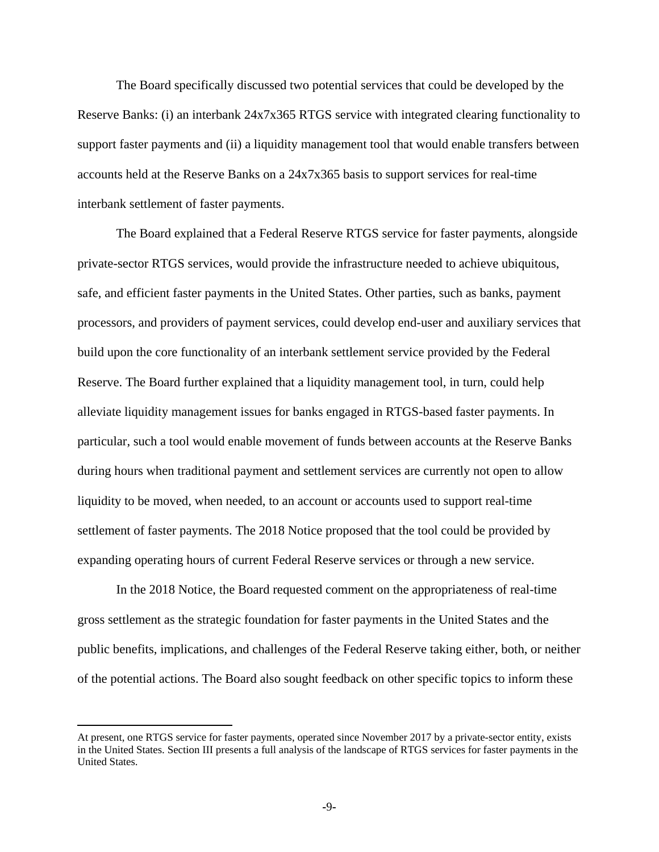The Board specifically discussed two potential services that could be developed by the Reserve Banks: (i) an interbank 24x7x365 RTGS service with integrated clearing functionality to support faster payments and (ii) a liquidity management tool that would enable transfers between accounts held at the Reserve Banks on a 24x7x365 basis to support services for real-time interbank settlement of faster payments.

The Board explained that a Federal Reserve RTGS service for faster payments, alongside private-sector RTGS services, would provide the infrastructure needed to achieve ubiquitous, safe, and efficient faster payments in the United States. Other parties, such as banks, payment processors, and providers of payment services, could develop end-user and auxiliary services that build upon the core functionality of an interbank settlement service provided by the Federal Reserve. The Board further explained that a liquidity management tool, in turn, could help alleviate liquidity management issues for banks engaged in RTGS-based faster payments. In particular, such a tool would enable movement of funds between accounts at the Reserve Banks during hours when traditional payment and settlement services are currently not open to allow liquidity to be moved, when needed, to an account or accounts used to support real-time settlement of faster payments. The 2018 Notice proposed that the tool could be provided by expanding operating hours of current Federal Reserve services or through a new service.

In the 2018 Notice, the Board requested comment on the appropriateness of real-time gross settlement as the strategic foundation for faster payments in the United States and the public benefits, implications, and challenges of the Federal Reserve taking either, both, or neither of the potential actions. The Board also sought feedback on other specific topics to inform these

 $\overline{a}$ 

At present, one RTGS service for faster payments, operated since November 2017 by a private-sector entity, exists in the United States. Section III presents a full analysis of the landscape of RTGS services for faster payments in the United States.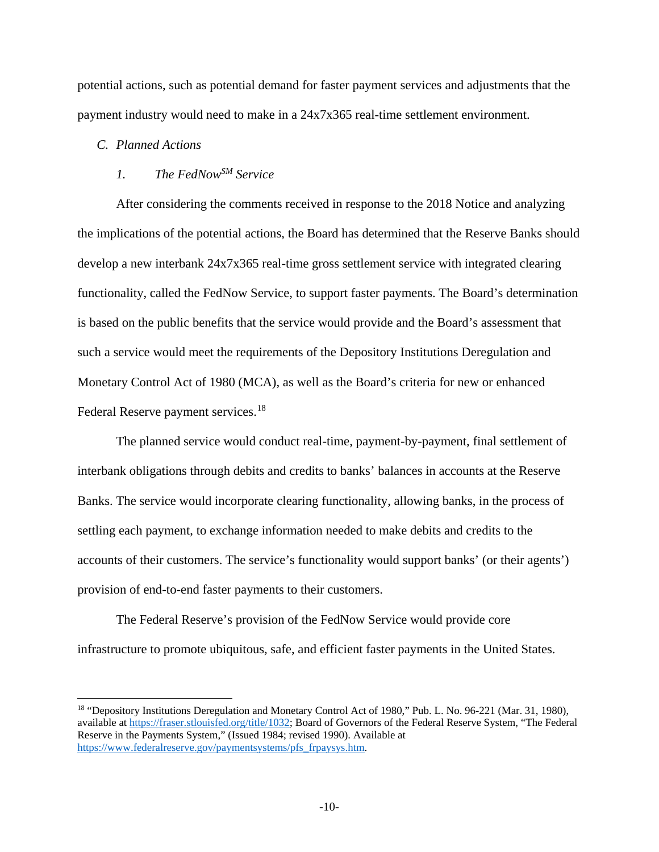potential actions, such as potential demand for faster payment services and adjustments that the payment industry would need to make in a 24x7x365 real-time settlement environment.

# *C. Planned Actions*

 $\overline{\phantom{a}}$ 

# *1. The FedNowSM Service*

After considering the comments received in response to the 2018 Notice and analyzing the implications of the potential actions, the Board has determined that the Reserve Banks should develop a new interbank 24x7x365 real-time gross settlement service with integrated clearing functionality, called the FedNow Service, to support faster payments. The Board's determination is based on the public benefits that the service would provide and the Board's assessment that such a service would meet the requirements of the Depository Institutions Deregulation and Monetary Control Act of 1980 (MCA), as well as the Board's criteria for new or enhanced Federal Reserve payment services.<sup>[18](#page-9-0)</sup>

The planned service would conduct real-time, payment-by-payment, final settlement of interbank obligations through debits and credits to banks' balances in accounts at the Reserve Banks. The service would incorporate clearing functionality, allowing banks, in the process of settling each payment, to exchange information needed to make debits and credits to the accounts of their customers. The service's functionality would support banks' (or their agents') provision of end-to-end faster payments to their customers.

The Federal Reserve's provision of the FedNow Service would provide core infrastructure to promote ubiquitous, safe, and efficient faster payments in the United States.

<span id="page-9-0"></span><sup>&</sup>lt;sup>18</sup> "Depository Institutions Deregulation and Monetary Control Act of 1980," Pub. L. No. 96-221 (Mar. 31, 1980), available at [https://fraser.stlouisfed.org/title/1032;](https://fraser.stlouisfed.org/title/1032) Board of Governors of the Federal Reserve System, "The Federal Reserve in the Payments System," (Issued 1984; revised 1990). Available at [https://www.federalreserve.gov/paymentsystems/pfs\\_frpaysys.htm.](https://www.federalreserve.gov/paymentsystems/pfs_frpaysys.htm)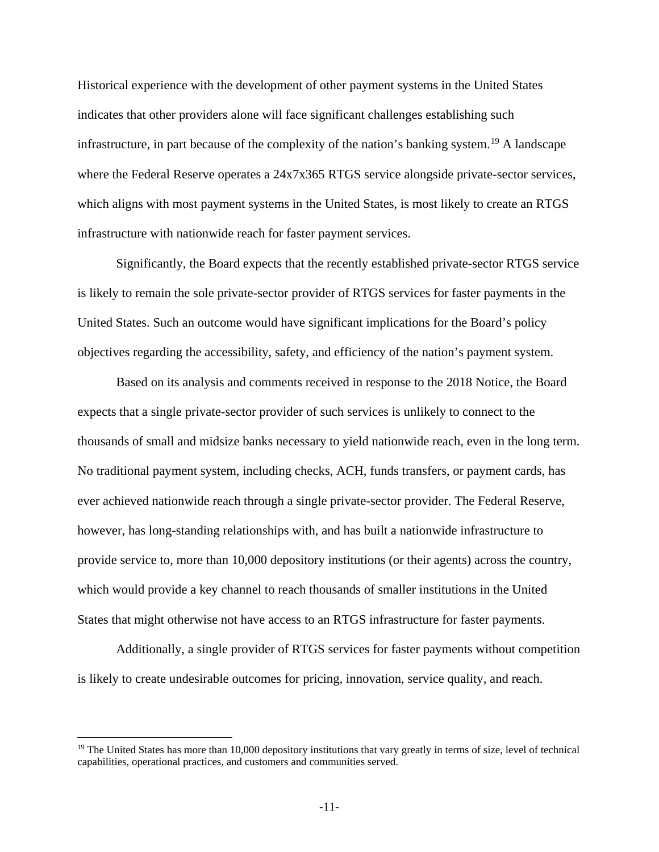Historical experience with the development of other payment systems in the United States indicates that other providers alone will face significant challenges establishing such infrastructure, in part because of the complexity of the nation's banking system.<sup>[19](#page-10-0)</sup> A landscape where the Federal Reserve operates a  $24x7x365$  RTGS service alongside private-sector services, which aligns with most payment systems in the United States, is most likely to create an RTGS infrastructure with nationwide reach for faster payment services.

Significantly, the Board expects that the recently established private-sector RTGS service is likely to remain the sole private-sector provider of RTGS services for faster payments in the United States. Such an outcome would have significant implications for the Board's policy objectives regarding the accessibility, safety, and efficiency of the nation's payment system.

Based on its analysis and comments received in response to the 2018 Notice, the Board expects that a single private-sector provider of such services is unlikely to connect to the thousands of small and midsize banks necessary to yield nationwide reach, even in the long term. No traditional payment system, including checks, ACH, funds transfers, or payment cards, has ever achieved nationwide reach through a single private-sector provider. The Federal Reserve, however, has long-standing relationships with, and has built a nationwide infrastructure to provide service to, more than 10,000 depository institutions (or their agents) across the country, which would provide a key channel to reach thousands of smaller institutions in the United States that might otherwise not have access to an RTGS infrastructure for faster payments.

Additionally, a single provider of RTGS services for faster payments without competition is likely to create undesirable outcomes for pricing, innovation, service quality, and reach.

 $\overline{\phantom{a}}$ 

<span id="page-10-0"></span> $19$  The United States has more than 10,000 depository institutions that vary greatly in terms of size, level of technical capabilities, operational practices, and customers and communities served.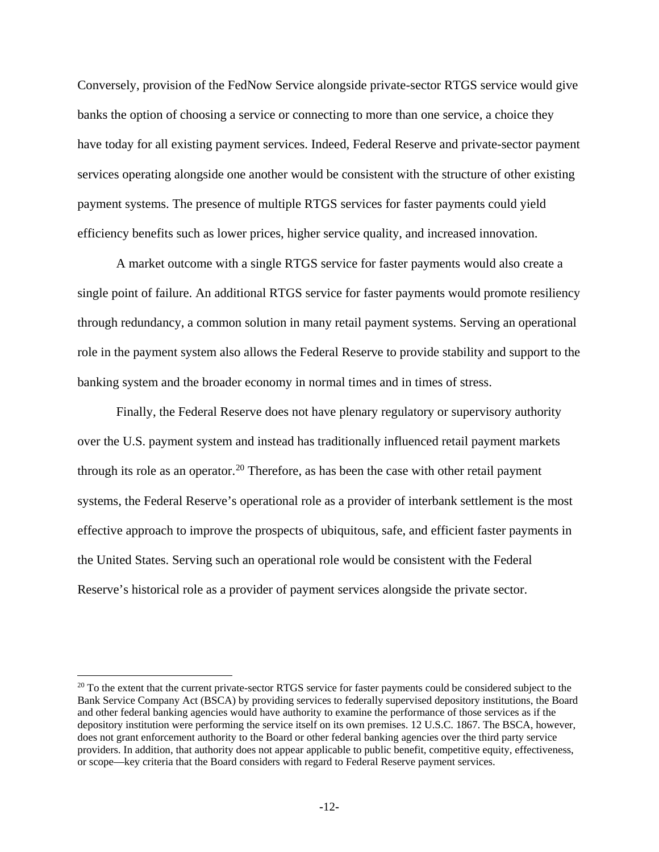Conversely, provision of the FedNow Service alongside private-sector RTGS service would give banks the option of choosing a service or connecting to more than one service, a choice they have today for all existing payment services. Indeed, Federal Reserve and private-sector payment services operating alongside one another would be consistent with the structure of other existing payment systems. The presence of multiple RTGS services for faster payments could yield efficiency benefits such as lower prices, higher service quality, and increased innovation.

A market outcome with a single RTGS service for faster payments would also create a single point of failure. An additional RTGS service for faster payments would promote resiliency through redundancy, a common solution in many retail payment systems. Serving an operational role in the payment system also allows the Federal Reserve to provide stability and support to the banking system and the broader economy in normal times and in times of stress.

Finally, the Federal Reserve does not have plenary regulatory or supervisory authority over the U.S. payment system and instead has traditionally influenced retail payment markets through its role as an operator.<sup>[20](#page-11-0)</sup> Therefore, as has been the case with other retail payment systems, the Federal Reserve's operational role as a provider of interbank settlement is the most effective approach to improve the prospects of ubiquitous, safe, and efficient faster payments in the United States. Serving such an operational role would be consistent with the Federal Reserve's historical role as a provider of payment services alongside the private sector.

l

<span id="page-11-0"></span><sup>&</sup>lt;sup>20</sup> To the extent that the current private-sector RTGS service for faster payments could be considered subject to the Bank Service Company Act (BSCA) by providing services to federally supervised depository institutions, the Board and other federal banking agencies would have authority to examine the performance of those services as if the depository institution were performing the service itself on its own premises. 12 U.S.C. 1867. The BSCA, however, does not grant enforcement authority to the Board or other federal banking agencies over the third party service providers. In addition, that authority does not appear applicable to public benefit, competitive equity, effectiveness, or scope—key criteria that the Board considers with regard to Federal Reserve payment services.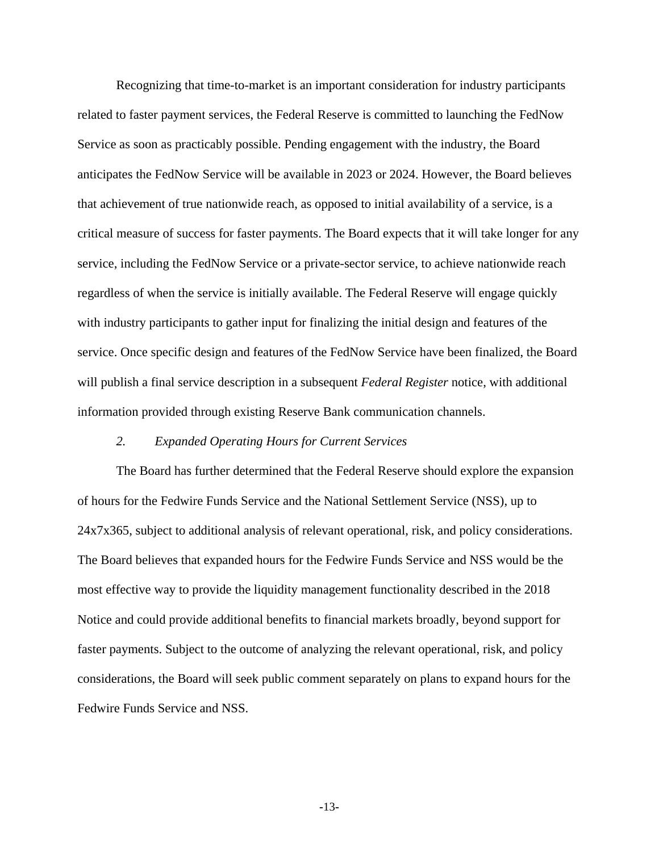Recognizing that time-to-market is an important consideration for industry participants related to faster payment services, the Federal Reserve is committed to launching the FedNow Service as soon as practicably possible. Pending engagement with the industry, the Board anticipates the FedNow Service will be available in 2023 or 2024. However, the Board believes that achievement of true nationwide reach, as opposed to initial availability of a service, is a critical measure of success for faster payments. The Board expects that it will take longer for any service, including the FedNow Service or a private-sector service, to achieve nationwide reach regardless of when the service is initially available. The Federal Reserve will engage quickly with industry participants to gather input for finalizing the initial design and features of the service. Once specific design and features of the FedNow Service have been finalized, the Board will publish a final service description in a subsequent *Federal Register* notice, with additional information provided through existing Reserve Bank communication channels.

# *2. Expanded Operating Hours for Current Services*

The Board has further determined that the Federal Reserve should explore the expansion of hours for the Fedwire Funds Service and the National Settlement Service (NSS), up to 24x7x365, subject to additional analysis of relevant operational, risk, and policy considerations. The Board believes that expanded hours for the Fedwire Funds Service and NSS would be the most effective way to provide the liquidity management functionality described in the 2018 Notice and could provide additional benefits to financial markets broadly, beyond support for faster payments. Subject to the outcome of analyzing the relevant operational, risk, and policy considerations, the Board will seek public comment separately on plans to expand hours for the Fedwire Funds Service and NSS.

**-**13**-**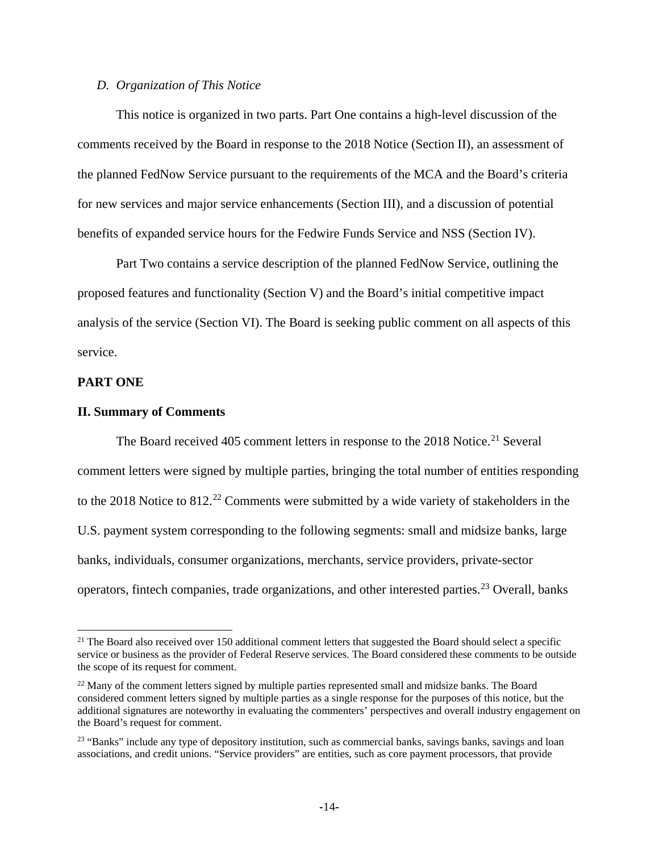# *D. Organization of This Notice*

This notice is organized in two parts. Part One contains a high-level discussion of the comments received by the Board in response to the 2018 Notice (Section II), an assessment of the planned FedNow Service pursuant to the requirements of the MCA and the Board's criteria for new services and major service enhancements (Section III), and a discussion of potential benefits of expanded service hours for the Fedwire Funds Service and NSS (Section IV).

Part Two contains a service description of the planned FedNow Service, outlining the proposed features and functionality (Section V) and the Board's initial competitive impact analysis of the service (Section VI). The Board is seeking public comment on all aspects of this service.

## **PART ONE**

l

#### **II. Summary of Comments**

The Board received 405 comment letters in response to the 2018 Notice.<sup>[21](#page-13-0)</sup> Several comment letters were signed by multiple parties, bringing the total number of entities responding to the 2018 Notice to 812.<sup>[22](#page-13-1)</sup> Comments were submitted by a wide variety of stakeholders in the U.S. payment system corresponding to the following segments: small and midsize banks, large banks, individuals, consumer organizations, merchants, service providers, private-sector operators, fintech companies, trade organizations, and other interested parties.<sup>[23](#page-13-2)</sup> Overall, banks

<span id="page-13-0"></span><sup>&</sup>lt;sup>21</sup> The Board also received over 150 additional comment letters that suggested the Board should select a specific service or business as the provider of Federal Reserve services. The Board considered these comments to be outside the scope of its request for comment.

<span id="page-13-1"></span><sup>&</sup>lt;sup>22</sup> Many of the comment letters signed by multiple parties represented small and midsize banks. The Board considered comment letters signed by multiple parties as a single response for the purposes of this notice, but the additional signatures are noteworthy in evaluating the commenters' perspectives and overall industry engagement on the Board's request for comment.

<span id="page-13-2"></span><sup>&</sup>lt;sup>23</sup> "Banks" include any type of depository institution, such as commercial banks, savings banks, savings and loan associations, and credit unions. "Service providers" are entities, such as core payment processors, that provide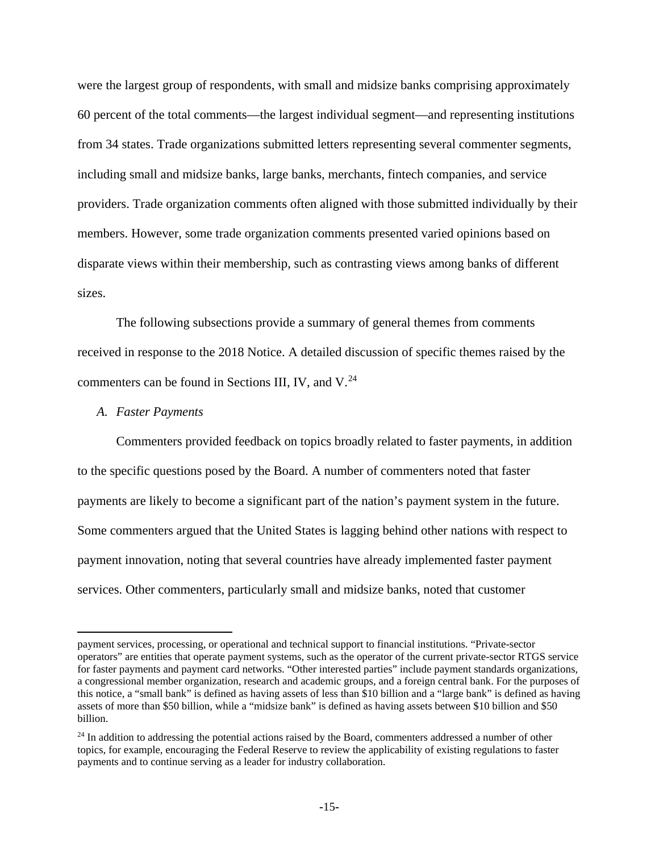were the largest group of respondents, with small and midsize banks comprising approximately 60 percent of the total comments—the largest individual segment—and representing institutions from 34 states. Trade organizations submitted letters representing several commenter segments, including small and midsize banks, large banks, merchants, fintech companies, and service providers. Trade organization comments often aligned with those submitted individually by their members. However, some trade organization comments presented varied opinions based on disparate views within their membership, such as contrasting views among banks of different sizes.

The following subsections provide a summary of general themes from comments received in response to the 2018 Notice. A detailed discussion of specific themes raised by the commenters can be found in Sections III, IV, and  $V^{24}$  $V^{24}$  $V^{24}$ .

### *A. Faster Payments*

l

Commenters provided feedback on topics broadly related to faster payments, in addition to the specific questions posed by the Board. A number of commenters noted that faster payments are likely to become a significant part of the nation's payment system in the future. Some commenters argued that the United States is lagging behind other nations with respect to payment innovation, noting that several countries have already implemented faster payment services. Other commenters, particularly small and midsize banks, noted that customer

payment services, processing, or operational and technical support to financial institutions. "Private-sector operators" are entities that operate payment systems, such as the operator of the current private-sector RTGS service for faster payments and payment card networks. "Other interested parties" include payment standards organizations, a congressional member organization, research and academic groups, and a foreign central bank. For the purposes of this notice, a "small bank" is defined as having assets of less than \$10 billion and a "large bank" is defined as having assets of more than \$50 billion, while a "midsize bank" is defined as having assets between \$10 billion and \$50 billion.

<span id="page-14-0"></span><sup>&</sup>lt;sup>24</sup> In addition to addressing the potential actions raised by the Board, commenters addressed a number of other topics, for example, encouraging the Federal Reserve to review the applicability of existing regulations to faster payments and to continue serving as a leader for industry collaboration.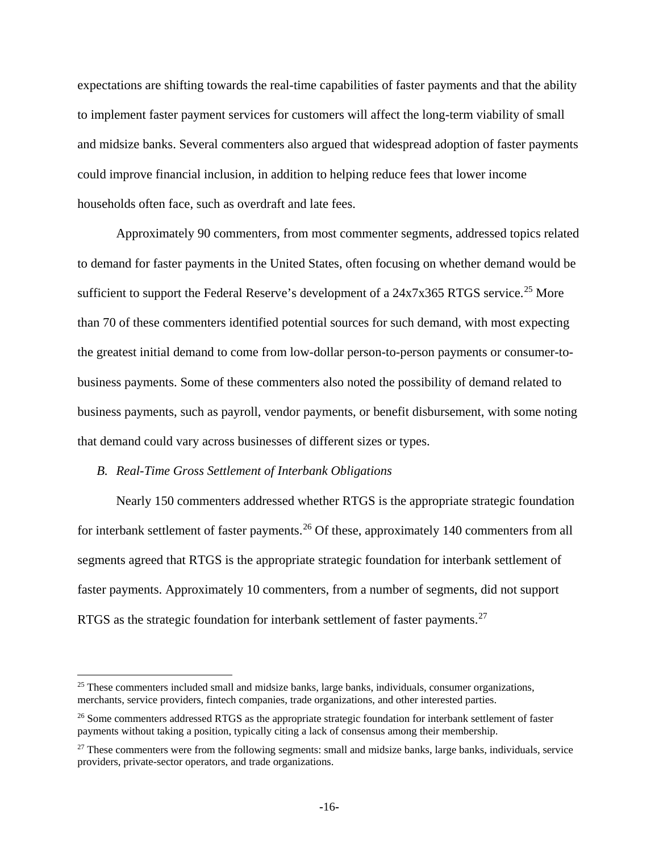expectations are shifting towards the real-time capabilities of faster payments and that the ability to implement faster payment services for customers will affect the long-term viability of small and midsize banks. Several commenters also argued that widespread adoption of faster payments could improve financial inclusion, in addition to helping reduce fees that lower income households often face, such as overdraft and late fees.

Approximately 90 commenters, from most commenter segments, addressed topics related to demand for faster payments in the United States, often focusing on whether demand would be sufficient to support the Federal Reserve's development of a 24x7x365 RTGS service.<sup>[25](#page-15-0)</sup> More than 70 of these commenters identified potential sources for such demand, with most expecting the greatest initial demand to come from low-dollar person-to-person payments or consumer-tobusiness payments. Some of these commenters also noted the possibility of demand related to business payments, such as payroll, vendor payments, or benefit disbursement, with some noting that demand could vary across businesses of different sizes or types.

### *B. Real-Time Gross Settlement of Interbank Obligations*

 $\overline{a}$ 

Nearly 150 commenters addressed whether RTGS is the appropriate strategic foundation for interbank settlement of faster payments.<sup>[26](#page-15-1)</sup> Of these, approximately 140 commenters from all segments agreed that RTGS is the appropriate strategic foundation for interbank settlement of faster payments. Approximately 10 commenters, from a number of segments, did not support RTGS as the strategic foundation for interbank settlement of faster payments.<sup>[27](#page-15-2)</sup>

<span id="page-15-0"></span> $25$  These commenters included small and midsize banks, large banks, individuals, consumer organizations, merchants, service providers, fintech companies, trade organizations, and other interested parties.

<span id="page-15-1"></span><sup>&</sup>lt;sup>26</sup> Some commenters addressed RTGS as the appropriate strategic foundation for interbank settlement of faster payments without taking a position, typically citing a lack of consensus among their membership.

<span id="page-15-2"></span><sup>&</sup>lt;sup>27</sup> These commenters were from the following segments: small and midsize banks, large banks, individuals, service providers, private-sector operators, and trade organizations.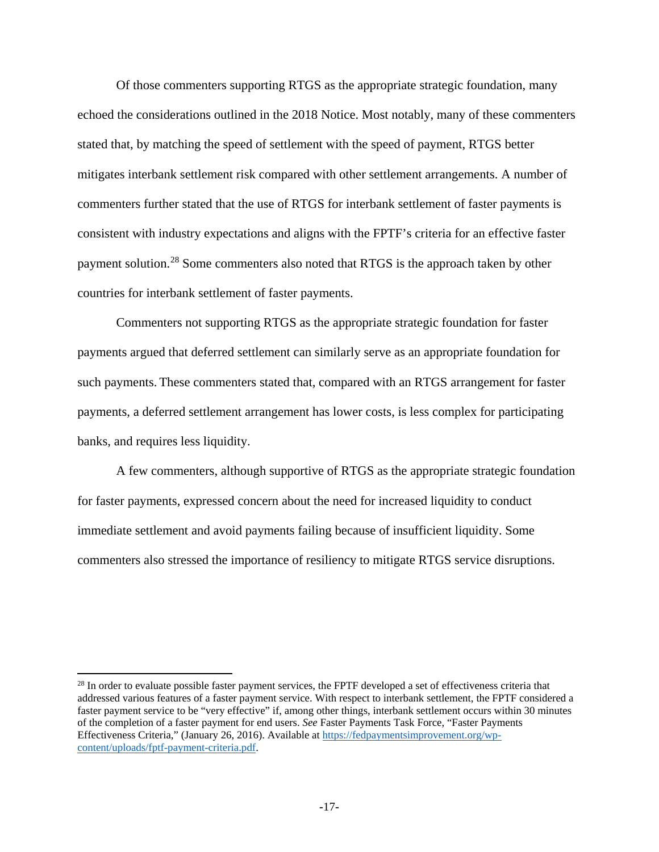Of those commenters supporting RTGS as the appropriate strategic foundation, many echoed the considerations outlined in the 2018 Notice. Most notably, many of these commenters stated that, by matching the speed of settlement with the speed of payment, RTGS better mitigates interbank settlement risk compared with other settlement arrangements. A number of commenters further stated that the use of RTGS for interbank settlement of faster payments is consistent with industry expectations and aligns with the FPTF's criteria for an effective faster payment solution.<sup>[28](#page-16-0)</sup> Some commenters also noted that RTGS is the approach taken by other countries for interbank settlement of faster payments.

Commenters not supporting RTGS as the appropriate strategic foundation for faster payments argued that deferred settlement can similarly serve as an appropriate foundation for such payments. These commenters stated that, compared with an RTGS arrangement for faster payments, a deferred settlement arrangement has lower costs, is less complex for participating banks, and requires less liquidity.

A few commenters, although supportive of RTGS as the appropriate strategic foundation for faster payments, expressed concern about the need for increased liquidity to conduct immediate settlement and avoid payments failing because of insufficient liquidity. Some commenters also stressed the importance of resiliency to mitigate RTGS service disruptions.

l

<span id="page-16-0"></span><sup>&</sup>lt;sup>28</sup> In order to evaluate possible faster payment services, the FPTF developed a set of effectiveness criteria that addressed various features of a faster payment service. With respect to interbank settlement, the FPTF considered a faster payment service to be "very effective" if, among other things, interbank settlement occurs within 30 minutes of the completion of a faster payment for end users. *See* Faster Payments Task Force, "Faster Payments Effectiveness Criteria," (January 26, 2016). Available a[t https://fedpaymentsimprovement.org/wp](https://fedpaymentsimprovement.org/wp-content/uploads/fptf-payment-criteria.pdf)[content/uploads/fptf-payment-criteria.pdf.](https://fedpaymentsimprovement.org/wp-content/uploads/fptf-payment-criteria.pdf)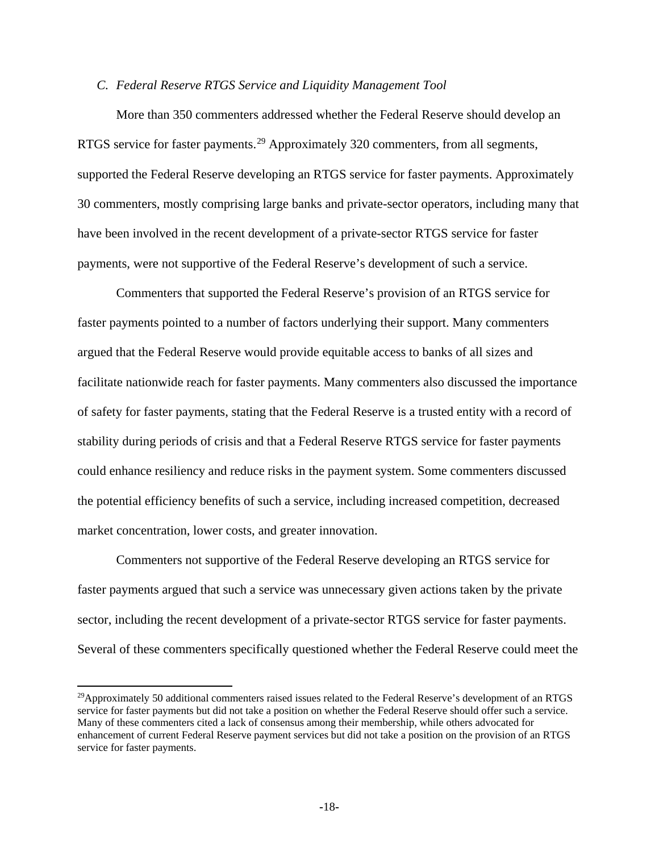# *C. Federal Reserve RTGS Service and Liquidity Management Tool*

More than 350 commenters addressed whether the Federal Reserve should develop an RTGS service for faster payments.<sup>[29](#page-17-0)</sup> Approximately 320 commenters, from all segments, supported the Federal Reserve developing an RTGS service for faster payments. Approximately 30 commenters, mostly comprising large banks and private-sector operators, including many that have been involved in the recent development of a private-sector RTGS service for faster payments, were not supportive of the Federal Reserve's development of such a service.

Commenters that supported the Federal Reserve's provision of an RTGS service for faster payments pointed to a number of factors underlying their support. Many commenters argued that the Federal Reserve would provide equitable access to banks of all sizes and facilitate nationwide reach for faster payments. Many commenters also discussed the importance of safety for faster payments, stating that the Federal Reserve is a trusted entity with a record of stability during periods of crisis and that a Federal Reserve RTGS service for faster payments could enhance resiliency and reduce risks in the payment system. Some commenters discussed the potential efficiency benefits of such a service, including increased competition, decreased market concentration, lower costs, and greater innovation.

Commenters not supportive of the Federal Reserve developing an RTGS service for faster payments argued that such a service was unnecessary given actions taken by the private sector, including the recent development of a private-sector RTGS service for faster payments. Several of these commenters specifically questioned whether the Federal Reserve could meet the

 $\overline{a}$ 

<span id="page-17-0"></span><sup>&</sup>lt;sup>29</sup>Approximately 50 additional commenters raised issues related to the Federal Reserve's development of an RTGS service for faster payments but did not take a position on whether the Federal Reserve should offer such a service. Many of these commenters cited a lack of consensus among their membership, while others advocated for enhancement of current Federal Reserve payment services but did not take a position on the provision of an RTGS service for faster payments.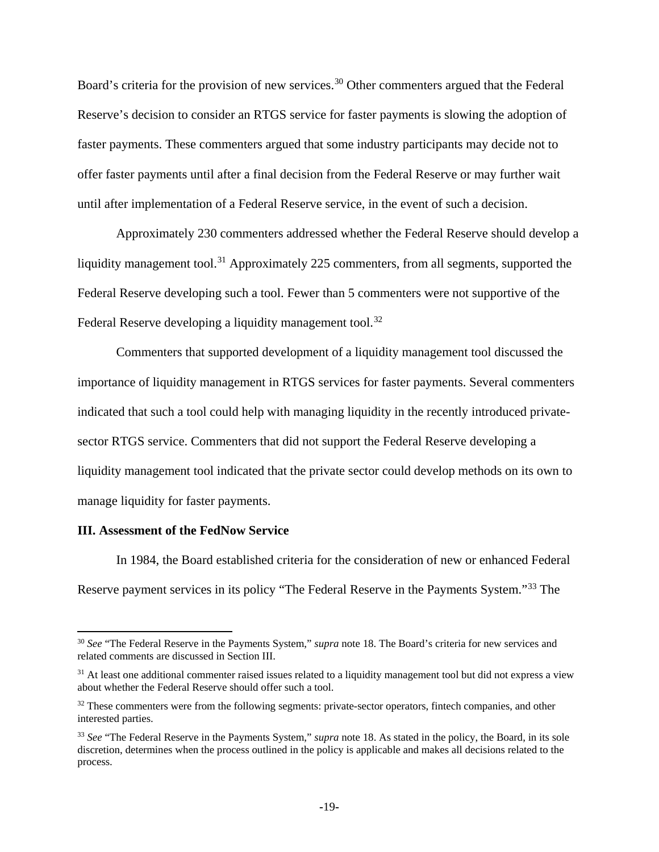Board's criteria for the provision of new services.<sup>[30](#page-18-0)</sup> Other commenters argued that the Federal Reserve's decision to consider an RTGS service for faster payments is slowing the adoption of faster payments. These commenters argued that some industry participants may decide not to offer faster payments until after a final decision from the Federal Reserve or may further wait until after implementation of a Federal Reserve service, in the event of such a decision.

Approximately 230 commenters addressed whether the Federal Reserve should develop a liquidity management tool.<sup>[31](#page-18-1)</sup> Approximately 225 commenters, from all segments, supported the Federal Reserve developing such a tool. Fewer than 5 commenters were not supportive of the Federal Reserve developing a liquidity management tool.<sup>[32](#page-18-2)</sup>

Commenters that supported development of a liquidity management tool discussed the importance of liquidity management in RTGS services for faster payments. Several commenters indicated that such a tool could help with managing liquidity in the recently introduced privatesector RTGS service. Commenters that did not support the Federal Reserve developing a liquidity management tool indicated that the private sector could develop methods on its own to manage liquidity for faster payments.

## **III. Assessment of the FedNow Service**

 $\overline{a}$ 

In 1984, the Board established criteria for the consideration of new or enhanced Federal Reserve payment services in its policy "The Federal Reserve in the Payments System."[33](#page-18-3) The

<span id="page-18-0"></span><sup>30</sup> *See* "The Federal Reserve in the Payments System," *supra* note 18. The Board's criteria for new services and related comments are discussed in Section III.

<span id="page-18-1"></span><sup>&</sup>lt;sup>31</sup> At least one additional commenter raised issues related to a liquidity management tool but did not express a view about whether the Federal Reserve should offer such a tool.

<span id="page-18-2"></span><sup>&</sup>lt;sup>32</sup> These commenters were from the following segments: private-sector operators, fintech companies, and other interested parties.

<span id="page-18-3"></span><sup>33</sup> *See* "The Federal Reserve in the Payments System," *supra* note 18. As stated in the policy, the Board, in its sole discretion, determines when the process outlined in the policy is applicable and makes all decisions related to the process.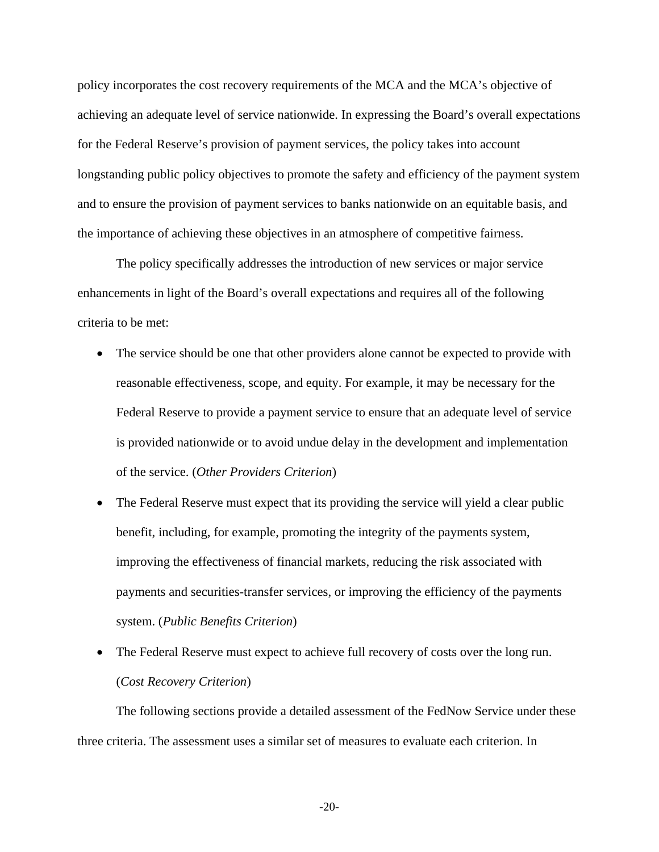policy incorporates the cost recovery requirements of the MCA and the MCA's objective of achieving an adequate level of service nationwide. In expressing the Board's overall expectations for the Federal Reserve's provision of payment services, the policy takes into account longstanding public policy objectives to promote the safety and efficiency of the payment system and to ensure the provision of payment services to banks nationwide on an equitable basis, and the importance of achieving these objectives in an atmosphere of competitive fairness.

The policy specifically addresses the introduction of new services or major service enhancements in light of the Board's overall expectations and requires all of the following criteria to be met:

- The service should be one that other providers alone cannot be expected to provide with reasonable effectiveness, scope, and equity. For example, it may be necessary for the Federal Reserve to provide a payment service to ensure that an adequate level of service is provided nationwide or to avoid undue delay in the development and implementation of the service. (*Other Providers Criterion*)
- The Federal Reserve must expect that its providing the service will yield a clear public benefit, including, for example, promoting the integrity of the payments system, improving the effectiveness of financial markets, reducing the risk associated with payments and securities-transfer services, or improving the efficiency of the payments system. (*Public Benefits Criterion*)
- The Federal Reserve must expect to achieve full recovery of costs over the long run. (*Cost Recovery Criterion*)

The following sections provide a detailed assessment of the FedNow Service under these three criteria. The assessment uses a similar set of measures to evaluate each criterion. In

**-**20**-**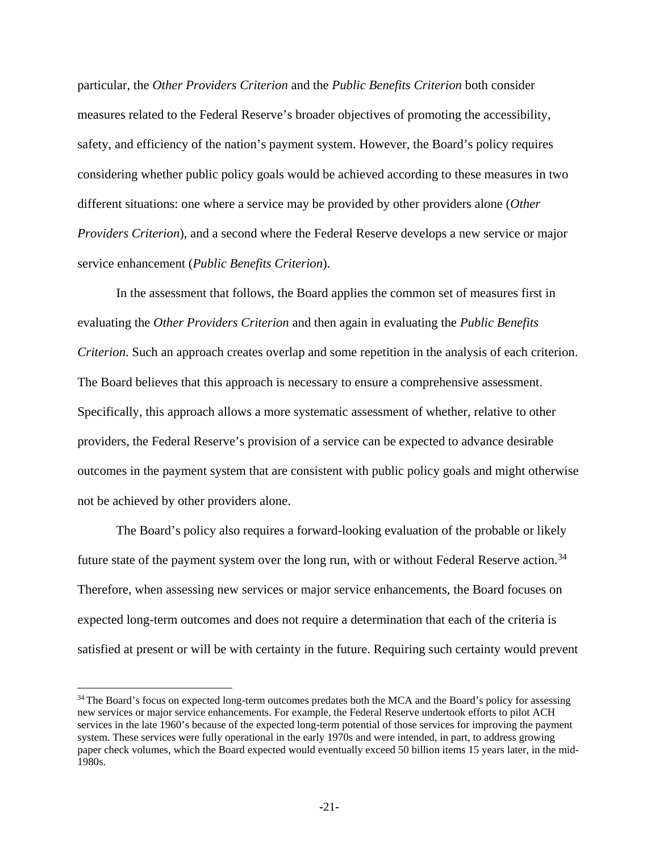particular, the *Other Providers Criterion* and the *Public Benefits Criterion* both consider measures related to the Federal Reserve's broader objectives of promoting the accessibility, safety, and efficiency of the nation's payment system. However, the Board's policy requires considering whether public policy goals would be achieved according to these measures in two different situations: one where a service may be provided by other providers alone (*Other Providers Criterion*), and a second where the Federal Reserve develops a new service or major service enhancement (*Public Benefits Criterion*).

In the assessment that follows, the Board applies the common set of measures first in evaluating the *Other Providers Criterion* and then again in evaluating the *Public Benefits Criterion*. Such an approach creates overlap and some repetition in the analysis of each criterion. The Board believes that this approach is necessary to ensure a comprehensive assessment. Specifically, this approach allows a more systematic assessment of whether, relative to other providers, the Federal Reserve's provision of a service can be expected to advance desirable outcomes in the payment system that are consistent with public policy goals and might otherwise not be achieved by other providers alone.

The Board's policy also requires a forward-looking evaluation of the probable or likely future state of the payment system over the long run, with or without Federal Reserve action.<sup>[34](#page-20-0)</sup> Therefore, when assessing new services or major service enhancements, the Board focuses on expected long-term outcomes and does not require a determination that each of the criteria is satisfied at present or will be with certainty in the future. Requiring such certainty would prevent

 $\overline{a}$ 

<span id="page-20-0"></span><sup>&</sup>lt;sup>34</sup> The Board's focus on expected long-term outcomes predates both the MCA and the Board's policy for assessing new services or major service enhancements. For example, the Federal Reserve undertook efforts to pilot ACH services in the late 1960's because of the expected long-term potential of those services for improving the payment system. These services were fully operational in the early 1970s and were intended, in part, to address growing paper check volumes, which the Board expected would eventually exceed 50 billion items 15 years later, in the mid-1980s.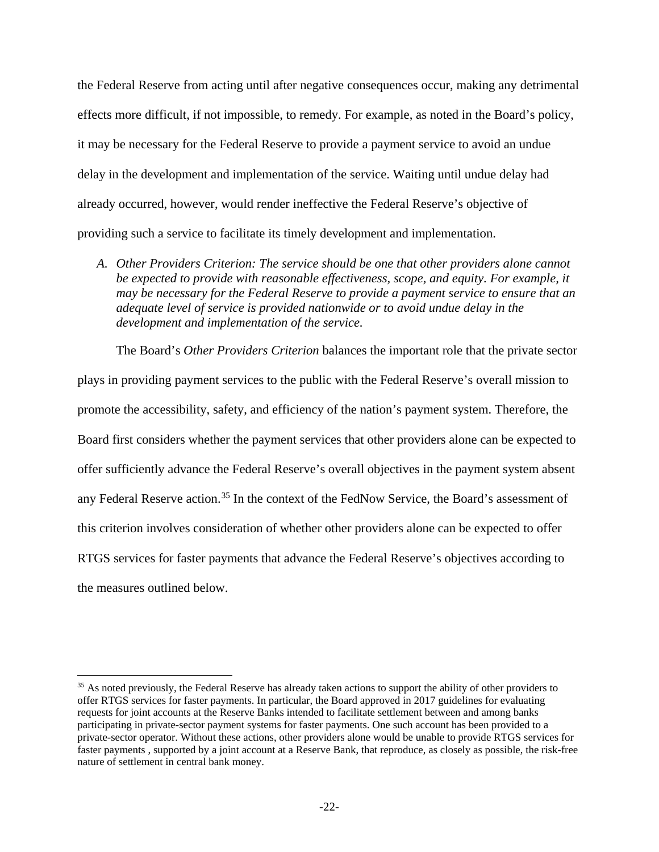the Federal Reserve from acting until after negative consequences occur, making any detrimental effects more difficult, if not impossible, to remedy. For example, as noted in the Board's policy, it may be necessary for the Federal Reserve to provide a payment service to avoid an undue delay in the development and implementation of the service. Waiting until undue delay had already occurred, however, would render ineffective the Federal Reserve's objective of providing such a service to facilitate its timely development and implementation.

*A. Other Providers Criterion: The service should be one that other providers alone cannot be expected to provide with reasonable effectiveness, scope, and equity. For example, it may be necessary for the Federal Reserve to provide a payment service to ensure that an adequate level of service is provided nationwide or to avoid undue delay in the development and implementation of the service.*

The Board's *Other Providers Criterion* balances the important role that the private sector plays in providing payment services to the public with the Federal Reserve's overall mission to promote the accessibility, safety, and efficiency of the nation's payment system. Therefore, the Board first considers whether the payment services that other providers alone can be expected to offer sufficiently advance the Federal Reserve's overall objectives in the payment system absent any Federal Reserve action.<sup>[35](#page-21-0)</sup> In the context of the FedNow Service, the Board's assessment of this criterion involves consideration of whether other providers alone can be expected to offer RTGS services for faster payments that advance the Federal Reserve's objectives according to the measures outlined below.

l

<span id="page-21-0"></span><sup>&</sup>lt;sup>35</sup> As noted previously, the Federal Reserve has already taken actions to support the ability of other providers to offer RTGS services for faster payments. In particular, the Board approved in 2017 guidelines for evaluating requests for joint accounts at the Reserve Banks intended to facilitate settlement between and among banks participating in private-sector payment systems for faster payments. One such account has been provided to a private-sector operator. Without these actions, other providers alone would be unable to provide RTGS services for faster payments , supported by a joint account at a Reserve Bank, that reproduce, as closely as possible, the risk-free nature of settlement in central bank money.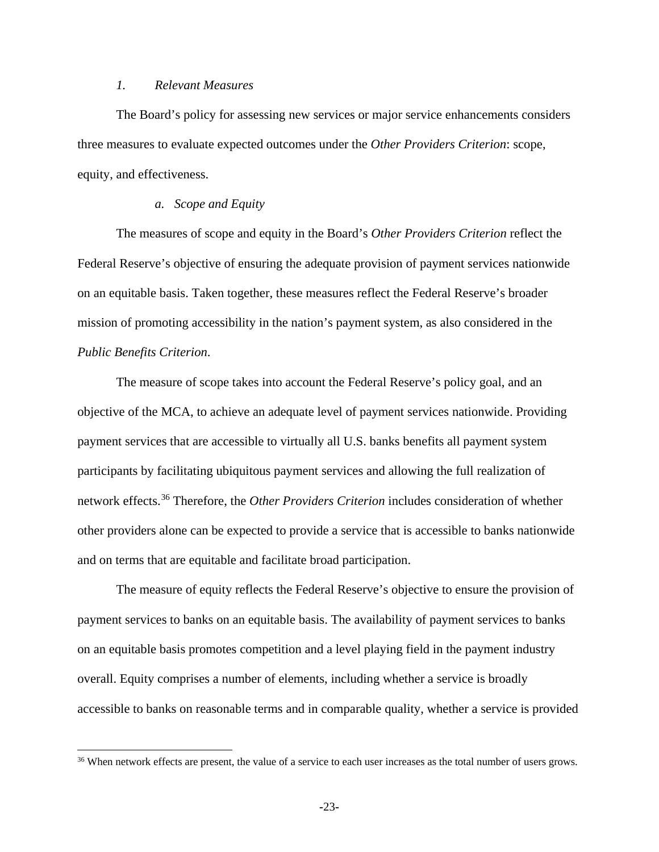## *1. Relevant Measures*

l

The Board's policy for assessing new services or major service enhancements considers three measures to evaluate expected outcomes under the *Other Providers Criterion*: scope, equity, and effectiveness.

# *a. Scope and Equity*

The measures of scope and equity in the Board's *Other Providers Criterion* reflect the Federal Reserve's objective of ensuring the adequate provision of payment services nationwide on an equitable basis. Taken together, these measures reflect the Federal Reserve's broader mission of promoting accessibility in the nation's payment system, as also considered in the *Public Benefits Criterion*.

The measure of scope takes into account the Federal Reserve's policy goal, and an objective of the MCA, to achieve an adequate level of payment services nationwide. Providing payment services that are accessible to virtually all U.S. banks benefits all payment system participants by facilitating ubiquitous payment services and allowing the full realization of network effects.[36](#page-22-0) Therefore, the *Other Providers Criterion* includes consideration of whether other providers alone can be expected to provide a service that is accessible to banks nationwide and on terms that are equitable and facilitate broad participation.

The measure of equity reflects the Federal Reserve's objective to ensure the provision of payment services to banks on an equitable basis. The availability of payment services to banks on an equitable basis promotes competition and a level playing field in the payment industry overall. Equity comprises a number of elements, including whether a service is broadly accessible to banks on reasonable terms and in comparable quality, whether a service is provided

<span id="page-22-0"></span><sup>&</sup>lt;sup>36</sup> When network effects are present, the value of a service to each user increases as the total number of users grows.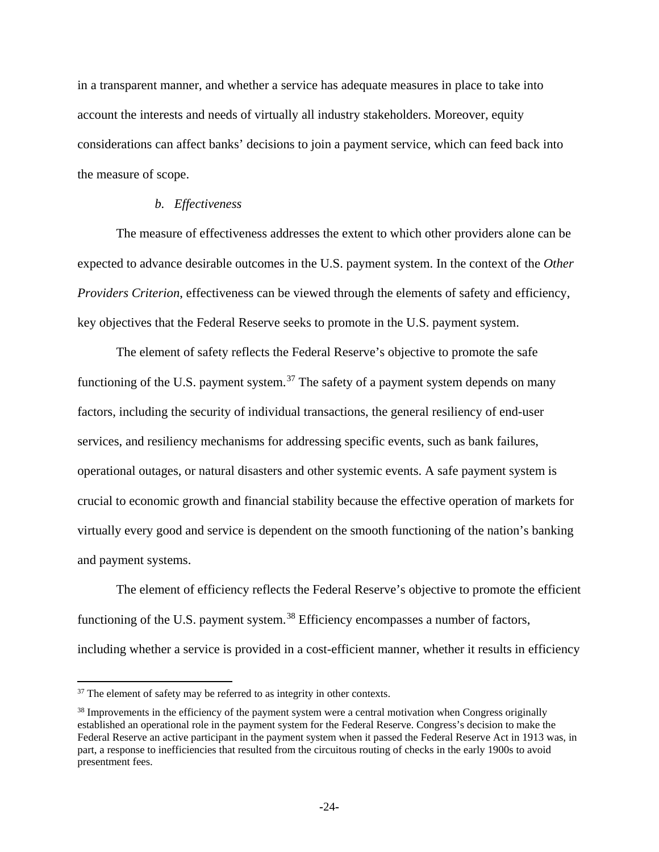in a transparent manner, and whether a service has adequate measures in place to take into account the interests and needs of virtually all industry stakeholders. Moreover, equity considerations can affect banks' decisions to join a payment service, which can feed back into the measure of scope.

### *b. Effectiveness*

The measure of effectiveness addresses the extent to which other providers alone can be expected to advance desirable outcomes in the U.S. payment system. In the context of the *Other Providers Criterion*, effectiveness can be viewed through the elements of safety and efficiency, key objectives that the Federal Reserve seeks to promote in the U.S. payment system.

The element of safety reflects the Federal Reserve's objective to promote the safe functioning of the U.S. payment system. $37$  The safety of a payment system depends on many factors, including the security of individual transactions, the general resiliency of end-user services, and resiliency mechanisms for addressing specific events, such as bank failures, operational outages, or natural disasters and other systemic events. A safe payment system is crucial to economic growth and financial stability because the effective operation of markets for virtually every good and service is dependent on the smooth functioning of the nation's banking and payment systems.

The element of efficiency reflects the Federal Reserve's objective to promote the efficient functioning of the U.S. payment system.<sup>[38](#page-23-1)</sup> Efficiency encompasses a number of factors, including whether a service is provided in a cost-efficient manner, whether it results in efficiency

 $\overline{a}$ 

<span id="page-23-0"></span> $37$  The element of safety may be referred to as integrity in other contexts.

<span id="page-23-1"></span><sup>&</sup>lt;sup>38</sup> Improvements in the efficiency of the payment system were a central motivation when Congress originally established an operational role in the payment system for the Federal Reserve. Congress's decision to make the Federal Reserve an active participant in the payment system when it passed the Federal Reserve Act in 1913 was, in part, a response to inefficiencies that resulted from the circuitous routing of checks in the early 1900s to avoid presentment fees.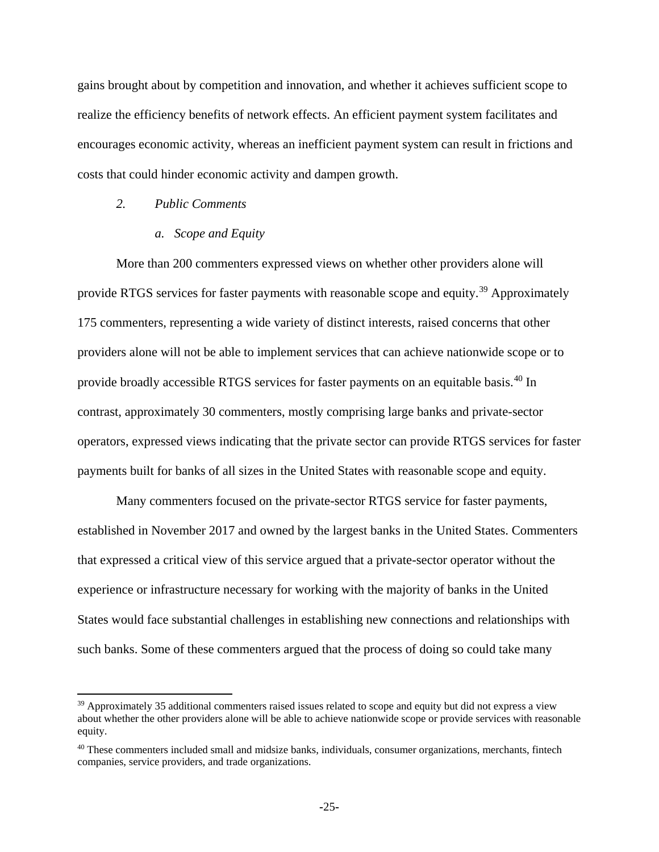gains brought about by competition and innovation, and whether it achieves sufficient scope to realize the efficiency benefits of network effects. An efficient payment system facilitates and encourages economic activity, whereas an inefficient payment system can result in frictions and costs that could hinder economic activity and dampen growth.

### *2. Public Comments*

 $\overline{\phantom{a}}$ 

### *a. Scope and Equity*

More than 200 commenters expressed views on whether other providers alone will provide RTGS services for faster payments with reasonable scope and equity.<sup>[39](#page-24-0)</sup> Approximately 175 commenters, representing a wide variety of distinct interests, raised concerns that other providers alone will not be able to implement services that can achieve nationwide scope or to provide broadly accessible RTGS services for faster payments on an equitable basis.<sup>[40](#page-24-1)</sup> In contrast, approximately 30 commenters, mostly comprising large banks and private-sector operators, expressed views indicating that the private sector can provide RTGS services for faster payments built for banks of all sizes in the United States with reasonable scope and equity.

Many commenters focused on the private-sector RTGS service for faster payments, established in November 2017 and owned by the largest banks in the United States. Commenters that expressed a critical view of this service argued that a private-sector operator without the experience or infrastructure necessary for working with the majority of banks in the United States would face substantial challenges in establishing new connections and relationships with such banks. Some of these commenters argued that the process of doing so could take many

<span id="page-24-0"></span><sup>&</sup>lt;sup>39</sup> Approximately 35 additional commenters raised issues related to scope and equity but did not express a view about whether the other providers alone will be able to achieve nationwide scope or provide services with reasonable equity.

<span id="page-24-1"></span><sup>&</sup>lt;sup>40</sup> These commenters included small and midsize banks, individuals, consumer organizations, merchants, fintech companies, service providers, and trade organizations.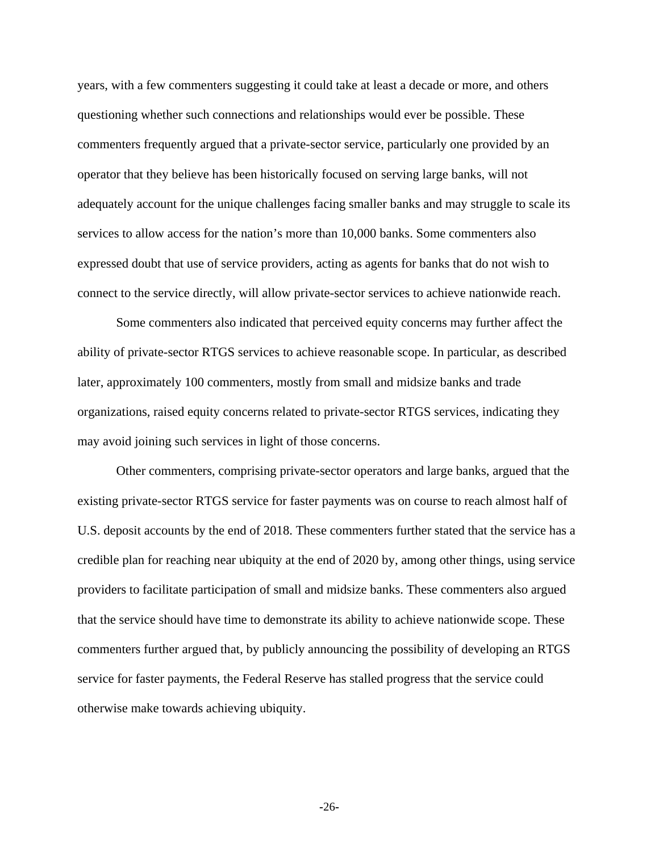years, with a few commenters suggesting it could take at least a decade or more, and others questioning whether such connections and relationships would ever be possible. These commenters frequently argued that a private-sector service, particularly one provided by an operator that they believe has been historically focused on serving large banks, will not adequately account for the unique challenges facing smaller banks and may struggle to scale its services to allow access for the nation's more than 10,000 banks. Some commenters also expressed doubt that use of service providers, acting as agents for banks that do not wish to connect to the service directly, will allow private-sector services to achieve nationwide reach.

Some commenters also indicated that perceived equity concerns may further affect the ability of private-sector RTGS services to achieve reasonable scope. In particular, as described later, approximately 100 commenters, mostly from small and midsize banks and trade organizations, raised equity concerns related to private-sector RTGS services, indicating they may avoid joining such services in light of those concerns.

Other commenters, comprising private-sector operators and large banks, argued that the existing private-sector RTGS service for faster payments was on course to reach almost half of U.S. deposit accounts by the end of 2018. These commenters further stated that the service has a credible plan for reaching near ubiquity at the end of 2020 by, among other things, using service providers to facilitate participation of small and midsize banks. These commenters also argued that the service should have time to demonstrate its ability to achieve nationwide scope. These commenters further argued that, by publicly announcing the possibility of developing an RTGS service for faster payments, the Federal Reserve has stalled progress that the service could otherwise make towards achieving ubiquity.

**-**26**-**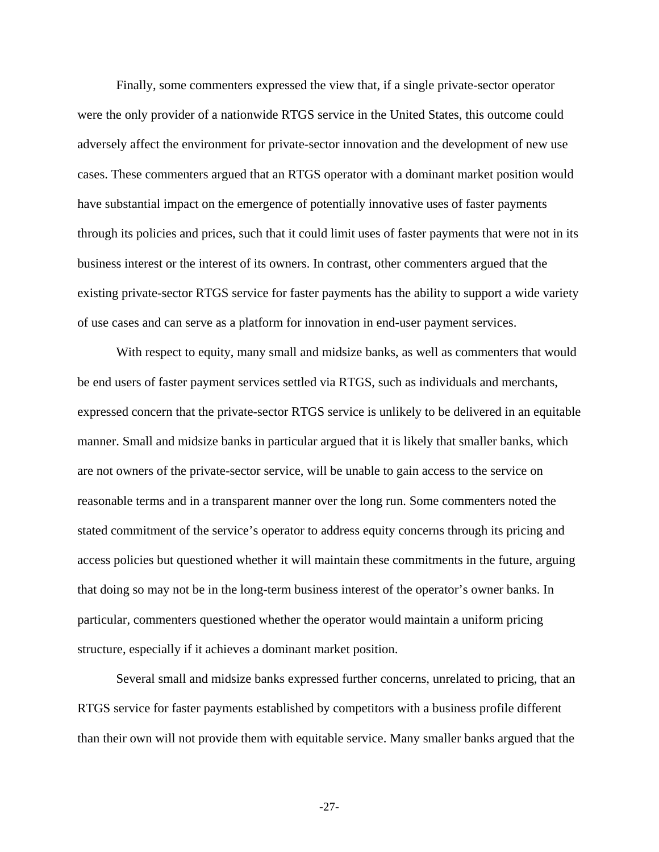Finally, some commenters expressed the view that, if a single private-sector operator were the only provider of a nationwide RTGS service in the United States, this outcome could adversely affect the environment for private-sector innovation and the development of new use cases. These commenters argued that an RTGS operator with a dominant market position would have substantial impact on the emergence of potentially innovative uses of faster payments through its policies and prices, such that it could limit uses of faster payments that were not in its business interest or the interest of its owners. In contrast, other commenters argued that the existing private-sector RTGS service for faster payments has the ability to support a wide variety of use cases and can serve as a platform for innovation in end-user payment services.

With respect to equity, many small and midsize banks, as well as commenters that would be end users of faster payment services settled via RTGS, such as individuals and merchants, expressed concern that the private-sector RTGS service is unlikely to be delivered in an equitable manner. Small and midsize banks in particular argued that it is likely that smaller banks, which are not owners of the private-sector service, will be unable to gain access to the service on reasonable terms and in a transparent manner over the long run. Some commenters noted the stated commitment of the service's operator to address equity concerns through its pricing and access policies but questioned whether it will maintain these commitments in the future, arguing that doing so may not be in the long-term business interest of the operator's owner banks. In particular, commenters questioned whether the operator would maintain a uniform pricing structure, especially if it achieves a dominant market position.

Several small and midsize banks expressed further concerns, unrelated to pricing, that an RTGS service for faster payments established by competitors with a business profile different than their own will not provide them with equitable service. Many smaller banks argued that the

**-**27**-**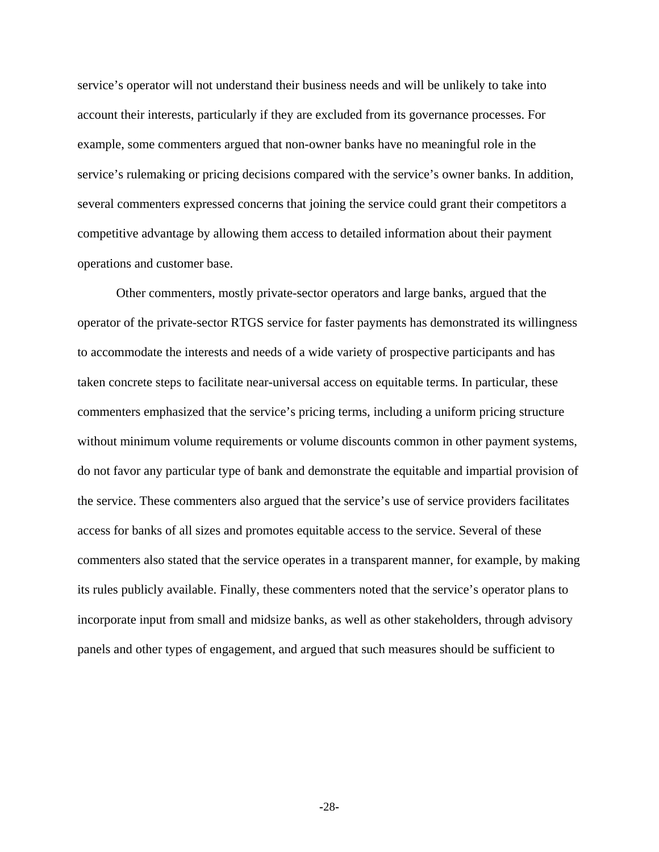service's operator will not understand their business needs and will be unlikely to take into account their interests, particularly if they are excluded from its governance processes. For example, some commenters argued that non-owner banks have no meaningful role in the service's rulemaking or pricing decisions compared with the service's owner banks. In addition, several commenters expressed concerns that joining the service could grant their competitors a competitive advantage by allowing them access to detailed information about their payment operations and customer base.

Other commenters, mostly private-sector operators and large banks, argued that the operator of the private-sector RTGS service for faster payments has demonstrated its willingness to accommodate the interests and needs of a wide variety of prospective participants and has taken concrete steps to facilitate near-universal access on equitable terms. In particular, these commenters emphasized that the service's pricing terms, including a uniform pricing structure without minimum volume requirements or volume discounts common in other payment systems, do not favor any particular type of bank and demonstrate the equitable and impartial provision of the service. These commenters also argued that the service's use of service providers facilitates access for banks of all sizes and promotes equitable access to the service. Several of these commenters also stated that the service operates in a transparent manner, for example, by making its rules publicly available. Finally, these commenters noted that the service's operator plans to incorporate input from small and midsize banks, as well as other stakeholders, through advisory panels and other types of engagement, and argued that such measures should be sufficient to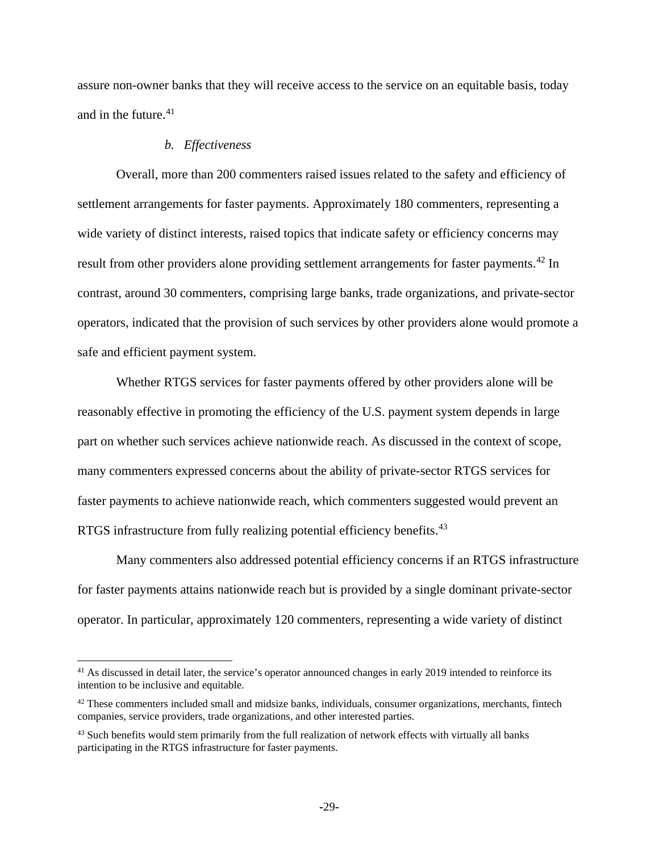assure non-owner banks that they will receive access to the service on an equitable basis, today and in the future. $41$ 

### *b. Effectiveness*

l

Overall, more than 200 commenters raised issues related to the safety and efficiency of settlement arrangements for faster payments. Approximately 180 commenters, representing a wide variety of distinct interests, raised topics that indicate safety or efficiency concerns may result from other providers alone providing settlement arrangements for faster payments.<sup>[42](#page-28-1)</sup> In contrast, around 30 commenters, comprising large banks, trade organizations, and private-sector operators, indicated that the provision of such services by other providers alone would promote a safe and efficient payment system.

Whether RTGS services for faster payments offered by other providers alone will be reasonably effective in promoting the efficiency of the U.S. payment system depends in large part on whether such services achieve nationwide reach. As discussed in the context of scope, many commenters expressed concerns about the ability of private-sector RTGS services for faster payments to achieve nationwide reach, which commenters suggested would prevent an RTGS infrastructure from fully realizing potential efficiency benefits.<sup>[43](#page-28-2)</sup>

Many commenters also addressed potential efficiency concerns if an RTGS infrastructure for faster payments attains nationwide reach but is provided by a single dominant private-sector operator. In particular, approximately 120 commenters, representing a wide variety of distinct

<span id="page-28-0"></span><sup>&</sup>lt;sup>41</sup> As discussed in detail later, the service's operator announced changes in early 2019 intended to reinforce its intention to be inclusive and equitable.

<span id="page-28-1"></span><sup>&</sup>lt;sup>42</sup> These commenters included small and midsize banks, individuals, consumer organizations, merchants, fintech companies, service providers, trade organizations, and other interested parties.

<span id="page-28-2"></span><sup>&</sup>lt;sup>43</sup> Such benefits would stem primarily from the full realization of network effects with virtually all banks participating in the RTGS infrastructure for faster payments.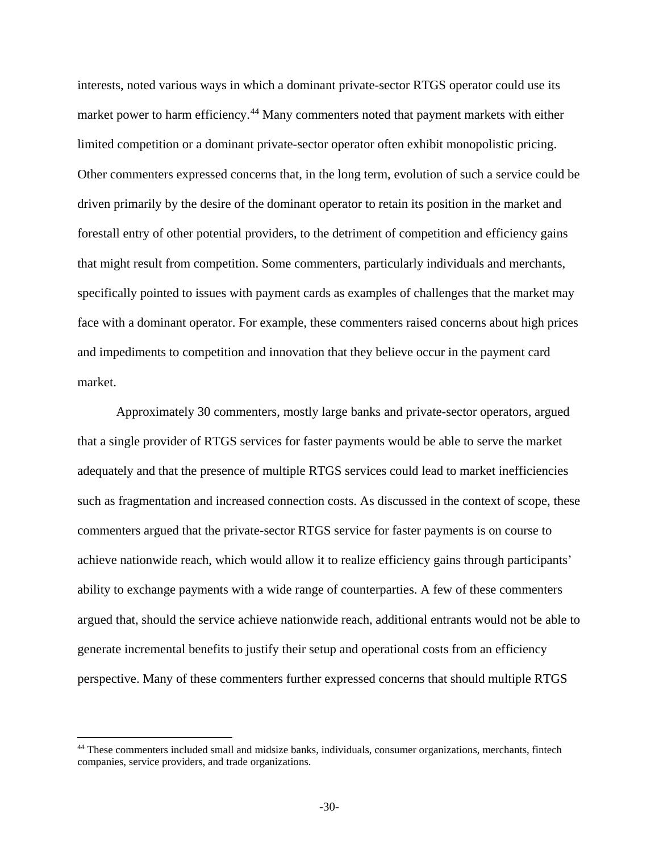interests, noted various ways in which a dominant private-sector RTGS operator could use its market power to harm efficiency.<sup>[44](#page-29-0)</sup> Many commenters noted that payment markets with either limited competition or a dominant private-sector operator often exhibit monopolistic pricing. Other commenters expressed concerns that, in the long term, evolution of such a service could be driven primarily by the desire of the dominant operator to retain its position in the market and forestall entry of other potential providers, to the detriment of competition and efficiency gains that might result from competition. Some commenters, particularly individuals and merchants, specifically pointed to issues with payment cards as examples of challenges that the market may face with a dominant operator. For example, these commenters raised concerns about high prices and impediments to competition and innovation that they believe occur in the payment card market.

Approximately 30 commenters, mostly large banks and private-sector operators, argued that a single provider of RTGS services for faster payments would be able to serve the market adequately and that the presence of multiple RTGS services could lead to market inefficiencies such as fragmentation and increased connection costs. As discussed in the context of scope, these commenters argued that the private-sector RTGS service for faster payments is on course to achieve nationwide reach, which would allow it to realize efficiency gains through participants' ability to exchange payments with a wide range of counterparties. A few of these commenters argued that, should the service achieve nationwide reach, additional entrants would not be able to generate incremental benefits to justify their setup and operational costs from an efficiency perspective. Many of these commenters further expressed concerns that should multiple RTGS

 $\overline{\phantom{a}}$ 

<span id="page-29-0"></span><sup>44</sup> These commenters included small and midsize banks, individuals, consumer organizations, merchants, fintech companies, service providers, and trade organizations.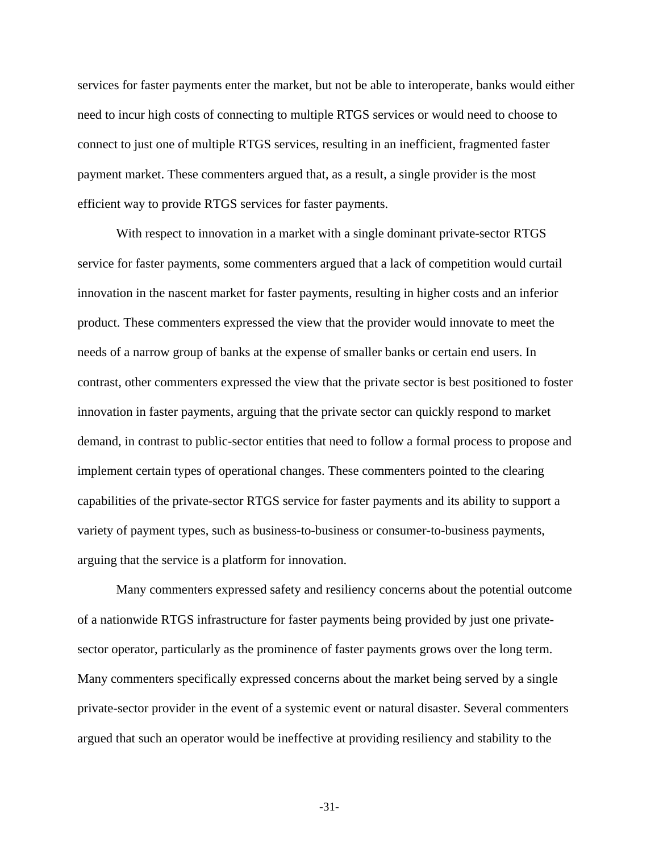services for faster payments enter the market, but not be able to interoperate, banks would either need to incur high costs of connecting to multiple RTGS services or would need to choose to connect to just one of multiple RTGS services, resulting in an inefficient, fragmented faster payment market. These commenters argued that, as a result, a single provider is the most efficient way to provide RTGS services for faster payments.

With respect to innovation in a market with a single dominant private-sector RTGS service for faster payments, some commenters argued that a lack of competition would curtail innovation in the nascent market for faster payments, resulting in higher costs and an inferior product. These commenters expressed the view that the provider would innovate to meet the needs of a narrow group of banks at the expense of smaller banks or certain end users. In contrast, other commenters expressed the view that the private sector is best positioned to foster innovation in faster payments, arguing that the private sector can quickly respond to market demand, in contrast to public-sector entities that need to follow a formal process to propose and implement certain types of operational changes. These commenters pointed to the clearing capabilities of the private-sector RTGS service for faster payments and its ability to support a variety of payment types, such as business-to-business or consumer-to-business payments, arguing that the service is a platform for innovation.

Many commenters expressed safety and resiliency concerns about the potential outcome of a nationwide RTGS infrastructure for faster payments being provided by just one privatesector operator, particularly as the prominence of faster payments grows over the long term. Many commenters specifically expressed concerns about the market being served by a single private-sector provider in the event of a systemic event or natural disaster. Several commenters argued that such an operator would be ineffective at providing resiliency and stability to the

**-**31**-**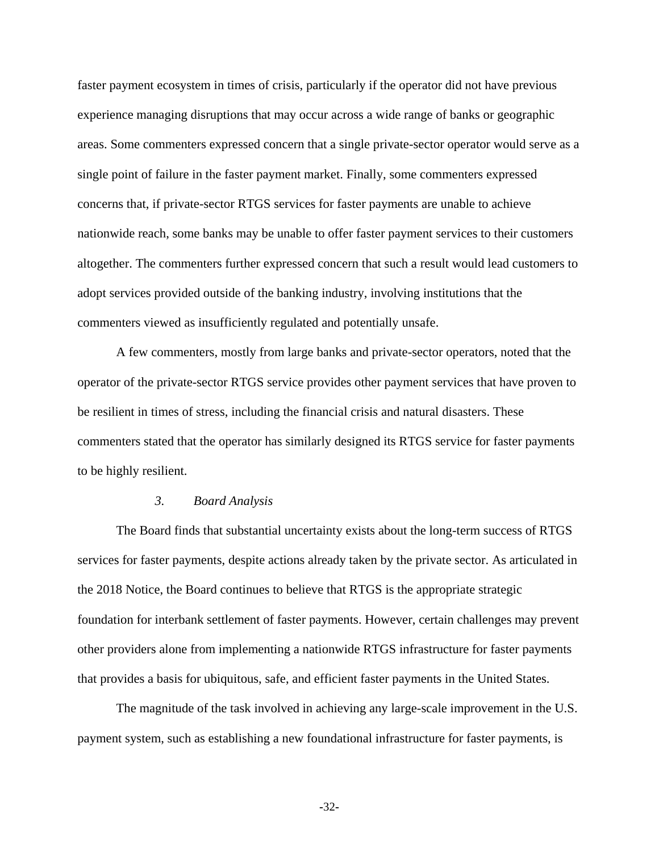faster payment ecosystem in times of crisis, particularly if the operator did not have previous experience managing disruptions that may occur across a wide range of banks or geographic areas. Some commenters expressed concern that a single private-sector operator would serve as a single point of failure in the faster payment market. Finally, some commenters expressed concerns that, if private-sector RTGS services for faster payments are unable to achieve nationwide reach, some banks may be unable to offer faster payment services to their customers altogether. The commenters further expressed concern that such a result would lead customers to adopt services provided outside of the banking industry, involving institutions that the commenters viewed as insufficiently regulated and potentially unsafe.

A few commenters, mostly from large banks and private-sector operators, noted that the operator of the private-sector RTGS service provides other payment services that have proven to be resilient in times of stress, including the financial crisis and natural disasters. These commenters stated that the operator has similarly designed its RTGS service for faster payments to be highly resilient.

### *3. Board Analysis*

The Board finds that substantial uncertainty exists about the long-term success of RTGS services for faster payments, despite actions already taken by the private sector. As articulated in the 2018 Notice, the Board continues to believe that RTGS is the appropriate strategic foundation for interbank settlement of faster payments. However, certain challenges may prevent other providers alone from implementing a nationwide RTGS infrastructure for faster payments that provides a basis for ubiquitous, safe, and efficient faster payments in the United States.

The magnitude of the task involved in achieving any large-scale improvement in the U.S. payment system, such as establishing a new foundational infrastructure for faster payments, is

**-**32**-**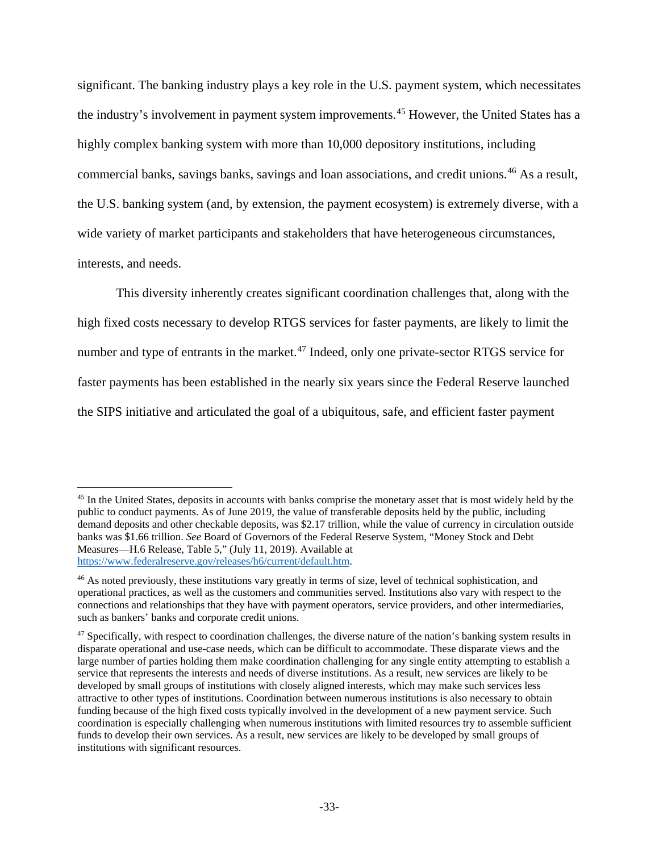significant. The banking industry plays a key role in the U.S. payment system, which necessitates the industry's involvement in payment system improvements.<sup>[45](#page-32-0)</sup> However, the United States has a highly complex banking system with more than 10,000 depository institutions, including commercial banks, savings banks, savings and loan associations, and credit unions.[46](#page-32-1) As a result, the U.S. banking system (and, by extension, the payment ecosystem) is extremely diverse, with a wide variety of market participants and stakeholders that have heterogeneous circumstances, interests, and needs.

This diversity inherently creates significant coordination challenges that, along with the high fixed costs necessary to develop RTGS services for faster payments, are likely to limit the number and type of entrants in the market.<sup>[47](#page-32-2)</sup> Indeed, only one private-sector RTGS service for faster payments has been established in the nearly six years since the Federal Reserve launched the SIPS initiative and articulated the goal of a ubiquitous, safe, and efficient faster payment

 $\overline{a}$ 

<span id="page-32-0"></span><sup>&</sup>lt;sup>45</sup> In the United States, deposits in accounts with banks comprise the monetary asset that is most widely held by the public to conduct payments. As of June 2019, the value of transferable deposits held by the public, including demand deposits and other checkable deposits, was \$2.17 trillion, while the value of currency in circulation outside banks was \$1.66 trillion. *See* Board of Governors of the Federal Reserve System, "Money Stock and Debt Measures—H.6 Release, Table 5," (July 11, 2019). Available at [https://www.federalreserve.gov/releases/h6/current/default.htm.](https://www.federalreserve.gov/releases/h6/current/default.htm)

<span id="page-32-1"></span><sup>&</sup>lt;sup>46</sup> As noted previously, these institutions vary greatly in terms of size, level of technical sophistication, and operational practices, as well as the customers and communities served. Institutions also vary with respect to the connections and relationships that they have with payment operators, service providers, and other intermediaries, such as bankers' banks and corporate credit unions.

<span id="page-32-2"></span> $47$  Specifically, with respect to coordination challenges, the diverse nature of the nation's banking system results in disparate operational and use-case needs, which can be difficult to accommodate. These disparate views and the large number of parties holding them make coordination challenging for any single entity attempting to establish a service that represents the interests and needs of diverse institutions. As a result, new services are likely to be developed by small groups of institutions with closely aligned interests, which may make such services less attractive to other types of institutions. Coordination between numerous institutions is also necessary to obtain funding because of the high fixed costs typically involved in the development of a new payment service. Such coordination is especially challenging when numerous institutions with limited resources try to assemble sufficient funds to develop their own services. As a result, new services are likely to be developed by small groups of institutions with significant resources.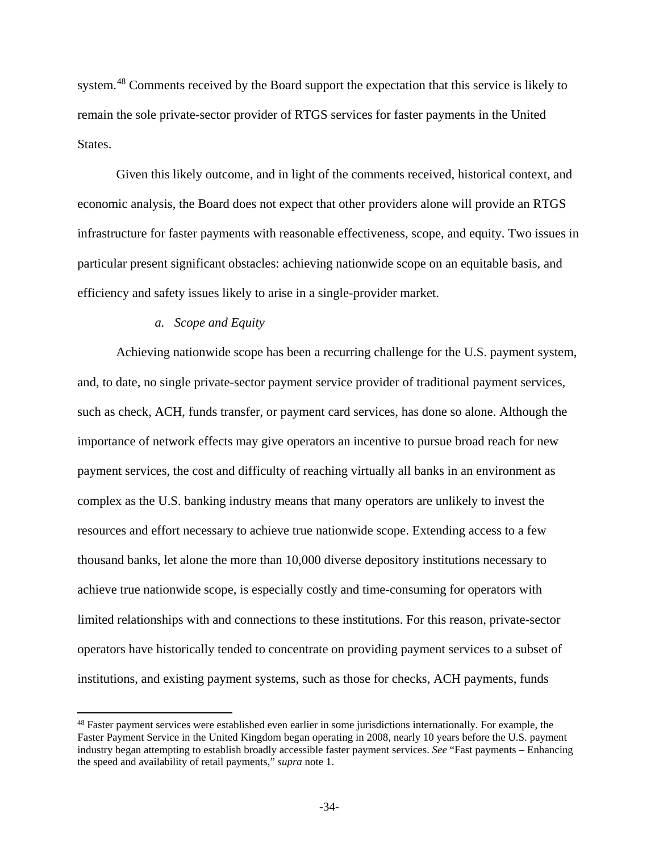system.<sup>[48](#page-33-0)</sup> Comments received by the Board support the expectation that this service is likely to remain the sole private-sector provider of RTGS services for faster payments in the United States.

Given this likely outcome, and in light of the comments received, historical context, and economic analysis, the Board does not expect that other providers alone will provide an RTGS infrastructure for faster payments with reasonable effectiveness, scope, and equity. Two issues in particular present significant obstacles: achieving nationwide scope on an equitable basis, and efficiency and safety issues likely to arise in a single-provider market.

## *a. Scope and Equity*

l

Achieving nationwide scope has been a recurring challenge for the U.S. payment system, and, to date, no single private-sector payment service provider of traditional payment services, such as check, ACH, funds transfer, or payment card services, has done so alone. Although the importance of network effects may give operators an incentive to pursue broad reach for new payment services, the cost and difficulty of reaching virtually all banks in an environment as complex as the U.S. banking industry means that many operators are unlikely to invest the resources and effort necessary to achieve true nationwide scope. Extending access to a few thousand banks, let alone the more than 10,000 diverse depository institutions necessary to achieve true nationwide scope, is especially costly and time-consuming for operators with limited relationships with and connections to these institutions. For this reason, private-sector operators have historically tended to concentrate on providing payment services to a subset of institutions, and existing payment systems, such as those for checks, ACH payments, funds

<span id="page-33-0"></span><sup>&</sup>lt;sup>48</sup> Faster payment services were established even earlier in some jurisdictions internationally. For example, the Faster Payment Service in the United Kingdom began operating in 2008, nearly 10 years before the U.S. payment industry began attempting to establish broadly accessible faster payment services. *See* "Fast payments – Enhancing the speed and availability of retail payments," *supra* note 1.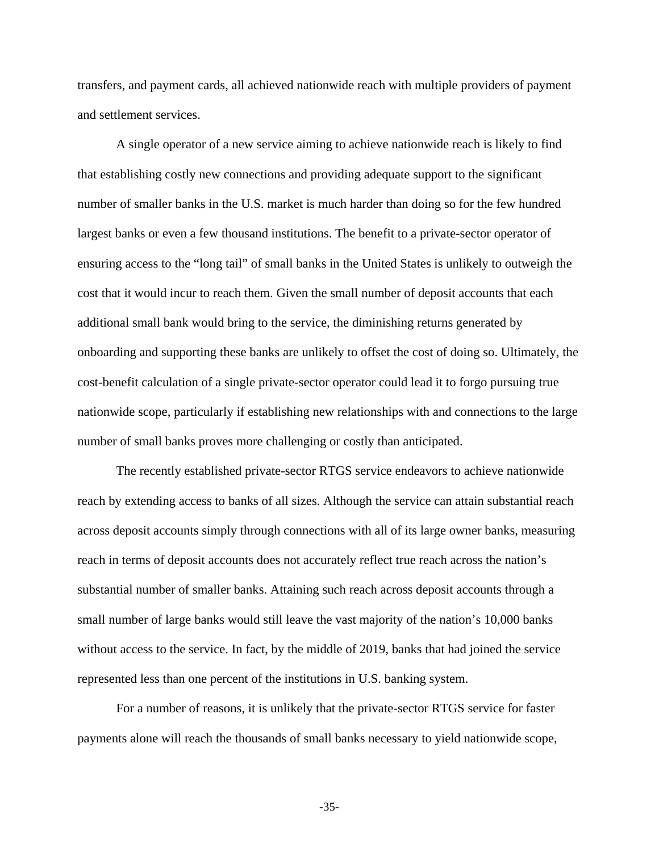transfers, and payment cards, all achieved nationwide reach with multiple providers of payment and settlement services.

A single operator of a new service aiming to achieve nationwide reach is likely to find that establishing costly new connections and providing adequate support to the significant number of smaller banks in the U.S. market is much harder than doing so for the few hundred largest banks or even a few thousand institutions. The benefit to a private-sector operator of ensuring access to the "long tail" of small banks in the United States is unlikely to outweigh the cost that it would incur to reach them. Given the small number of deposit accounts that each additional small bank would bring to the service, the diminishing returns generated by onboarding and supporting these banks are unlikely to offset the cost of doing so. Ultimately, the cost-benefit calculation of a single private-sector operator could lead it to forgo pursuing true nationwide scope, particularly if establishing new relationships with and connections to the large number of small banks proves more challenging or costly than anticipated.

The recently established private-sector RTGS service endeavors to achieve nationwide reach by extending access to banks of all sizes. Although the service can attain substantial reach across deposit accounts simply through connections with all of its large owner banks, measuring reach in terms of deposit accounts does not accurately reflect true reach across the nation's substantial number of smaller banks. Attaining such reach across deposit accounts through a small number of large banks would still leave the vast majority of the nation's 10,000 banks without access to the service. In fact, by the middle of 2019, banks that had joined the service represented less than one percent of the institutions in U.S. banking system.

For a number of reasons, it is unlikely that the private-sector RTGS service for faster payments alone will reach the thousands of small banks necessary to yield nationwide scope,

**-**35**-**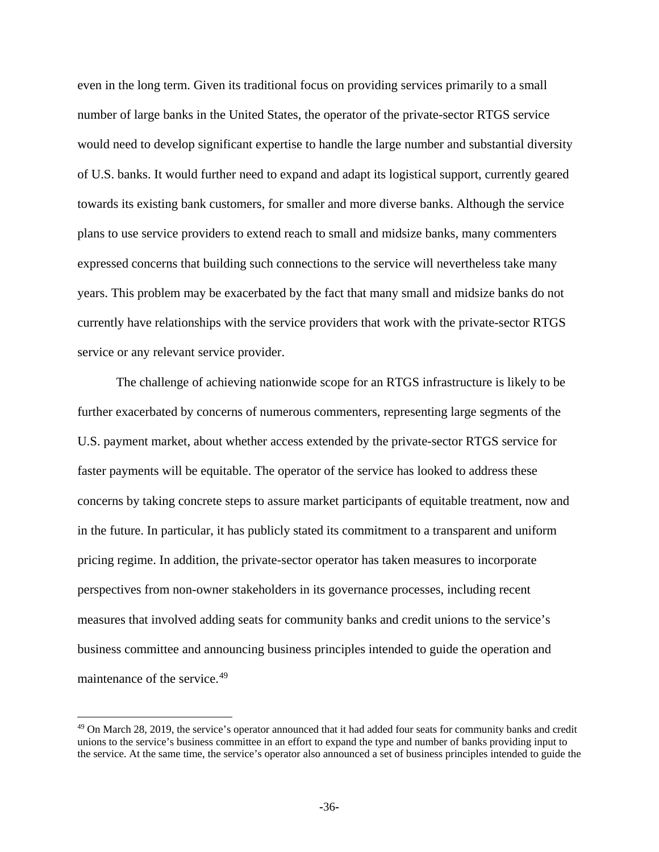even in the long term. Given its traditional focus on providing services primarily to a small number of large banks in the United States, the operator of the private-sector RTGS service would need to develop significant expertise to handle the large number and substantial diversity of U.S. banks. It would further need to expand and adapt its logistical support, currently geared towards its existing bank customers, for smaller and more diverse banks. Although the service plans to use service providers to extend reach to small and midsize banks, many commenters expressed concerns that building such connections to the service will nevertheless take many years. This problem may be exacerbated by the fact that many small and midsize banks do not currently have relationships with the service providers that work with the private-sector RTGS service or any relevant service provider.

The challenge of achieving nationwide scope for an RTGS infrastructure is likely to be further exacerbated by concerns of numerous commenters, representing large segments of the U.S. payment market, about whether access extended by the private-sector RTGS service for faster payments will be equitable. The operator of the service has looked to address these concerns by taking concrete steps to assure market participants of equitable treatment, now and in the future. In particular, it has publicly stated its commitment to a transparent and uniform pricing regime. In addition, the private-sector operator has taken measures to incorporate perspectives from non-owner stakeholders in its governance processes, including recent measures that involved adding seats for community banks and credit unions to the service's business committee and announcing business principles intended to guide the operation and maintenance of the service.<sup>[49](#page-35-0)</sup>

l

<span id="page-35-0"></span> $49$  On March 28, 2019, the service's operator announced that it had added four seats for community banks and credit unions to the service's business committee in an effort to expand the type and number of banks providing input to the service. At the same time, the service's operator also announced a set of business principles intended to guide the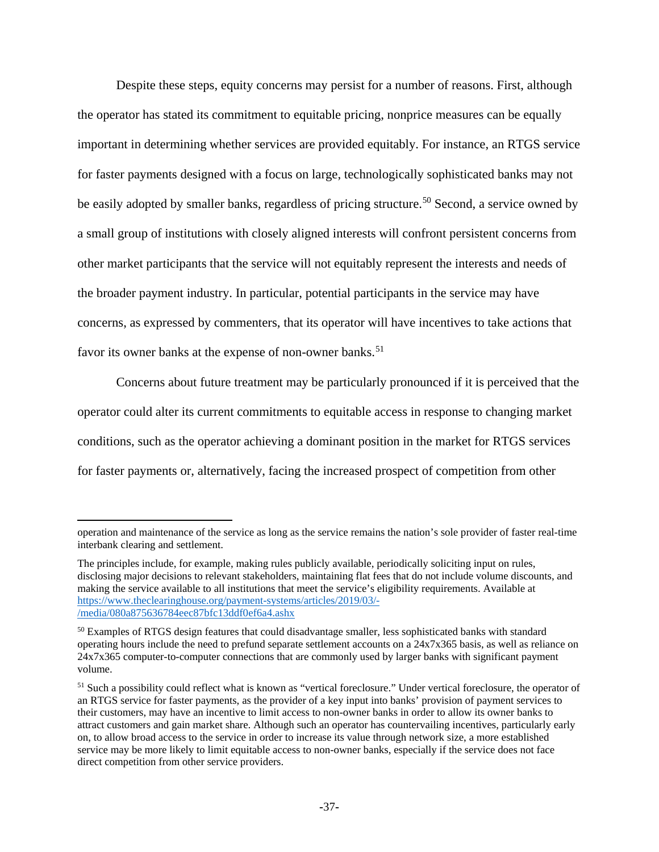Despite these steps, equity concerns may persist for a number of reasons. First, although the operator has stated its commitment to equitable pricing, nonprice measures can be equally important in determining whether services are provided equitably. For instance, an RTGS service for faster payments designed with a focus on large, technologically sophisticated banks may not be easily adopted by smaller banks, regardless of pricing structure.<sup>[50](#page-36-0)</sup> Second, a service owned by a small group of institutions with closely aligned interests will confront persistent concerns from other market participants that the service will not equitably represent the interests and needs of the broader payment industry. In particular, potential participants in the service may have concerns, as expressed by commenters, that its operator will have incentives to take actions that favor its owner banks at the expense of non-owner banks.<sup>[51](#page-36-1)</sup>

Concerns about future treatment may be particularly pronounced if it is perceived that the operator could alter its current commitments to equitable access in response to changing market conditions, such as the operator achieving a dominant position in the market for RTGS services for faster payments or, alternatively, facing the increased prospect of competition from other

 $\overline{a}$ 

operation and maintenance of the service as long as the service remains the nation's sole provider of faster real-time interbank clearing and settlement.

The principles include, for example, making rules publicly available, periodically soliciting input on rules, disclosing major decisions to relevant stakeholders, maintaining flat fees that do not include volume discounts, and making the service available to all institutions that meet the service's eligibility requirements. Available at [https://www.theclearinghouse.org/payment-systems/articles/2019/03/-](https://www.theclearinghouse.org/payment-systems/articles/2019/03/-/media/080a875636784eec87bfc13ddf0ef6a4.ashx) [/media/080a875636784eec87bfc13ddf0ef6a4.ashx](https://www.theclearinghouse.org/payment-systems/articles/2019/03/-/media/080a875636784eec87bfc13ddf0ef6a4.ashx)

<span id="page-36-0"></span><sup>&</sup>lt;sup>50</sup> Examples of RTGS design features that could disadvantage smaller, less sophisticated banks with standard operating hours include the need to prefund separate settlement accounts on a 24x7x365 basis, as well as reliance on 24x7x365 computer-to-computer connections that are commonly used by larger banks with significant payment volume.

<span id="page-36-1"></span><sup>51</sup> Such a possibility could reflect what is known as "vertical foreclosure." Under vertical foreclosure, the operator of an RTGS service for faster payments, as the provider of a key input into banks' provision of payment services to their customers, may have an incentive to limit access to non-owner banks in order to allow its owner banks to attract customers and gain market share. Although such an operator has countervailing incentives, particularly early on, to allow broad access to the service in order to increase its value through network size, a more established service may be more likely to limit equitable access to non-owner banks, especially if the service does not face direct competition from other service providers.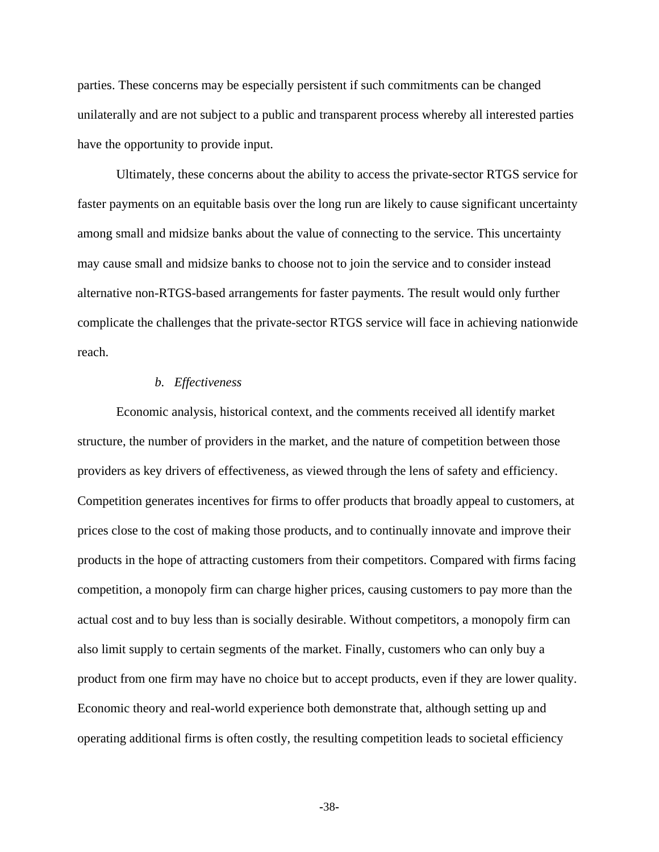parties. These concerns may be especially persistent if such commitments can be changed unilaterally and are not subject to a public and transparent process whereby all interested parties have the opportunity to provide input.

Ultimately, these concerns about the ability to access the private-sector RTGS service for faster payments on an equitable basis over the long run are likely to cause significant uncertainty among small and midsize banks about the value of connecting to the service. This uncertainty may cause small and midsize banks to choose not to join the service and to consider instead alternative non-RTGS-based arrangements for faster payments. The result would only further complicate the challenges that the private-sector RTGS service will face in achieving nationwide reach.

### *b. Effectiveness*

Economic analysis, historical context, and the comments received all identify market structure, the number of providers in the market, and the nature of competition between those providers as key drivers of effectiveness, as viewed through the lens of safety and efficiency. Competition generates incentives for firms to offer products that broadly appeal to customers, at prices close to the cost of making those products, and to continually innovate and improve their products in the hope of attracting customers from their competitors. Compared with firms facing competition, a monopoly firm can charge higher prices, causing customers to pay more than the actual cost and to buy less than is socially desirable. Without competitors, a monopoly firm can also limit supply to certain segments of the market. Finally, customers who can only buy a product from one firm may have no choice but to accept products, even if they are lower quality. Economic theory and real-world experience both demonstrate that, although setting up and operating additional firms is often costly, the resulting competition leads to societal efficiency

**-**38**-**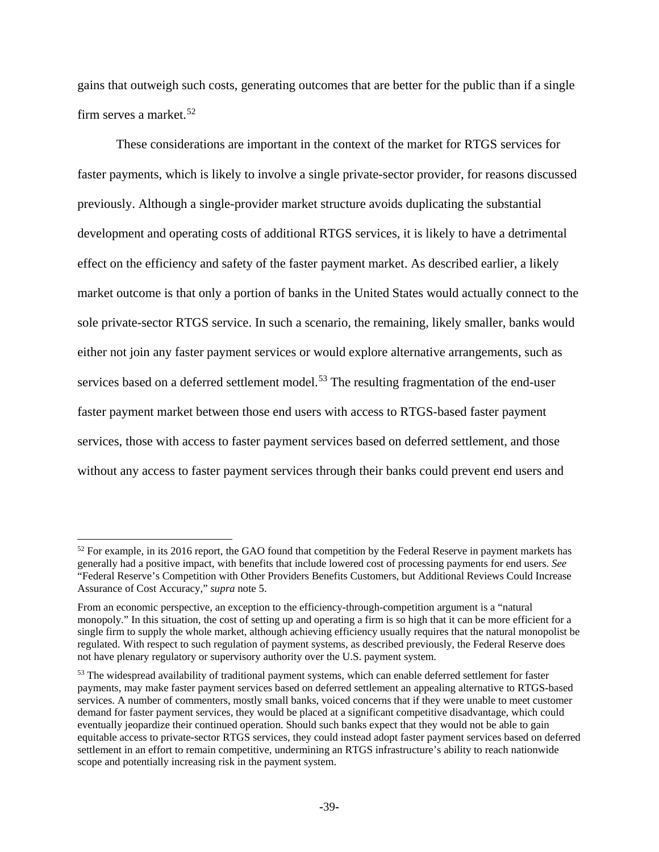gains that outweigh such costs, generating outcomes that are better for the public than if a single firm serves a market.<sup>[52](#page-38-0)</sup>

These considerations are important in the context of the market for RTGS services for faster payments, which is likely to involve a single private-sector provider, for reasons discussed previously. Although a single-provider market structure avoids duplicating the substantial development and operating costs of additional RTGS services, it is likely to have a detrimental effect on the efficiency and safety of the faster payment market. As described earlier, a likely market outcome is that only a portion of banks in the United States would actually connect to the sole private-sector RTGS service. In such a scenario, the remaining, likely smaller, banks would either not join any faster payment services or would explore alternative arrangements, such as services based on a deferred settlement model.<sup>[53](#page-38-1)</sup> The resulting fragmentation of the end-user faster payment market between those end users with access to RTGS-based faster payment services, those with access to faster payment services based on deferred settlement, and those without any access to faster payment services through their banks could prevent end users and

 $\overline{\phantom{a}}$ 

<span id="page-38-0"></span><sup>&</sup>lt;sup>52</sup> For example, in its 2016 report, the GAO found that competition by the Federal Reserve in payment markets has generally had a positive impact, with benefits that include lowered cost of processing payments for end users. *See*  "Federal Reserve's Competition with Other Providers Benefits Customers, but Additional Reviews Could Increase Assurance of Cost Accuracy," *supra* note 5.

From an economic perspective, an exception to the efficiency-through-competition argument is a "natural monopoly." In this situation, the cost of setting up and operating a firm is so high that it can be more efficient for a single firm to supply the whole market, although achieving efficiency usually requires that the natural monopolist be regulated. With respect to such regulation of payment systems, as described previously, the Federal Reserve does not have plenary regulatory or supervisory authority over the U.S. payment system.

<span id="page-38-1"></span><sup>53</sup> The widespread availability of traditional payment systems, which can enable deferred settlement for faster payments, may make faster payment services based on deferred settlement an appealing alternative to RTGS-based services. A number of commenters, mostly small banks, voiced concerns that if they were unable to meet customer demand for faster payment services, they would be placed at a significant competitive disadvantage, which could eventually jeopardize their continued operation. Should such banks expect that they would not be able to gain equitable access to private-sector RTGS services, they could instead adopt faster payment services based on deferred settlement in an effort to remain competitive, undermining an RTGS infrastructure's ability to reach nationwide scope and potentially increasing risk in the payment system.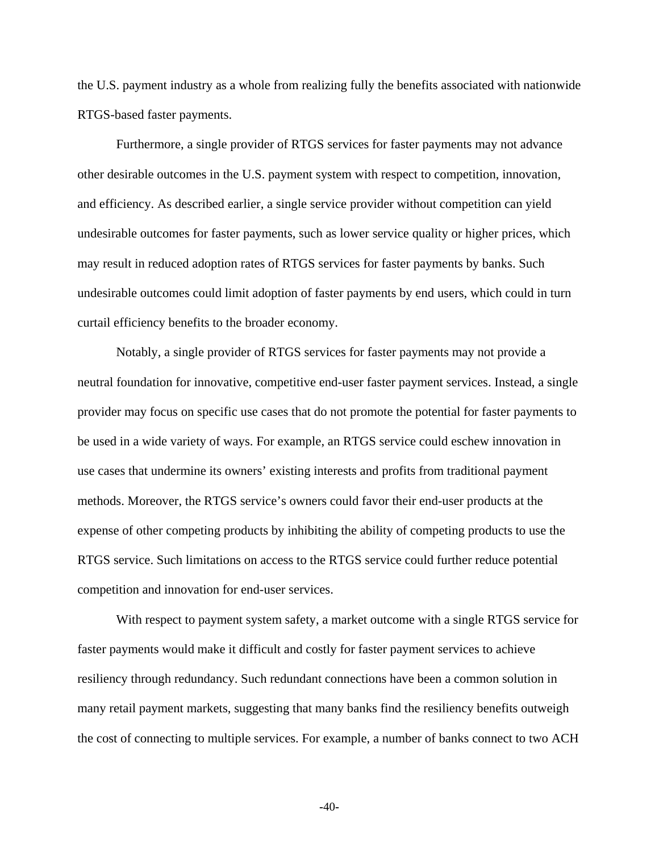the U.S. payment industry as a whole from realizing fully the benefits associated with nationwide RTGS-based faster payments.

Furthermore, a single provider of RTGS services for faster payments may not advance other desirable outcomes in the U.S. payment system with respect to competition, innovation, and efficiency. As described earlier, a single service provider without competition can yield undesirable outcomes for faster payments, such as lower service quality or higher prices, which may result in reduced adoption rates of RTGS services for faster payments by banks. Such undesirable outcomes could limit adoption of faster payments by end users, which could in turn curtail efficiency benefits to the broader economy.

Notably, a single provider of RTGS services for faster payments may not provide a neutral foundation for innovative, competitive end-user faster payment services. Instead, a single provider may focus on specific use cases that do not promote the potential for faster payments to be used in a wide variety of ways. For example, an RTGS service could eschew innovation in use cases that undermine its owners' existing interests and profits from traditional payment methods. Moreover, the RTGS service's owners could favor their end-user products at the expense of other competing products by inhibiting the ability of competing products to use the RTGS service. Such limitations on access to the RTGS service could further reduce potential competition and innovation for end-user services.

With respect to payment system safety, a market outcome with a single RTGS service for faster payments would make it difficult and costly for faster payment services to achieve resiliency through redundancy. Such redundant connections have been a common solution in many retail payment markets, suggesting that many banks find the resiliency benefits outweigh the cost of connecting to multiple services. For example, a number of banks connect to two ACH

**-**40**-**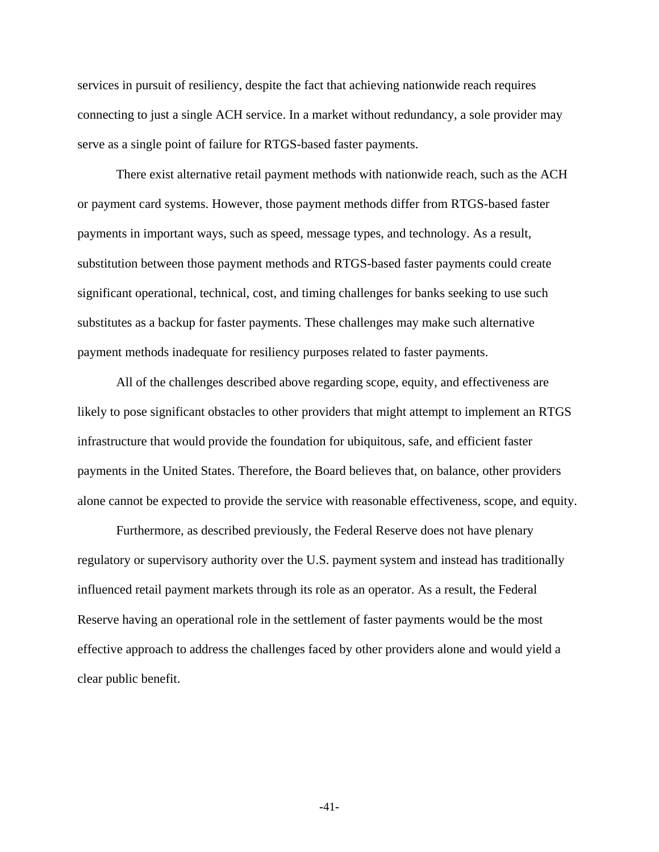services in pursuit of resiliency, despite the fact that achieving nationwide reach requires connecting to just a single ACH service. In a market without redundancy, a sole provider may serve as a single point of failure for RTGS-based faster payments.

There exist alternative retail payment methods with nationwide reach, such as the ACH or payment card systems. However, those payment methods differ from RTGS-based faster payments in important ways, such as speed, message types, and technology. As a result, substitution between those payment methods and RTGS-based faster payments could create significant operational, technical, cost, and timing challenges for banks seeking to use such substitutes as a backup for faster payments. These challenges may make such alternative payment methods inadequate for resiliency purposes related to faster payments.

All of the challenges described above regarding scope, equity, and effectiveness are likely to pose significant obstacles to other providers that might attempt to implement an RTGS infrastructure that would provide the foundation for ubiquitous, safe, and efficient faster payments in the United States. Therefore, the Board believes that, on balance, other providers alone cannot be expected to provide the service with reasonable effectiveness, scope, and equity.

Furthermore, as described previously, the Federal Reserve does not have plenary regulatory or supervisory authority over the U.S. payment system and instead has traditionally influenced retail payment markets through its role as an operator. As a result, the Federal Reserve having an operational role in the settlement of faster payments would be the most effective approach to address the challenges faced by other providers alone and would yield a clear public benefit.

**-**41**-**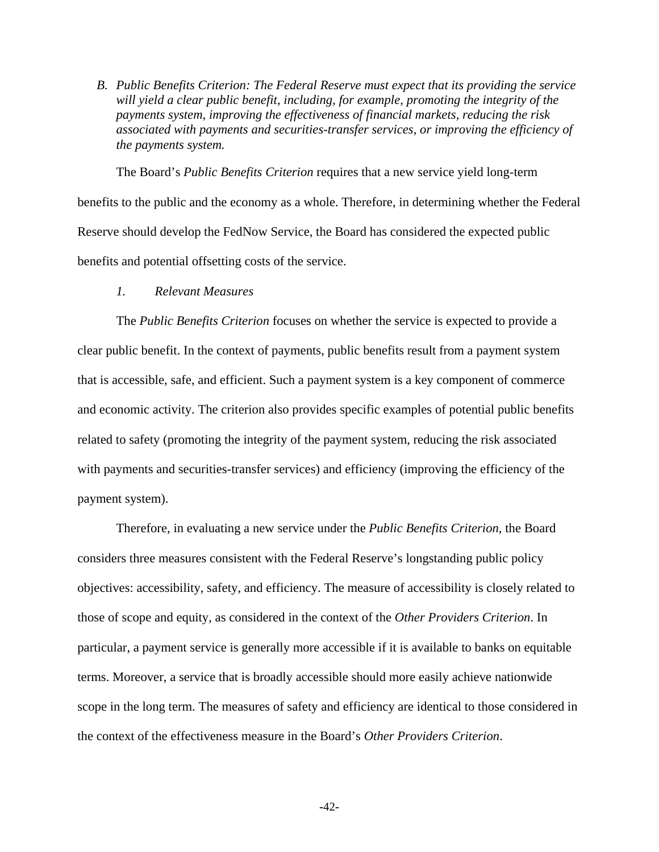*B. Public Benefits Criterion: The Federal Reserve must expect that its providing the service will yield a clear public benefit, including, for example, promoting the integrity of the payments system, improving the effectiveness of financial markets, reducing the risk associated with payments and securities-transfer services, or improving the efficiency of the payments system.*

The Board's *Public Benefits Criterion* requires that a new service yield long-term benefits to the public and the economy as a whole. Therefore, in determining whether the Federal Reserve should develop the FedNow Service, the Board has considered the expected public benefits and potential offsetting costs of the service.

*1. Relevant Measures*

The *Public Benefits Criterion* focuses on whether the service is expected to provide a clear public benefit. In the context of payments, public benefits result from a payment system that is accessible, safe, and efficient. Such a payment system is a key component of commerce and economic activity. The criterion also provides specific examples of potential public benefits related to safety (promoting the integrity of the payment system, reducing the risk associated with payments and securities-transfer services) and efficiency (improving the efficiency of the payment system).

Therefore, in evaluating a new service under the *Public Benefits Criterion*, the Board considers three measures consistent with the Federal Reserve's longstanding public policy objectives: accessibility, safety, and efficiency. The measure of accessibility is closely related to those of scope and equity, as considered in the context of the *Other Providers Criterion*. In particular, a payment service is generally more accessible if it is available to banks on equitable terms. Moreover, a service that is broadly accessible should more easily achieve nationwide scope in the long term. The measures of safety and efficiency are identical to those considered in the context of the effectiveness measure in the Board's *Other Providers Criterion*.

**-**42**-**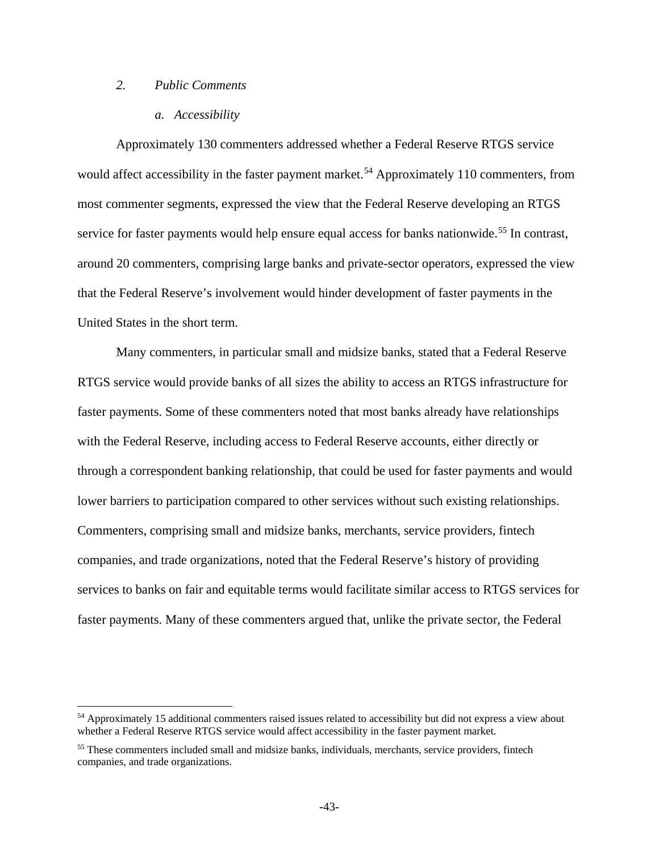## *2. Public Comments*

l

#### *a. Accessibility*

Approximately 130 commenters addressed whether a Federal Reserve RTGS service would affect accessibility in the faster payment market.<sup>[54](#page-42-0)</sup> Approximately 110 commenters, from most commenter segments, expressed the view that the Federal Reserve developing an RTGS service for faster payments would help ensure equal access for banks nationwide.<sup>[55](#page-42-1)</sup> In contrast, around 20 commenters, comprising large banks and private-sector operators, expressed the view that the Federal Reserve's involvement would hinder development of faster payments in the United States in the short term.

Many commenters, in particular small and midsize banks, stated that a Federal Reserve RTGS service would provide banks of all sizes the ability to access an RTGS infrastructure for faster payments. Some of these commenters noted that most banks already have relationships with the Federal Reserve, including access to Federal Reserve accounts, either directly or through a correspondent banking relationship, that could be used for faster payments and would lower barriers to participation compared to other services without such existing relationships. Commenters, comprising small and midsize banks, merchants, service providers, fintech companies, and trade organizations, noted that the Federal Reserve's history of providing services to banks on fair and equitable terms would facilitate similar access to RTGS services for faster payments. Many of these commenters argued that, unlike the private sector, the Federal

<span id="page-42-0"></span><sup>54</sup> Approximately 15 additional commenters raised issues related to accessibility but did not express a view about whether a Federal Reserve RTGS service would affect accessibility in the faster payment market.

<span id="page-42-1"></span><sup>&</sup>lt;sup>55</sup> These commenters included small and midsize banks, individuals, merchants, service providers, fintech companies, and trade organizations.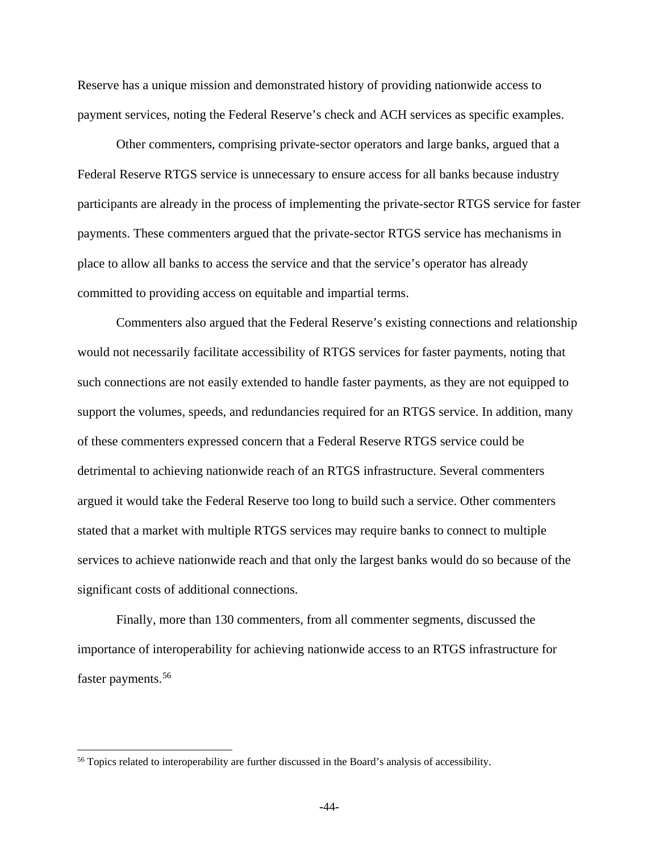Reserve has a unique mission and demonstrated history of providing nationwide access to payment services, noting the Federal Reserve's check and ACH services as specific examples.

Other commenters, comprising private-sector operators and large banks, argued that a Federal Reserve RTGS service is unnecessary to ensure access for all banks because industry participants are already in the process of implementing the private-sector RTGS service for faster payments. These commenters argued that the private-sector RTGS service has mechanisms in place to allow all banks to access the service and that the service's operator has already committed to providing access on equitable and impartial terms.

Commenters also argued that the Federal Reserve's existing connections and relationship would not necessarily facilitate accessibility of RTGS services for faster payments, noting that such connections are not easily extended to handle faster payments, as they are not equipped to support the volumes, speeds, and redundancies required for an RTGS service. In addition, many of these commenters expressed concern that a Federal Reserve RTGS service could be detrimental to achieving nationwide reach of an RTGS infrastructure. Several commenters argued it would take the Federal Reserve too long to build such a service. Other commenters stated that a market with multiple RTGS services may require banks to connect to multiple services to achieve nationwide reach and that only the largest banks would do so because of the significant costs of additional connections.

Finally, more than 130 commenters, from all commenter segments, discussed the importance of interoperability for achieving nationwide access to an RTGS infrastructure for faster payments.<sup>[56](#page-43-0)</sup>

l

<span id="page-43-0"></span><sup>56</sup> Topics related to interoperability are further discussed in the Board's analysis of accessibility.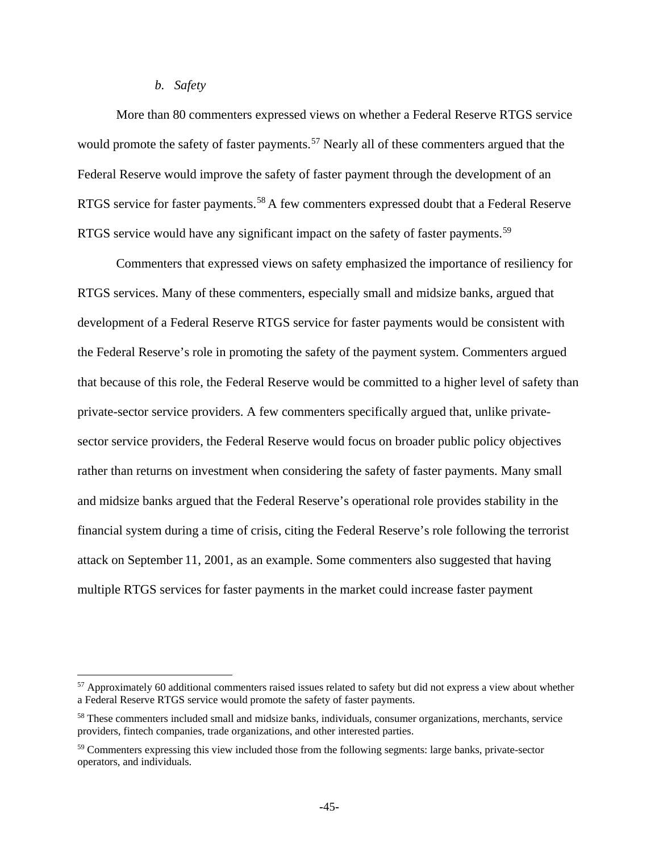## *b. Safety*

 $\overline{a}$ 

More than 80 commenters expressed views on whether a Federal Reserve RTGS service would promote the safety of faster payments.<sup>[57](#page-44-0)</sup> Nearly all of these commenters argued that the Federal Reserve would improve the safety of faster payment through the development of an RTGS service for faster payments.<sup>[58](#page-44-1)</sup> A few commenters expressed doubt that a Federal Reserve RTGS service would have any significant impact on the safety of faster payments.<sup>[59](#page-44-2)</sup>

Commenters that expressed views on safety emphasized the importance of resiliency for RTGS services. Many of these commenters, especially small and midsize banks, argued that development of a Federal Reserve RTGS service for faster payments would be consistent with the Federal Reserve's role in promoting the safety of the payment system. Commenters argued that because of this role, the Federal Reserve would be committed to a higher level of safety than private-sector service providers. A few commenters specifically argued that, unlike privatesector service providers, the Federal Reserve would focus on broader public policy objectives rather than returns on investment when considering the safety of faster payments. Many small and midsize banks argued that the Federal Reserve's operational role provides stability in the financial system during a time of crisis, citing the Federal Reserve's role following the terrorist attack on September 11, 2001, as an example. Some commenters also suggested that having multiple RTGS services for faster payments in the market could increase faster payment

<span id="page-44-0"></span> $57$  Approximately 60 additional commenters raised issues related to safety but did not express a view about whether a Federal Reserve RTGS service would promote the safety of faster payments.

<span id="page-44-1"></span><sup>58</sup> These commenters included small and midsize banks, individuals, consumer organizations, merchants, service providers, fintech companies, trade organizations, and other interested parties.

<span id="page-44-2"></span><sup>59</sup> Commenters expressing this view included those from the following segments: large banks, private-sector operators, and individuals.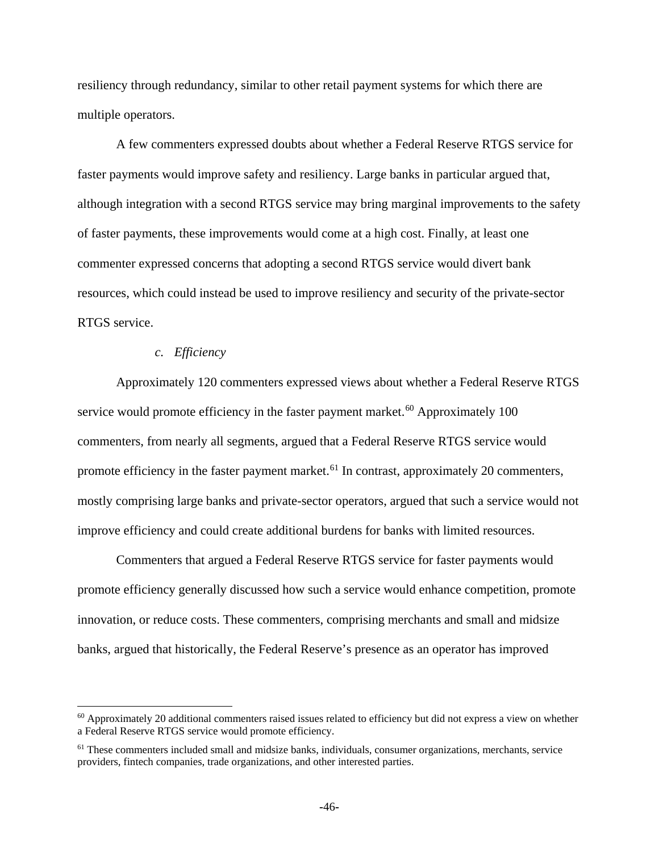resiliency through redundancy, similar to other retail payment systems for which there are multiple operators.

A few commenters expressed doubts about whether a Federal Reserve RTGS service for faster payments would improve safety and resiliency. Large banks in particular argued that, although integration with a second RTGS service may bring marginal improvements to the safety of faster payments, these improvements would come at a high cost. Finally, at least one commenter expressed concerns that adopting a second RTGS service would divert bank resources, which could instead be used to improve resiliency and security of the private-sector RTGS service.

### *c. Efficiency*

l

Approximately 120 commenters expressed views about whether a Federal Reserve RTGS service would promote efficiency in the faster payment market. $60$  Approximately 100 commenters, from nearly all segments, argued that a Federal Reserve RTGS service would promote efficiency in the faster payment market.<sup>[61](#page-45-1)</sup> In contrast, approximately 20 commenters, mostly comprising large banks and private-sector operators, argued that such a service would not improve efficiency and could create additional burdens for banks with limited resources.

Commenters that argued a Federal Reserve RTGS service for faster payments would promote efficiency generally discussed how such a service would enhance competition, promote innovation, or reduce costs. These commenters, comprising merchants and small and midsize banks, argued that historically, the Federal Reserve's presence as an operator has improved

<span id="page-45-0"></span> $60$  Approximately 20 additional commenters raised issues related to efficiency but did not express a view on whether a Federal Reserve RTGS service would promote efficiency.

<span id="page-45-1"></span><sup>&</sup>lt;sup>61</sup> These commenters included small and midsize banks, individuals, consumer organizations, merchants, service providers, fintech companies, trade organizations, and other interested parties.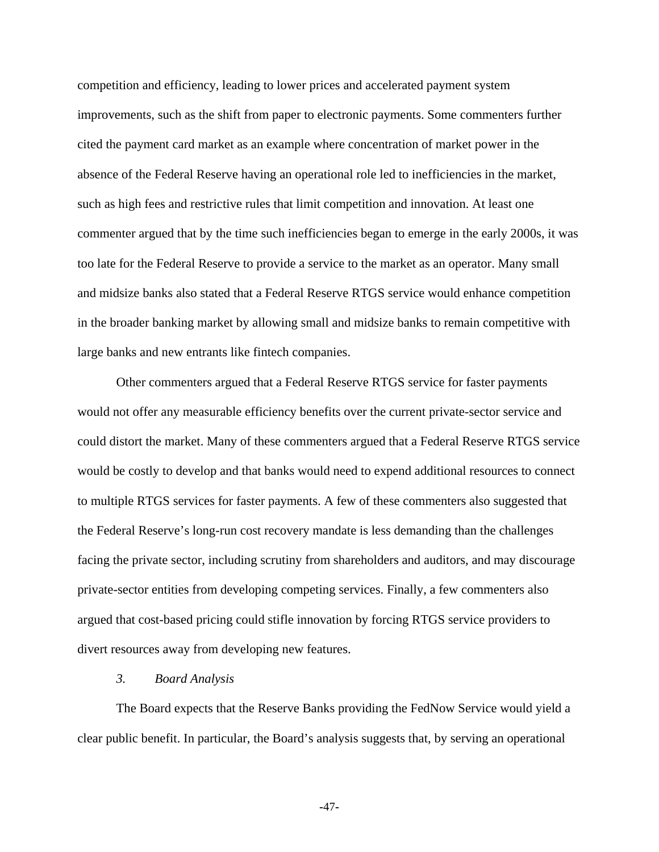competition and efficiency, leading to lower prices and accelerated payment system improvements, such as the shift from paper to electronic payments. Some commenters further cited the payment card market as an example where concentration of market power in the absence of the Federal Reserve having an operational role led to inefficiencies in the market, such as high fees and restrictive rules that limit competition and innovation. At least one commenter argued that by the time such inefficiencies began to emerge in the early 2000s, it was too late for the Federal Reserve to provide a service to the market as an operator. Many small and midsize banks also stated that a Federal Reserve RTGS service would enhance competition in the broader banking market by allowing small and midsize banks to remain competitive with large banks and new entrants like fintech companies.

Other commenters argued that a Federal Reserve RTGS service for faster payments would not offer any measurable efficiency benefits over the current private-sector service and could distort the market. Many of these commenters argued that a Federal Reserve RTGS service would be costly to develop and that banks would need to expend additional resources to connect to multiple RTGS services for faster payments. A few of these commenters also suggested that the Federal Reserve's long-run cost recovery mandate is less demanding than the challenges facing the private sector, including scrutiny from shareholders and auditors, and may discourage private-sector entities from developing competing services. Finally, a few commenters also argued that cost-based pricing could stifle innovation by forcing RTGS service providers to divert resources away from developing new features.

#### *3. Board Analysis*

The Board expects that the Reserve Banks providing the FedNow Service would yield a clear public benefit. In particular, the Board's analysis suggests that, by serving an operational

**-**47**-**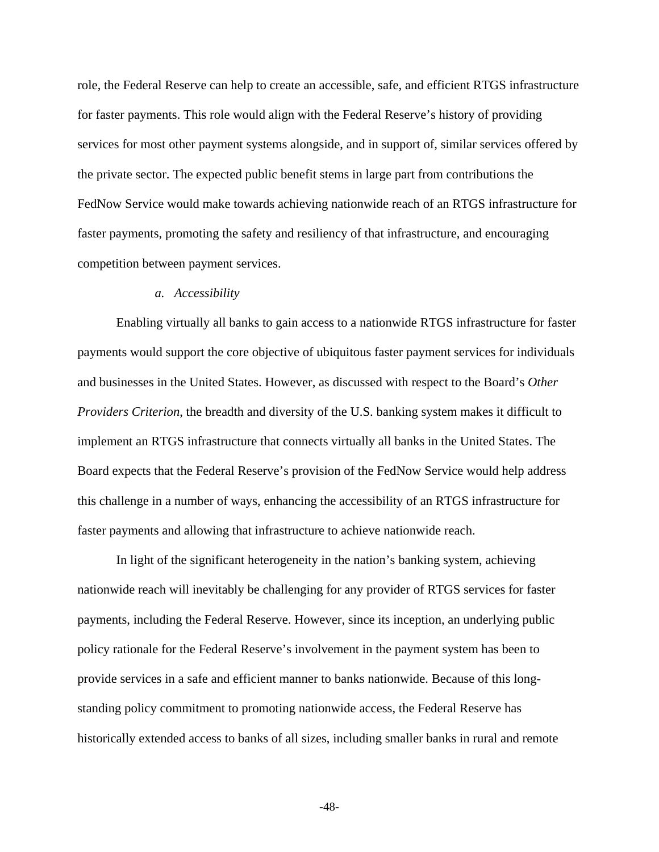role, the Federal Reserve can help to create an accessible, safe, and efficient RTGS infrastructure for faster payments. This role would align with the Federal Reserve's history of providing services for most other payment systems alongside, and in support of, similar services offered by the private sector. The expected public benefit stems in large part from contributions the FedNow Service would make towards achieving nationwide reach of an RTGS infrastructure for faster payments, promoting the safety and resiliency of that infrastructure, and encouraging competition between payment services.

### *a. Accessibility*

Enabling virtually all banks to gain access to a nationwide RTGS infrastructure for faster payments would support the core objective of ubiquitous faster payment services for individuals and businesses in the United States. However, as discussed with respect to the Board's *Other Providers Criterion*, the breadth and diversity of the U.S. banking system makes it difficult to implement an RTGS infrastructure that connects virtually all banks in the United States. The Board expects that the Federal Reserve's provision of the FedNow Service would help address this challenge in a number of ways, enhancing the accessibility of an RTGS infrastructure for faster payments and allowing that infrastructure to achieve nationwide reach.

In light of the significant heterogeneity in the nation's banking system, achieving nationwide reach will inevitably be challenging for any provider of RTGS services for faster payments, including the Federal Reserve. However, since its inception, an underlying public policy rationale for the Federal Reserve's involvement in the payment system has been to provide services in a safe and efficient manner to banks nationwide. Because of this longstanding policy commitment to promoting nationwide access, the Federal Reserve has historically extended access to banks of all sizes, including smaller banks in rural and remote

**-**48**-**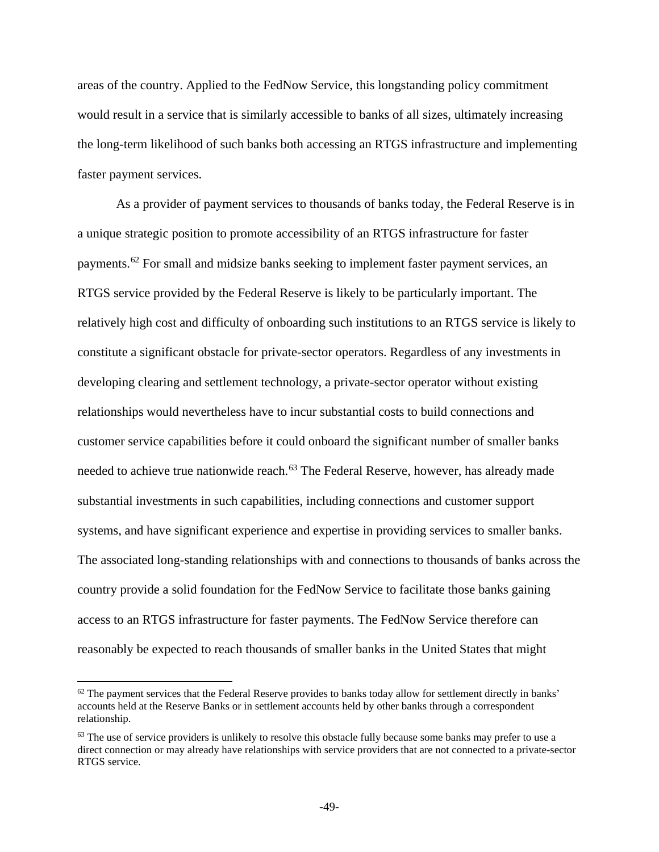areas of the country. Applied to the FedNow Service, this longstanding policy commitment would result in a service that is similarly accessible to banks of all sizes, ultimately increasing the long-term likelihood of such banks both accessing an RTGS infrastructure and implementing faster payment services.

As a provider of payment services to thousands of banks today, the Federal Reserve is in a unique strategic position to promote accessibility of an RTGS infrastructure for faster payments.[62](#page-48-0) For small and midsize banks seeking to implement faster payment services, an RTGS service provided by the Federal Reserve is likely to be particularly important. The relatively high cost and difficulty of onboarding such institutions to an RTGS service is likely to constitute a significant obstacle for private-sector operators. Regardless of any investments in developing clearing and settlement technology, a private-sector operator without existing relationships would nevertheless have to incur substantial costs to build connections and customer service capabilities before it could onboard the significant number of smaller banks needed to achieve true nationwide reach.<sup>[63](#page-48-1)</sup> The Federal Reserve, however, has already made substantial investments in such capabilities, including connections and customer support systems, and have significant experience and expertise in providing services to smaller banks. The associated long-standing relationships with and connections to thousands of banks across the country provide a solid foundation for the FedNow Service to facilitate those banks gaining access to an RTGS infrastructure for faster payments. The FedNow Service therefore can reasonably be expected to reach thousands of smaller banks in the United States that might

 $\overline{a}$ 

<span id="page-48-0"></span> $62$  The payment services that the Federal Reserve provides to banks today allow for settlement directly in banks' accounts held at the Reserve Banks or in settlement accounts held by other banks through a correspondent relationship.

<span id="page-48-1"></span> $63$  The use of service providers is unlikely to resolve this obstacle fully because some banks may prefer to use a direct connection or may already have relationships with service providers that are not connected to a private-sector RTGS service.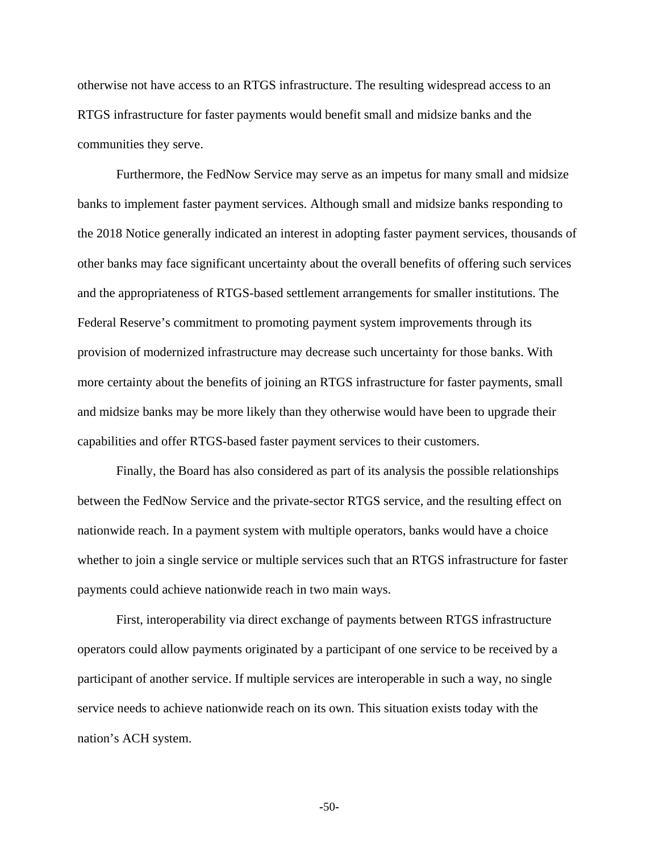otherwise not have access to an RTGS infrastructure. The resulting widespread access to an RTGS infrastructure for faster payments would benefit small and midsize banks and the communities they serve.

Furthermore, the FedNow Service may serve as an impetus for many small and midsize banks to implement faster payment services. Although small and midsize banks responding to the 2018 Notice generally indicated an interest in adopting faster payment services, thousands of other banks may face significant uncertainty about the overall benefits of offering such services and the appropriateness of RTGS-based settlement arrangements for smaller institutions. The Federal Reserve's commitment to promoting payment system improvements through its provision of modernized infrastructure may decrease such uncertainty for those banks. With more certainty about the benefits of joining an RTGS infrastructure for faster payments, small and midsize banks may be more likely than they otherwise would have been to upgrade their capabilities and offer RTGS-based faster payment services to their customers.

Finally, the Board has also considered as part of its analysis the possible relationships between the FedNow Service and the private-sector RTGS service, and the resulting effect on nationwide reach. In a payment system with multiple operators, banks would have a choice whether to join a single service or multiple services such that an RTGS infrastructure for faster payments could achieve nationwide reach in two main ways.

First, interoperability via direct exchange of payments between RTGS infrastructure operators could allow payments originated by a participant of one service to be received by a participant of another service. If multiple services are interoperable in such a way, no single service needs to achieve nationwide reach on its own. This situation exists today with the nation's ACH system.

**-**50**-**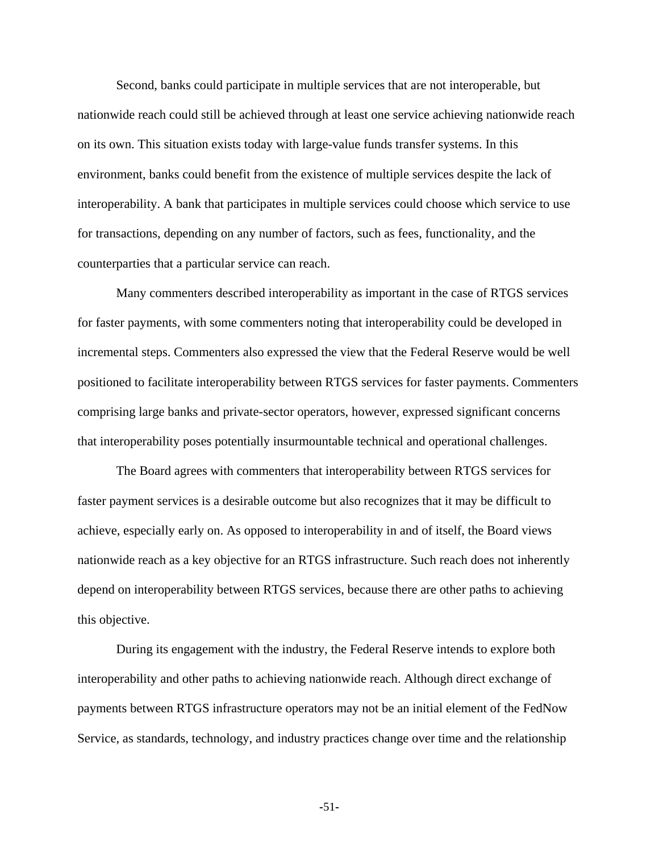Second, banks could participate in multiple services that are not interoperable, but nationwide reach could still be achieved through at least one service achieving nationwide reach on its own. This situation exists today with large-value funds transfer systems. In this environment, banks could benefit from the existence of multiple services despite the lack of interoperability. A bank that participates in multiple services could choose which service to use for transactions, depending on any number of factors, such as fees, functionality, and the counterparties that a particular service can reach.

Many commenters described interoperability as important in the case of RTGS services for faster payments, with some commenters noting that interoperability could be developed in incremental steps. Commenters also expressed the view that the Federal Reserve would be well positioned to facilitate interoperability between RTGS services for faster payments. Commenters comprising large banks and private-sector operators, however, expressed significant concerns that interoperability poses potentially insurmountable technical and operational challenges.

The Board agrees with commenters that interoperability between RTGS services for faster payment services is a desirable outcome but also recognizes that it may be difficult to achieve, especially early on. As opposed to interoperability in and of itself, the Board views nationwide reach as a key objective for an RTGS infrastructure. Such reach does not inherently depend on interoperability between RTGS services, because there are other paths to achieving this objective.

During its engagement with the industry, the Federal Reserve intends to explore both interoperability and other paths to achieving nationwide reach. Although direct exchange of payments between RTGS infrastructure operators may not be an initial element of the FedNow Service, as standards, technology, and industry practices change over time and the relationship

**-**51**-**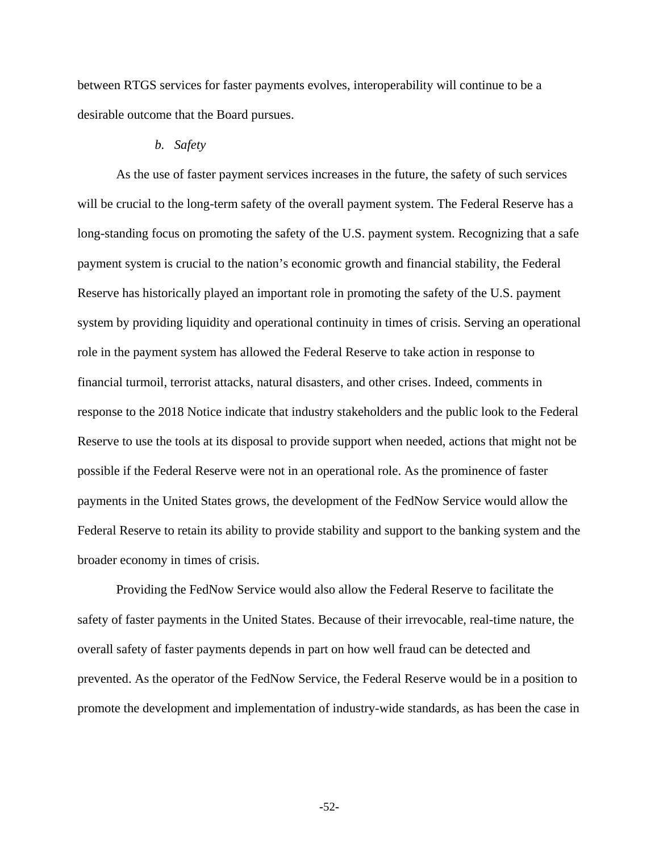between RTGS services for faster payments evolves, interoperability will continue to be a desirable outcome that the Board pursues.

## *b. Safety*

As the use of faster payment services increases in the future, the safety of such services will be crucial to the long-term safety of the overall payment system. The Federal Reserve has a long-standing focus on promoting the safety of the U.S. payment system. Recognizing that a safe payment system is crucial to the nation's economic growth and financial stability, the Federal Reserve has historically played an important role in promoting the safety of the U.S. payment system by providing liquidity and operational continuity in times of crisis. Serving an operational role in the payment system has allowed the Federal Reserve to take action in response to financial turmoil, terrorist attacks, natural disasters, and other crises. Indeed, comments in response to the 2018 Notice indicate that industry stakeholders and the public look to the Federal Reserve to use the tools at its disposal to provide support when needed, actions that might not be possible if the Federal Reserve were not in an operational role. As the prominence of faster payments in the United States grows, the development of the FedNow Service would allow the Federal Reserve to retain its ability to provide stability and support to the banking system and the broader economy in times of crisis.

Providing the FedNow Service would also allow the Federal Reserve to facilitate the safety of faster payments in the United States. Because of their irrevocable, real-time nature, the overall safety of faster payments depends in part on how well fraud can be detected and prevented. As the operator of the FedNow Service, the Federal Reserve would be in a position to promote the development and implementation of industry-wide standards, as has been the case in

**-**52**-**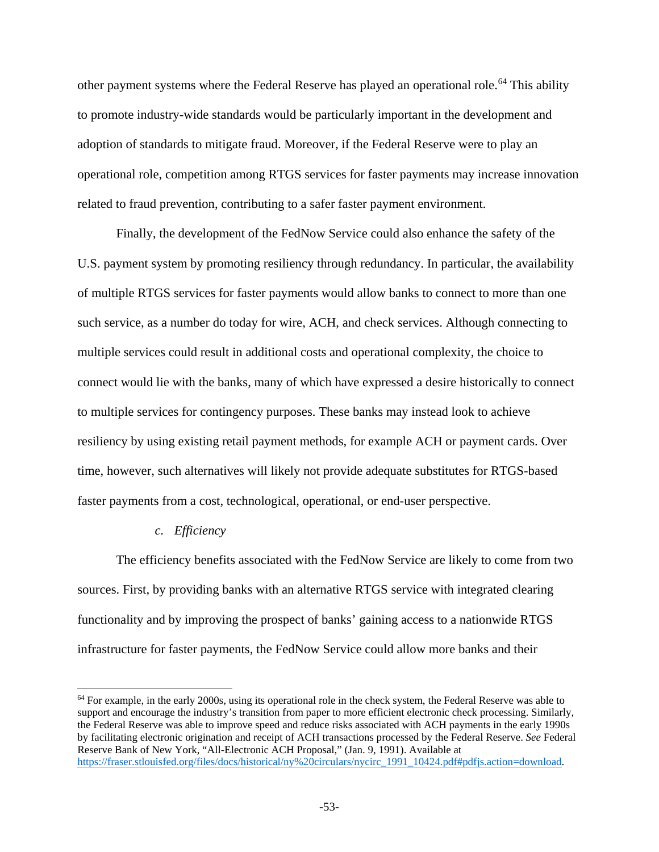other payment systems where the Federal Reserve has played an operational role.<sup>[64](#page-52-0)</sup> This ability to promote industry-wide standards would be particularly important in the development and adoption of standards to mitigate fraud. Moreover, if the Federal Reserve were to play an operational role, competition among RTGS services for faster payments may increase innovation related to fraud prevention, contributing to a safer faster payment environment.

Finally, the development of the FedNow Service could also enhance the safety of the U.S. payment system by promoting resiliency through redundancy. In particular, the availability of multiple RTGS services for faster payments would allow banks to connect to more than one such service, as a number do today for wire, ACH, and check services. Although connecting to multiple services could result in additional costs and operational complexity, the choice to connect would lie with the banks, many of which have expressed a desire historically to connect to multiple services for contingency purposes. These banks may instead look to achieve resiliency by using existing retail payment methods, for example ACH or payment cards. Over time, however, such alternatives will likely not provide adequate substitutes for RTGS-based faster payments from a cost, technological, operational, or end-user perspective.

### *c. Efficiency*

 $\overline{a}$ 

The efficiency benefits associated with the FedNow Service are likely to come from two sources. First, by providing banks with an alternative RTGS service with integrated clearing functionality and by improving the prospect of banks' gaining access to a nationwide RTGS infrastructure for faster payments, the FedNow Service could allow more banks and their

<span id="page-52-0"></span> $64$  For example, in the early 2000s, using its operational role in the check system, the Federal Reserve was able to support and encourage the industry's transition from paper to more efficient electronic check processing. Similarly, the Federal Reserve was able to improve speed and reduce risks associated with ACH payments in the early 1990s by facilitating electronic origination and receipt of ACH transactions processed by the Federal Reserve. *See* Federal Reserve Bank of New York, "All-Electronic ACH Proposal," (Jan. 9, 1991). Available at [https://fraser.stlouisfed.org/files/docs/historical/ny%20circulars/nycirc\\_1991\\_10424.pdf#pdfjs.action=download.](https://fraser.stlouisfed.org/files/docs/historical/ny%20circulars/nycirc_1991_10424.pdf#pdfjs.action=download)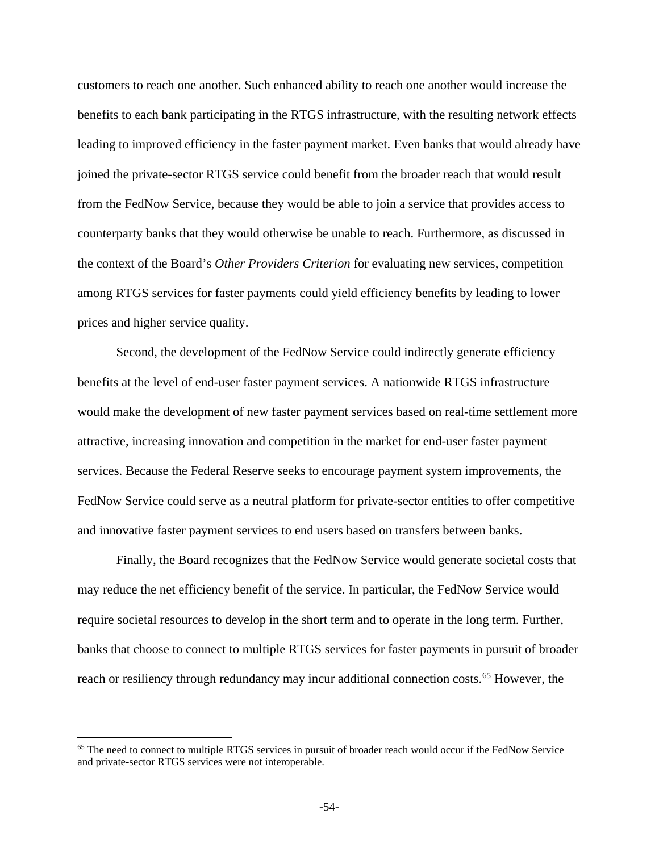customers to reach one another. Such enhanced ability to reach one another would increase the benefits to each bank participating in the RTGS infrastructure, with the resulting network effects leading to improved efficiency in the faster payment market. Even banks that would already have joined the private-sector RTGS service could benefit from the broader reach that would result from the FedNow Service, because they would be able to join a service that provides access to counterparty banks that they would otherwise be unable to reach. Furthermore, as discussed in the context of the Board's *Other Providers Criterion* for evaluating new services, competition among RTGS services for faster payments could yield efficiency benefits by leading to lower prices and higher service quality.

Second, the development of the FedNow Service could indirectly generate efficiency benefits at the level of end-user faster payment services. A nationwide RTGS infrastructure would make the development of new faster payment services based on real-time settlement more attractive, increasing innovation and competition in the market for end-user faster payment services. Because the Federal Reserve seeks to encourage payment system improvements, the FedNow Service could serve as a neutral platform for private-sector entities to offer competitive and innovative faster payment services to end users based on transfers between banks.

Finally, the Board recognizes that the FedNow Service would generate societal costs that may reduce the net efficiency benefit of the service. In particular, the FedNow Service would require societal resources to develop in the short term and to operate in the long term. Further, banks that choose to connect to multiple RTGS services for faster payments in pursuit of broader reach or resiliency through redundancy may incur additional connection costs.<sup>[65](#page-53-0)</sup> However, the

 $\overline{\phantom{a}}$ 

<span id="page-53-0"></span><sup>&</sup>lt;sup>65</sup> The need to connect to multiple RTGS services in pursuit of broader reach would occur if the FedNow Service and private-sector RTGS services were not interoperable.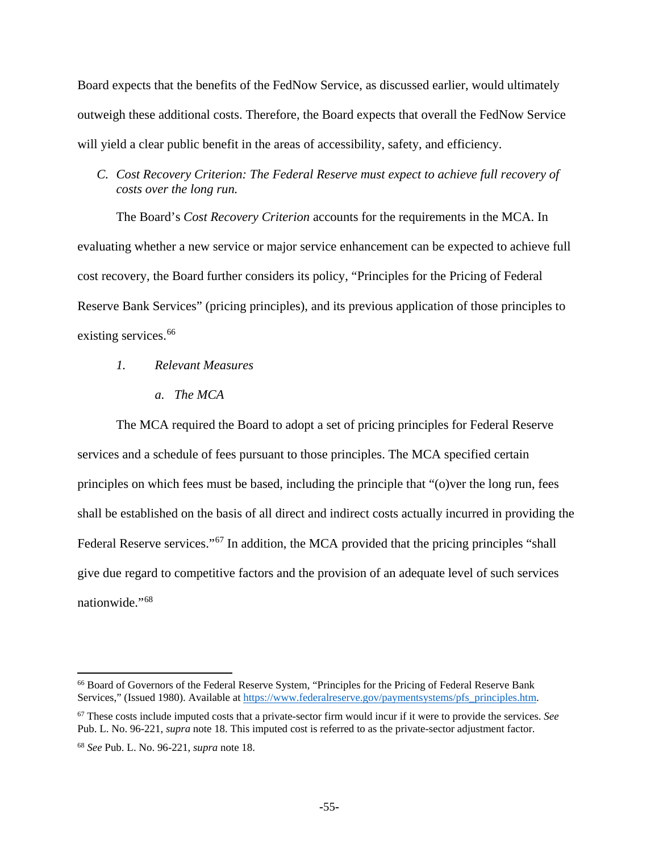Board expects that the benefits of the FedNow Service, as discussed earlier, would ultimately outweigh these additional costs. Therefore, the Board expects that overall the FedNow Service will yield a clear public benefit in the areas of accessibility, safety, and efficiency.

# *C. Cost Recovery Criterion: The Federal Reserve must expect to achieve full recovery of costs over the long run.*

The Board's *Cost Recovery Criterion* accounts for the requirements in the MCA. In evaluating whether a new service or major service enhancement can be expected to achieve full cost recovery, the Board further considers its policy, "Principles for the Pricing of Federal Reserve Bank Services" (pricing principles), and its previous application of those principles to existing services.<sup>[66](#page-54-0)</sup>

## *1. Relevant Measures*

*a. The MCA*

The MCA required the Board to adopt a set of pricing principles for Federal Reserve services and a schedule of fees pursuant to those principles. The MCA specified certain principles on which fees must be based, including the principle that "(o)ver the long run, fees shall be established on the basis of all direct and indirect costs actually incurred in providing the Federal Reserve services."<sup>[67](#page-54-1)</sup> In addition, the MCA provided that the pricing principles "shall give due regard to competitive factors and the provision of an adequate level of such services nationwide."[68](#page-54-2)

 $\overline{a}$ 

<span id="page-54-0"></span><sup>66</sup> Board of Governors of the Federal Reserve System, "Principles for the Pricing of Federal Reserve Bank Services," (Issued 1980). Available at [https://www.federalreserve.gov/paymentsystems/pfs\\_principles.htm.](https://www.federalreserve.gov/paymentsystems/pfs_principles.htm)

<span id="page-54-1"></span><sup>67</sup> These costs include imputed costs that a private-sector firm would incur if it were to provide the services. *See*  Pub. L. No. 96-221, *supra* note 18. This imputed cost is referred to as the private-sector adjustment factor.

<span id="page-54-2"></span><sup>68</sup> *See* Pub. L. No. 96-221, *supra* note 18.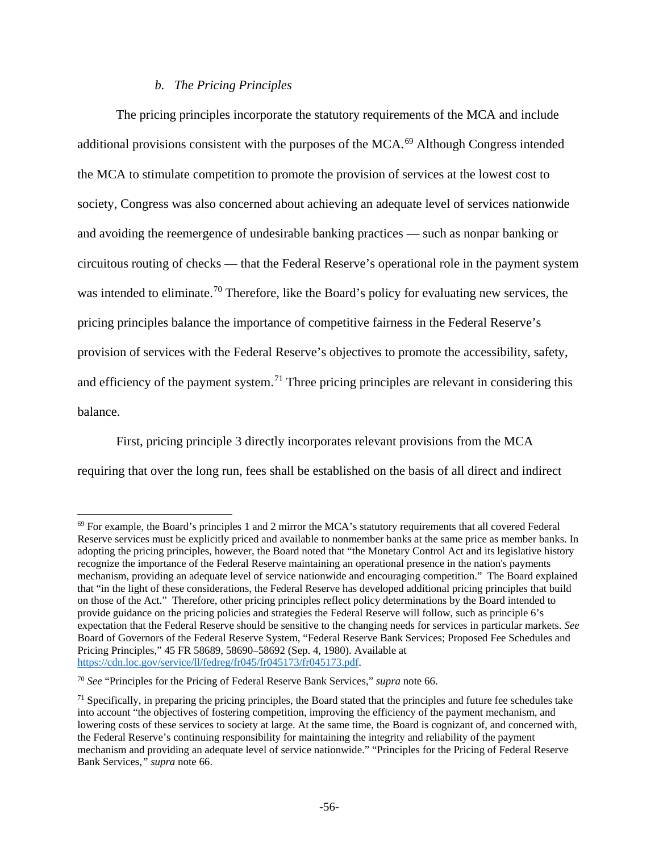## *b. The Pricing Principles*

The pricing principles incorporate the statutory requirements of the MCA and include additional provisions consistent with the purposes of the MCA.<sup>[69](#page-55-0)</sup> Although Congress intended the MCA to stimulate competition to promote the provision of services at the lowest cost to society, Congress was also concerned about achieving an adequate level of services nationwide and avoiding the reemergence of undesirable banking practices — such as nonpar banking or circuitous routing of checks — that the Federal Reserve's operational role in the payment system was intended to eliminate.<sup>[70](#page-55-1)</sup> Therefore, like the Board's policy for evaluating new services, the pricing principles balance the importance of competitive fairness in the Federal Reserve's provision of services with the Federal Reserve's objectives to promote the accessibility, safety, and efficiency of the payment system.<sup>[71](#page-55-2)</sup> Three pricing principles are relevant in considering this balance.

First, pricing principle 3 directly incorporates relevant provisions from the MCA requiring that over the long run, fees shall be established on the basis of all direct and indirect

 $\overline{\phantom{a}}$ 

<span id="page-55-0"></span><sup>&</sup>lt;sup>69</sup> For example, the Board's principles 1 and 2 mirror the MCA's statutory requirements that all covered Federal Reserve services must be explicitly priced and available to nonmember banks at the same price as member banks. In adopting the pricing principles, however, the Board noted that "the Monetary Control Act and its legislative history recognize the importance of the Federal Reserve maintaining an operational presence in the nation's payments mechanism, providing an adequate level of service nationwide and encouraging competition." The Board explained that "in the light of these considerations, the Federal Reserve has developed additional pricing principles that build on those of the Act." Therefore, other pricing principles reflect policy determinations by the Board intended to provide guidance on the pricing policies and strategies the Federal Reserve will follow, such as principle 6's expectation that the Federal Reserve should be sensitive to the changing needs for services in particular markets. *See* Board of Governors of the Federal Reserve System, "Federal Reserve Bank Services; Proposed Fee Schedules and Pricing Principles," 45 FR 58689, 58690–58692 (Sep. 4, 1980). Available at [https://cdn.loc.gov/service/ll/fedreg/fr045/fr045173/fr045173.pdf.](https://cdn.loc.gov/service/ll/fedreg/fr045/fr045173/fr045173.pdf) 

<span id="page-55-1"></span><sup>70</sup> *See* "Principles for the Pricing of Federal Reserve Bank Services," *supra* note 66.

<span id="page-55-2"></span> $<sup>71</sup>$  Specifically, in preparing the pricing principles, the Board stated that the principles and future fee schedules take</sup> into account "the objectives of fostering competition, improving the efficiency of the payment mechanism, and lowering costs of these services to society at large. At the same time, the Board is cognizant of, and concerned with, the Federal Reserve's continuing responsibility for maintaining the integrity and reliability of the payment mechanism and providing an adequate level of service nationwide." "Principles for the Pricing of Federal Reserve Bank Services*," supra* note 66.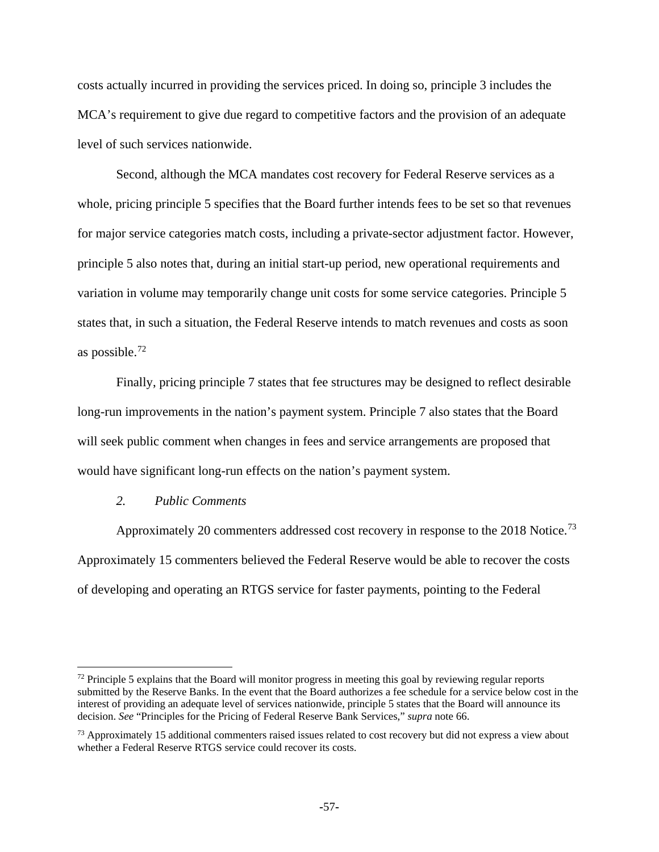costs actually incurred in providing the services priced. In doing so, principle 3 includes the MCA's requirement to give due regard to competitive factors and the provision of an adequate level of such services nationwide.

Second, although the MCA mandates cost recovery for Federal Reserve services as a whole, pricing principle 5 specifies that the Board further intends fees to be set so that revenues for major service categories match costs, including a private-sector adjustment factor. However, principle 5 also notes that, during an initial start-up period, new operational requirements and variation in volume may temporarily change unit costs for some service categories. Principle 5 states that, in such a situation, the Federal Reserve intends to match revenues and costs as soon as possible.[72](#page-56-0)

Finally, pricing principle 7 states that fee structures may be designed to reflect desirable long-run improvements in the nation's payment system. Principle 7 also states that the Board will seek public comment when changes in fees and service arrangements are proposed that would have significant long-run effects on the nation's payment system.

### *2. Public Comments*

l

Approximately 20 commenters addressed cost recovery in response to the 2018 Notice.<sup>[73](#page-56-1)</sup> Approximately 15 commenters believed the Federal Reserve would be able to recover the costs of developing and operating an RTGS service for faster payments, pointing to the Federal

<span id="page-56-0"></span> $72$  Principle 5 explains that the Board will monitor progress in meeting this goal by reviewing regular reports submitted by the Reserve Banks. In the event that the Board authorizes a fee schedule for a service below cost in the interest of providing an adequate level of services nationwide, principle 5 states that the Board will announce its decision. *See* "Principles for the Pricing of Federal Reserve Bank Services," *supra* note 66.

<span id="page-56-1"></span><sup>&</sup>lt;sup>73</sup> Approximately 15 additional commenters raised issues related to cost recovery but did not express a view about whether a Federal Reserve RTGS service could recover its costs.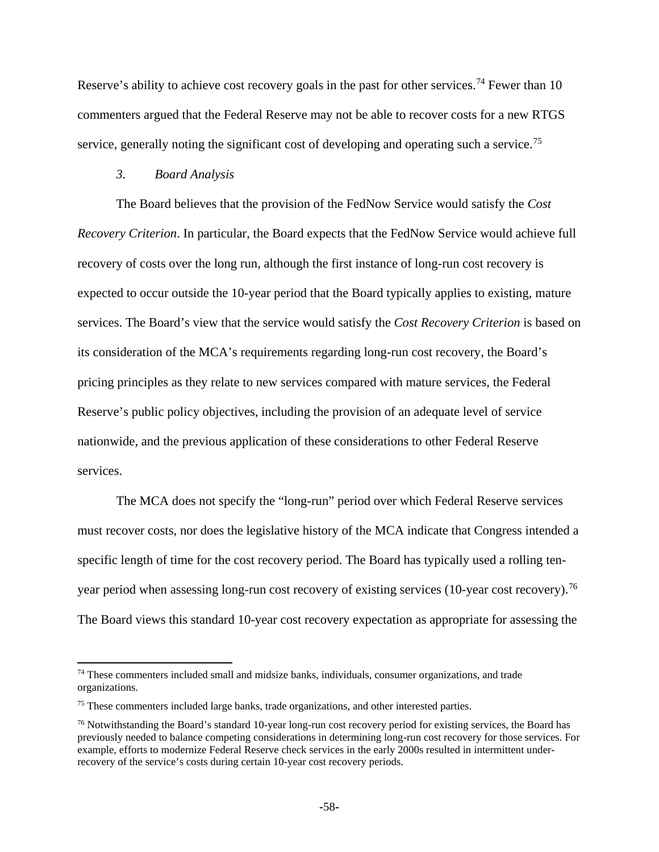Reserve's ability to achieve cost recovery goals in the past for other services.<sup>[74](#page-57-0)</sup> Fewer than 10 commenters argued that the Federal Reserve may not be able to recover costs for a new RTGS service, generally noting the significant cost of developing and operating such a service.<sup>[75](#page-57-1)</sup>

### *3. Board Analysis*

l

The Board believes that the provision of the FedNow Service would satisfy the *Cost Recovery Criterion*. In particular, the Board expects that the FedNow Service would achieve full recovery of costs over the long run, although the first instance of long-run cost recovery is expected to occur outside the 10-year period that the Board typically applies to existing, mature services. The Board's view that the service would satisfy the *Cost Recovery Criterion* is based on its consideration of the MCA's requirements regarding long-run cost recovery, the Board's pricing principles as they relate to new services compared with mature services, the Federal Reserve's public policy objectives, including the provision of an adequate level of service nationwide, and the previous application of these considerations to other Federal Reserve services.

The MCA does not specify the "long-run" period over which Federal Reserve services must recover costs, nor does the legislative history of the MCA indicate that Congress intended a specific length of time for the cost recovery period. The Board has typically used a rolling ten-year period when assessing long-run cost recovery of existing services (10-year cost recovery).<sup>[76](#page-57-2)</sup> The Board views this standard 10-year cost recovery expectation as appropriate for assessing the

<span id="page-57-0"></span><sup>&</sup>lt;sup>74</sup> These commenters included small and midsize banks, individuals, consumer organizations, and trade organizations.

<span id="page-57-1"></span><sup>75</sup> These commenters included large banks, trade organizations, and other interested parties.

<span id="page-57-2"></span><sup>76</sup> Notwithstanding the Board's standard 10-year long-run cost recovery period for existing services, the Board has previously needed to balance competing considerations in determining long-run cost recovery for those services. For example, efforts to modernize Federal Reserve check services in the early 2000s resulted in intermittent underrecovery of the service's costs during certain 10-year cost recovery periods.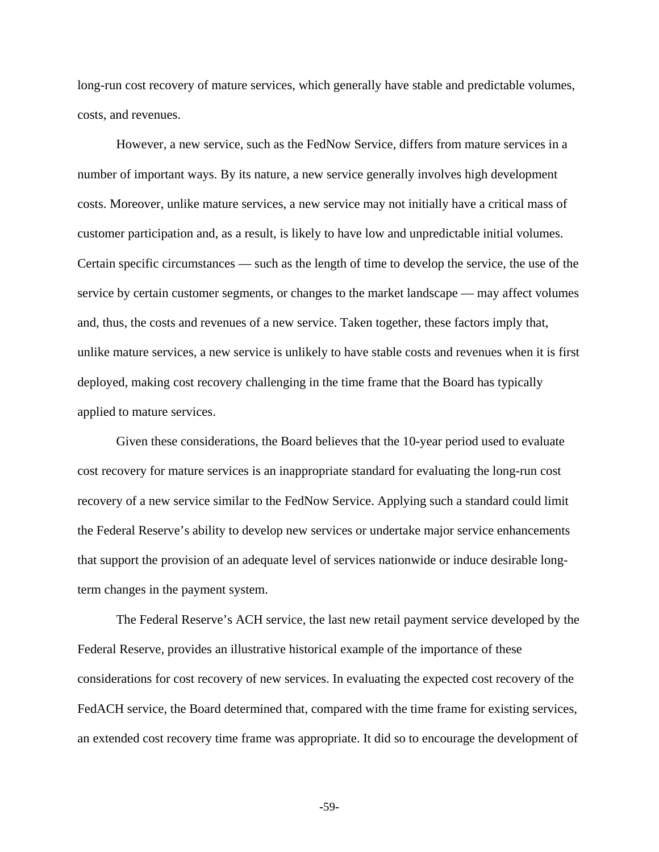long-run cost recovery of mature services, which generally have stable and predictable volumes, costs, and revenues.

However, a new service, such as the FedNow Service, differs from mature services in a number of important ways. By its nature, a new service generally involves high development costs. Moreover, unlike mature services, a new service may not initially have a critical mass of customer participation and, as a result, is likely to have low and unpredictable initial volumes. Certain specific circumstances — such as the length of time to develop the service, the use of the service by certain customer segments, or changes to the market landscape — may affect volumes and, thus, the costs and revenues of a new service. Taken together, these factors imply that, unlike mature services, a new service is unlikely to have stable costs and revenues when it is first deployed, making cost recovery challenging in the time frame that the Board has typically applied to mature services.

Given these considerations, the Board believes that the 10-year period used to evaluate cost recovery for mature services is an inappropriate standard for evaluating the long-run cost recovery of a new service similar to the FedNow Service. Applying such a standard could limit the Federal Reserve's ability to develop new services or undertake major service enhancements that support the provision of an adequate level of services nationwide or induce desirable longterm changes in the payment system.

The Federal Reserve's ACH service, the last new retail payment service developed by the Federal Reserve, provides an illustrative historical example of the importance of these considerations for cost recovery of new services. In evaluating the expected cost recovery of the FedACH service, the Board determined that, compared with the time frame for existing services, an extended cost recovery time frame was appropriate. It did so to encourage the development of

**-**59**-**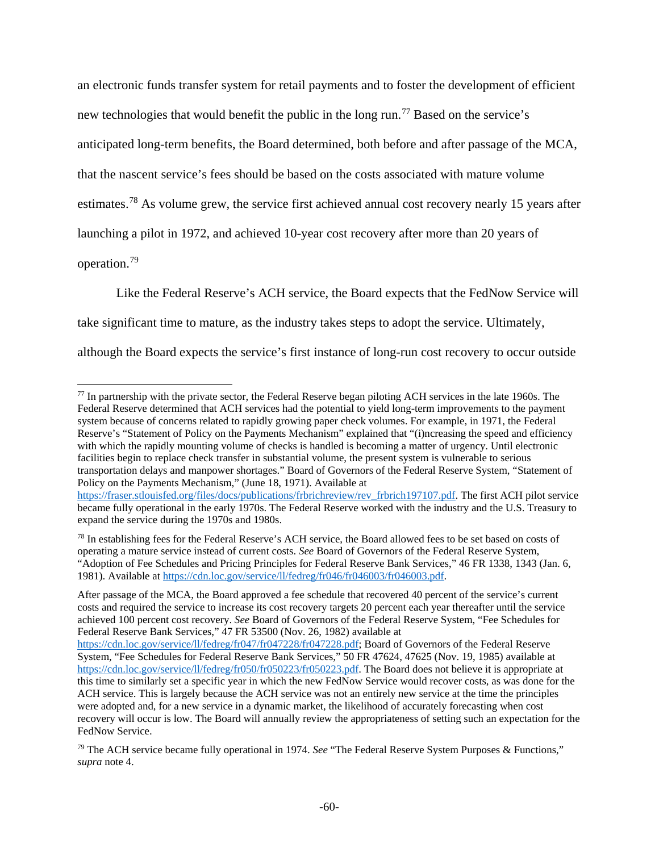an electronic funds transfer system for retail payments and to foster the development of efficient new technologies that would benefit the public in the long run.<sup>[77](#page-59-0)</sup> Based on the service's anticipated long-term benefits, the Board determined, both before and after passage of the MCA, that the nascent service's fees should be based on the costs associated with mature volume estimates.<sup>[78](#page-59-1)</sup> As volume grew, the service first achieved annual cost recovery nearly 15 years after launching a pilot in 1972, and achieved 10-year cost recovery after more than 20 years of operation.[79](#page-59-2)

Like the Federal Reserve's ACH service, the Board expects that the FedNow Service will take significant time to mature, as the industry takes steps to adopt the service. Ultimately, although the Board expects the service's first instance of long-run cost recovery to occur outside

 $\overline{\phantom{a}}$ 

After passage of the MCA, the Board approved a fee schedule that recovered 40 percent of the service's current costs and required the service to increase its cost recovery targets 20 percent each year thereafter until the service achieved 100 percent cost recovery. *See* Board of Governors of the Federal Reserve System, "Fee Schedules for Federal Reserve Bank Services," 47 FR 53500 (Nov. 26, 1982) available at

<span id="page-59-0"></span> $77$  In partnership with the private sector, the Federal Reserve began piloting ACH services in the late 1960s. The Federal Reserve determined that ACH services had the potential to yield long-term improvements to the payment system because of concerns related to rapidly growing paper check volumes. For example, in 1971, the Federal Reserve's "Statement of Policy on the Payments Mechanism" explained that "(i)ncreasing the speed and efficiency with which the rapidly mounting volume of checks is handled is becoming a matter of urgency. Until electronic facilities begin to replace check transfer in substantial volume, the present system is vulnerable to serious transportation delays and manpower shortages." Board of Governors of the Federal Reserve System, "Statement of Policy on the Payments Mechanism," (June 18, 1971). Available at [https://fraser.stlouisfed.org/files/docs/publications/frbrichreview/rev\\_frbrich197107.pdf.](https://fraser.stlouisfed.org/files/docs/publications/frbrichreview/rev_frbrich197107.pdf) The first ACH pilot service

became fully operational in the early 1970s. The Federal Reserve worked with the industry and the U.S. Treasury to expand the service during the 1970s and 1980s.

<span id="page-59-1"></span> $78$  In establishing fees for the Federal Reserve's ACH service, the Board allowed fees to be set based on costs of operating a mature service instead of current costs. *See* Board of Governors of the Federal Reserve System, "Adoption of Fee Schedules and Pricing Principles for Federal Reserve Bank Services," 46 FR 1338, 1343 (Jan. 6, 1981). Available at [https://cdn.loc.gov/service/ll/fedreg/fr046/fr046003/fr046003.pdf.](https://cdn.loc.gov/service/ll/fedreg/fr046/fr046003/fr046003.pdf)

[https://cdn.loc.gov/service/ll/fedreg/fr047/fr047228/fr047228.pdf;](https://cdn.loc.gov/service/ll/fedreg/fr047/fr047228/fr047228.pdf) Board of Governors of the Federal Reserve System, "Fee Schedules for Federal Reserve Bank Services," 50 FR 47624, 47625 (Nov. 19, 1985) available at [https://cdn.loc.gov/service/ll/fedreg/fr050/fr050223/fr050223.pdf.](https://cdn.loc.gov/service/ll/fedreg/fr050/fr050223/fr050223.pdf) The Board does not believe it is appropriate at this time to similarly set a specific year in which the new FedNow Service would recover costs, as was done for the ACH service. This is largely because the ACH service was not an entirely new service at the time the principles were adopted and, for a new service in a dynamic market, the likelihood of accurately forecasting when cost recovery will occur is low. The Board will annually review the appropriateness of setting such an expectation for the FedNow Service.

<span id="page-59-2"></span><sup>79</sup> The ACH service became fully operational in 1974. *See* "The Federal Reserve System Purposes & Functions," *supra* note 4.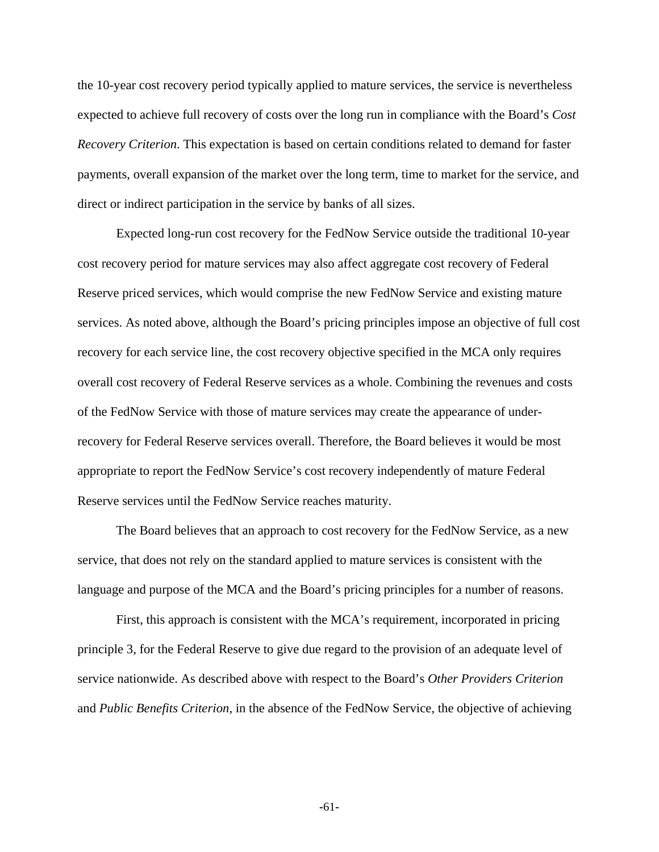the 10-year cost recovery period typically applied to mature services, the service is nevertheless expected to achieve full recovery of costs over the long run in compliance with the Board's *Cost Recovery Criterion*. This expectation is based on certain conditions related to demand for faster payments, overall expansion of the market over the long term, time to market for the service, and direct or indirect participation in the service by banks of all sizes.

Expected long-run cost recovery for the FedNow Service outside the traditional 10-year cost recovery period for mature services may also affect aggregate cost recovery of Federal Reserve priced services, which would comprise the new FedNow Service and existing mature services. As noted above, although the Board's pricing principles impose an objective of full cost recovery for each service line, the cost recovery objective specified in the MCA only requires overall cost recovery of Federal Reserve services as a whole. Combining the revenues and costs of the FedNow Service with those of mature services may create the appearance of underrecovery for Federal Reserve services overall. Therefore, the Board believes it would be most appropriate to report the FedNow Service's cost recovery independently of mature Federal Reserve services until the FedNow Service reaches maturity.

The Board believes that an approach to cost recovery for the FedNow Service, as a new service, that does not rely on the standard applied to mature services is consistent with the language and purpose of the MCA and the Board's pricing principles for a number of reasons.

First, this approach is consistent with the MCA's requirement, incorporated in pricing principle 3, for the Federal Reserve to give due regard to the provision of an adequate level of service nationwide. As described above with respect to the Board's *Other Providers Criterion* and *Public Benefits Criterion*, in the absence of the FedNow Service, the objective of achieving

**-**61**-**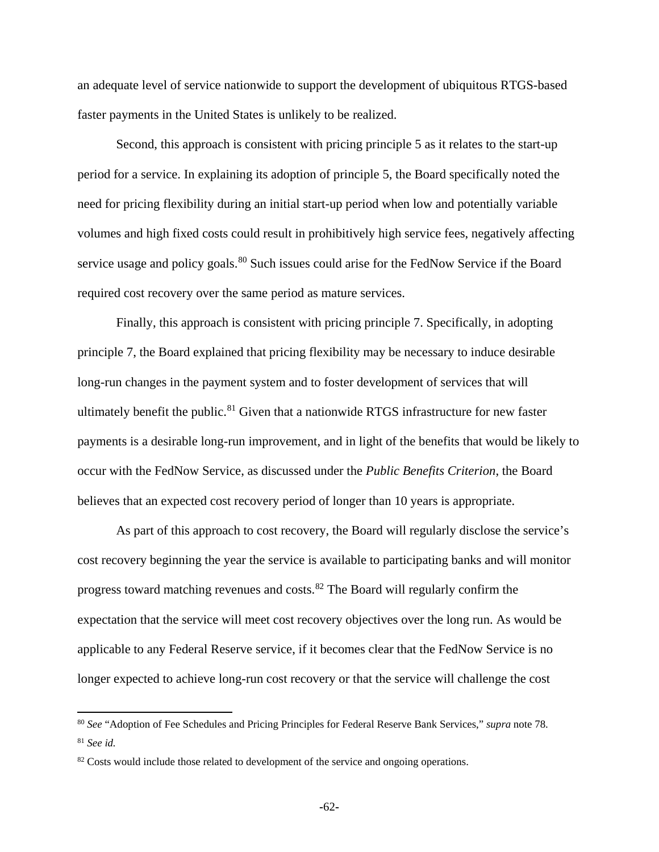an adequate level of service nationwide to support the development of ubiquitous RTGS-based faster payments in the United States is unlikely to be realized.

Second, this approach is consistent with pricing principle 5 as it relates to the start-up period for a service. In explaining its adoption of principle 5, the Board specifically noted the need for pricing flexibility during an initial start-up period when low and potentially variable volumes and high fixed costs could result in prohibitively high service fees, negatively affecting service usage and policy goals.<sup>[80](#page-61-0)</sup> Such issues could arise for the FedNow Service if the Board required cost recovery over the same period as mature services.

Finally, this approach is consistent with pricing principle 7. Specifically, in adopting principle 7, the Board explained that pricing flexibility may be necessary to induce desirable long-run changes in the payment system and to foster development of services that will ultimately benefit the public.<sup>[81](#page-61-1)</sup> Given that a nationwide RTGS infrastructure for new faster payments is a desirable long-run improvement, and in light of the benefits that would be likely to occur with the FedNow Service, as discussed under the *Public Benefits Criterion*, the Board believes that an expected cost recovery period of longer than 10 years is appropriate.

As part of this approach to cost recovery, the Board will regularly disclose the service's cost recovery beginning the year the service is available to participating banks and will monitor progress toward matching revenues and costs.[82](#page-61-2) The Board will regularly confirm the expectation that the service will meet cost recovery objectives over the long run. As would be applicable to any Federal Reserve service, if it becomes clear that the FedNow Service is no longer expected to achieve long-run cost recovery or that the service will challenge the cost

 $\overline{a}$ 

<span id="page-61-0"></span><sup>80</sup> *See* "Adoption of Fee Schedules and Pricing Principles for Federal Reserve Bank Services," *supra* note 78. <sup>81</sup> *See id.*

<span id="page-61-2"></span><span id="page-61-1"></span><sup>&</sup>lt;sup>82</sup> Costs would include those related to development of the service and ongoing operations.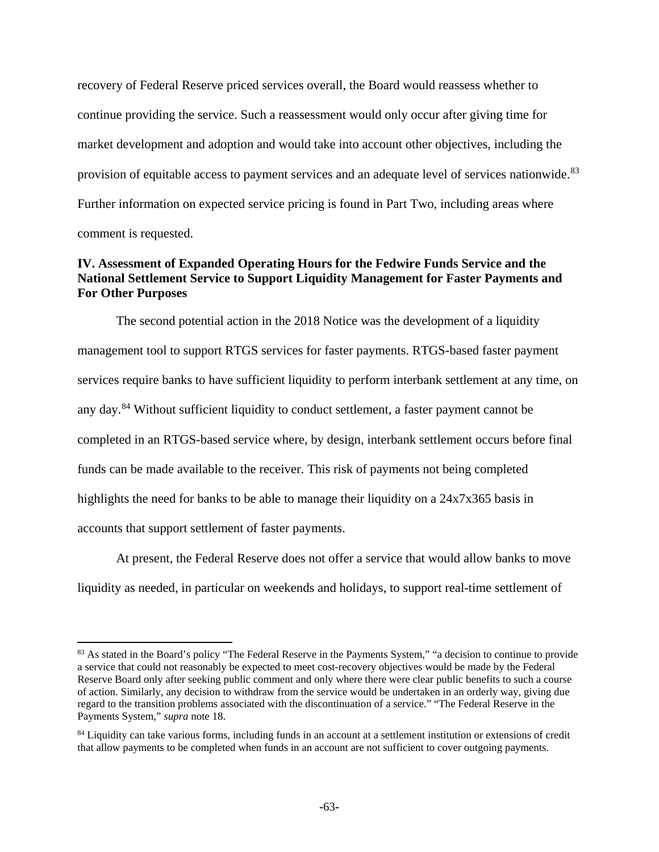recovery of Federal Reserve priced services overall, the Board would reassess whether to continue providing the service. Such a reassessment would only occur after giving time for market development and adoption and would take into account other objectives, including the provision of equitable access to payment services and an adequate level of services nationwide.<sup>[83](#page-62-0)</sup> Further information on expected service pricing is found in Part Two, including areas where comment is requested.

# **IV. Assessment of Expanded Operating Hours for the Fedwire Funds Service and the National Settlement Service to Support Liquidity Management for Faster Payments and For Other Purposes**

The second potential action in the 2018 Notice was the development of a liquidity management tool to support RTGS services for faster payments. RTGS-based faster payment services require banks to have sufficient liquidity to perform interbank settlement at any time, on any day.<sup>[84](#page-62-1)</sup> Without sufficient liquidity to conduct settlement, a faster payment cannot be completed in an RTGS-based service where, by design, interbank settlement occurs before final funds can be made available to the receiver. This risk of payments not being completed highlights the need for banks to be able to manage their liquidity on a 24x7x365 basis in accounts that support settlement of faster payments.

At present, the Federal Reserve does not offer a service that would allow banks to move liquidity as needed, in particular on weekends and holidays, to support real-time settlement of

 $\overline{a}$ 

<span id="page-62-0"></span><sup>&</sup>lt;sup>83</sup> As stated in the Board's policy "The Federal Reserve in the Payments System," "a decision to continue to provide a service that could not reasonably be expected to meet cost-recovery objectives would be made by the Federal Reserve Board only after seeking public comment and only where there were clear public benefits to such a course of action. Similarly, any decision to withdraw from the service would be undertaken in an orderly way, giving due regard to the transition problems associated with the discontinuation of a service." "The Federal Reserve in the Payments System," *supra* note 18.

<span id="page-62-1"></span><sup>&</sup>lt;sup>84</sup> Liquidity can take various forms, including funds in an account at a settlement institution or extensions of credit that allow payments to be completed when funds in an account are not sufficient to cover outgoing payments.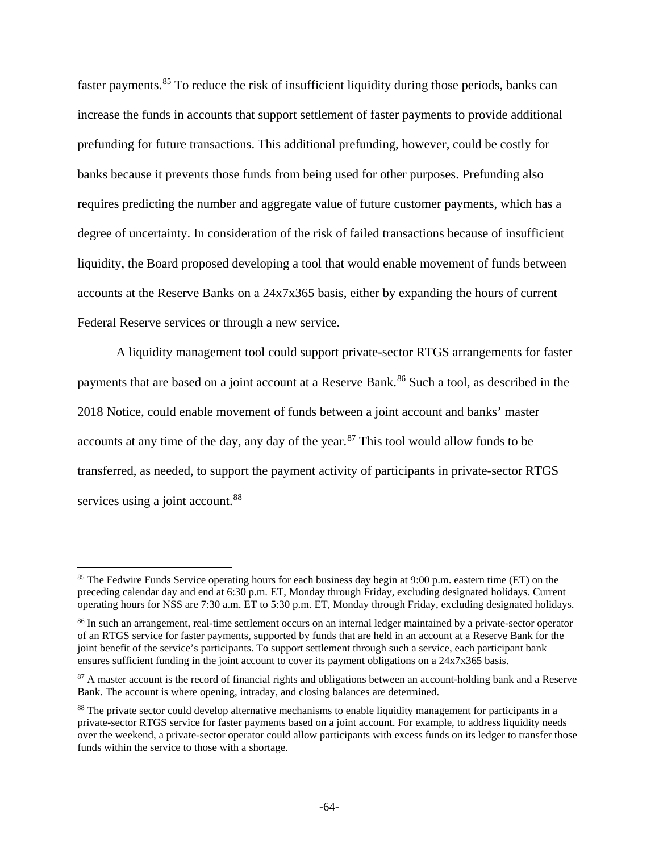faster payments.<sup>[85](#page-63-0)</sup> To reduce the risk of insufficient liquidity during those periods, banks can increase the funds in accounts that support settlement of faster payments to provide additional prefunding for future transactions. This additional prefunding, however, could be costly for banks because it prevents those funds from being used for other purposes. Prefunding also requires predicting the number and aggregate value of future customer payments, which has a degree of uncertainty. In consideration of the risk of failed transactions because of insufficient liquidity, the Board proposed developing a tool that would enable movement of funds between accounts at the Reserve Banks on a 24x7x365 basis, either by expanding the hours of current Federal Reserve services or through a new service.

A liquidity management tool could support private-sector RTGS arrangements for faster payments that are based on a joint account at a Reserve Bank.<sup>[86](#page-63-1)</sup> Such a tool, as described in the 2018 Notice, could enable movement of funds between a joint account and banks' master accounts at any time of the day, any day of the year.<sup>[87](#page-63-2)</sup> This tool would allow funds to be transferred, as needed, to support the payment activity of participants in private-sector RTGS services using a joint account.<sup>[88](#page-63-3)</sup>

 $\overline{\phantom{a}}$ 

<span id="page-63-0"></span><sup>&</sup>lt;sup>85</sup> The Fedwire Funds Service operating hours for each business day begin at 9:00 p.m. eastern time (ET) on the preceding calendar day and end at 6:30 p.m. ET, Monday through Friday, excluding designated holidays. Current operating hours for NSS are 7:30 a.m. ET to 5:30 p.m. ET, Monday through Friday, excluding designated holidays.

<span id="page-63-1"></span><sup>&</sup>lt;sup>86</sup> In such an arrangement, real-time settlement occurs on an internal ledger maintained by a private-sector operator of an RTGS service for faster payments, supported by funds that are held in an account at a Reserve Bank for the joint benefit of the service's participants. To support settlement through such a service, each participant bank ensures sufficient funding in the joint account to cover its payment obligations on a 24x7x365 basis.

<span id="page-63-2"></span><sup>&</sup>lt;sup>87</sup> A master account is the record of financial rights and obligations between an account-holding bank and a Reserve Bank. The account is where opening, intraday, and closing balances are determined.

<span id="page-63-3"></span><sup>&</sup>lt;sup>88</sup> The private sector could develop alternative mechanisms to enable liquidity management for participants in a private-sector RTGS service for faster payments based on a joint account. For example, to address liquidity needs over the weekend, a private-sector operator could allow participants with excess funds on its ledger to transfer those funds within the service to those with a shortage.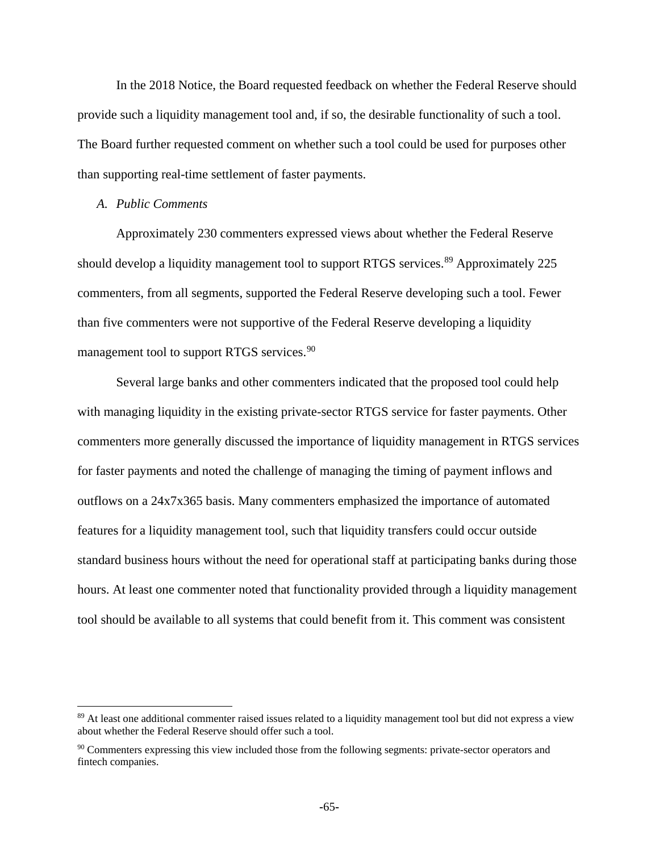In the 2018 Notice, the Board requested feedback on whether the Federal Reserve should provide such a liquidity management tool and, if so, the desirable functionality of such a tool. The Board further requested comment on whether such a tool could be used for purposes other than supporting real-time settlement of faster payments.

### *A. Public Comments*

l

Approximately 230 commenters expressed views about whether the Federal Reserve should develop a liquidity management tool to support RTGS services.<sup>[89](#page-64-0)</sup> Approximately 225 commenters, from all segments, supported the Federal Reserve developing such a tool. Fewer than five commenters were not supportive of the Federal Reserve developing a liquidity management tool to support RTGS services.<sup>[90](#page-64-1)</sup>

Several large banks and other commenters indicated that the proposed tool could help with managing liquidity in the existing private-sector RTGS service for faster payments. Other commenters more generally discussed the importance of liquidity management in RTGS services for faster payments and noted the challenge of managing the timing of payment inflows and outflows on a 24x7x365 basis. Many commenters emphasized the importance of automated features for a liquidity management tool, such that liquidity transfers could occur outside standard business hours without the need for operational staff at participating banks during those hours. At least one commenter noted that functionality provided through a liquidity management tool should be available to all systems that could benefit from it. This comment was consistent

<span id="page-64-0"></span><sup>&</sup>lt;sup>89</sup> At least one additional commenter raised issues related to a liquidity management tool but did not express a view about whether the Federal Reserve should offer such a tool.

<span id="page-64-1"></span><sup>90</sup> Commenters expressing this view included those from the following segments: private-sector operators and fintech companies.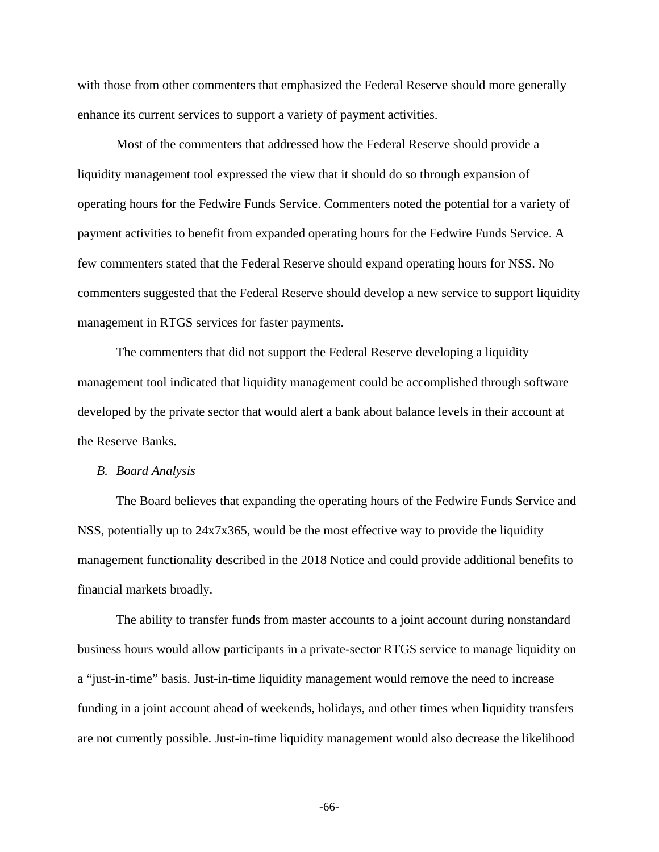with those from other commenters that emphasized the Federal Reserve should more generally enhance its current services to support a variety of payment activities.

Most of the commenters that addressed how the Federal Reserve should provide a liquidity management tool expressed the view that it should do so through expansion of operating hours for the Fedwire Funds Service. Commenters noted the potential for a variety of payment activities to benefit from expanded operating hours for the Fedwire Funds Service. A few commenters stated that the Federal Reserve should expand operating hours for NSS. No commenters suggested that the Federal Reserve should develop a new service to support liquidity management in RTGS services for faster payments.

The commenters that did not support the Federal Reserve developing a liquidity management tool indicated that liquidity management could be accomplished through software developed by the private sector that would alert a bank about balance levels in their account at the Reserve Banks.

#### *B. Board Analysis*

The Board believes that expanding the operating hours of the Fedwire Funds Service and NSS, potentially up to 24x7x365, would be the most effective way to provide the liquidity management functionality described in the 2018 Notice and could provide additional benefits to financial markets broadly.

The ability to transfer funds from master accounts to a joint account during nonstandard business hours would allow participants in a private-sector RTGS service to manage liquidity on a "just-in-time" basis. Just-in-time liquidity management would remove the need to increase funding in a joint account ahead of weekends, holidays, and other times when liquidity transfers are not currently possible. Just-in-time liquidity management would also decrease the likelihood

**-**66**-**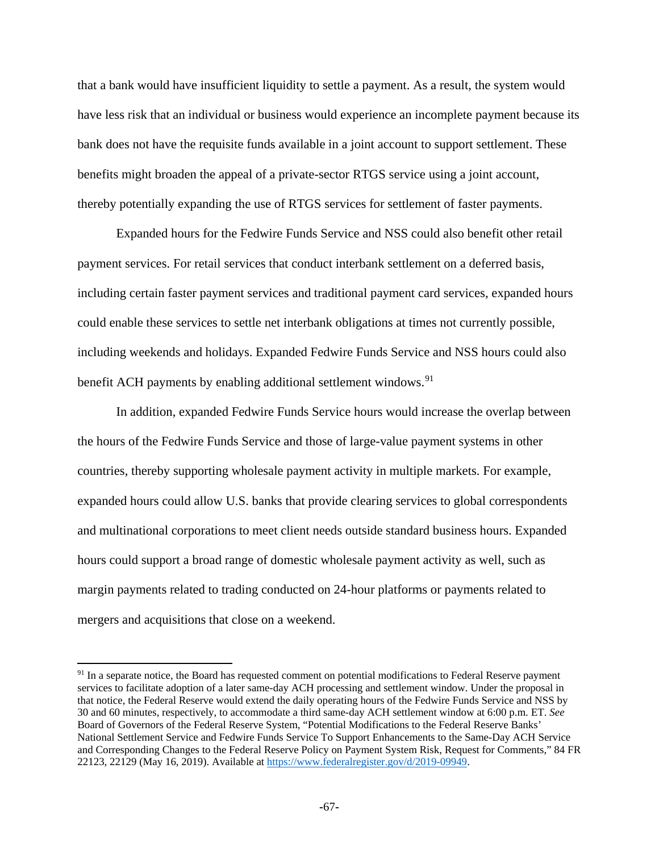that a bank would have insufficient liquidity to settle a payment. As a result, the system would have less risk that an individual or business would experience an incomplete payment because its bank does not have the requisite funds available in a joint account to support settlement. These benefits might broaden the appeal of a private-sector RTGS service using a joint account, thereby potentially expanding the use of RTGS services for settlement of faster payments.

Expanded hours for the Fedwire Funds Service and NSS could also benefit other retail payment services. For retail services that conduct interbank settlement on a deferred basis, including certain faster payment services and traditional payment card services, expanded hours could enable these services to settle net interbank obligations at times not currently possible, including weekends and holidays. Expanded Fedwire Funds Service and NSS hours could also benefit ACH payments by enabling additional settlement windows.<sup>[91](#page-66-0)</sup>

In addition, expanded Fedwire Funds Service hours would increase the overlap between the hours of the Fedwire Funds Service and those of large-value payment systems in other countries, thereby supporting wholesale payment activity in multiple markets. For example, expanded hours could allow U.S. banks that provide clearing services to global correspondents and multinational corporations to meet client needs outside standard business hours. Expanded hours could support a broad range of domestic wholesale payment activity as well, such as margin payments related to trading conducted on 24-hour platforms or payments related to mergers and acquisitions that close on a weekend.

 $\overline{\phantom{a}}$ 

<span id="page-66-0"></span><sup>&</sup>lt;sup>91</sup> In a separate notice, the Board has requested comment on potential modifications to Federal Reserve payment services to facilitate adoption of a later same-day ACH processing and settlement window. Under the proposal in that notice, the Federal Reserve would extend the daily operating hours of the Fedwire Funds Service and NSS by 30 and 60 minutes, respectively, to accommodate a third same-day ACH settlement window at 6:00 p.m. ET. *See* Board of Governors of the Federal Reserve System, "Potential Modifications to the Federal Reserve Banks' National Settlement Service and Fedwire Funds Service To Support Enhancements to the Same-Day ACH Service and Corresponding Changes to the Federal Reserve Policy on Payment System Risk, Request for Comments," 84 FR 22123, 22129 (May 16, 2019). Available at [https://www.federalregister.gov/d/2019-09949.](https://www.federalregister.gov/d/2019-09949)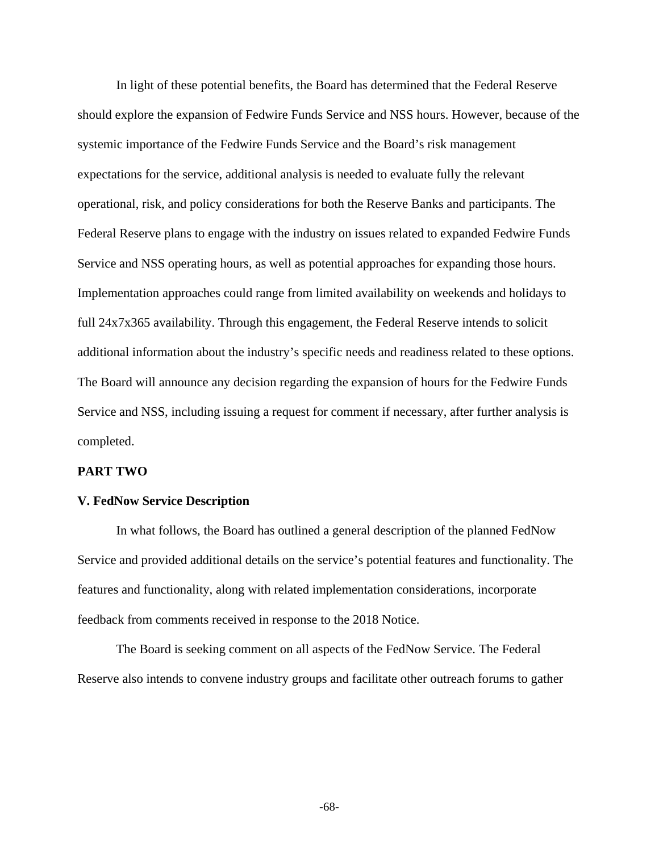In light of these potential benefits, the Board has determined that the Federal Reserve should explore the expansion of Fedwire Funds Service and NSS hours. However, because of the systemic importance of the Fedwire Funds Service and the Board's risk management expectations for the service, additional analysis is needed to evaluate fully the relevant operational, risk, and policy considerations for both the Reserve Banks and participants. The Federal Reserve plans to engage with the industry on issues related to expanded Fedwire Funds Service and NSS operating hours, as well as potential approaches for expanding those hours. Implementation approaches could range from limited availability on weekends and holidays to full 24x7x365 availability. Through this engagement, the Federal Reserve intends to solicit additional information about the industry's specific needs and readiness related to these options. The Board will announce any decision regarding the expansion of hours for the Fedwire Funds Service and NSS, including issuing a request for comment if necessary, after further analysis is completed.

### **PART TWO**

### **V. FedNow Service Description**

In what follows, the Board has outlined a general description of the planned FedNow Service and provided additional details on the service's potential features and functionality. The features and functionality, along with related implementation considerations, incorporate feedback from comments received in response to the 2018 Notice.

The Board is seeking comment on all aspects of the FedNow Service. The Federal Reserve also intends to convene industry groups and facilitate other outreach forums to gather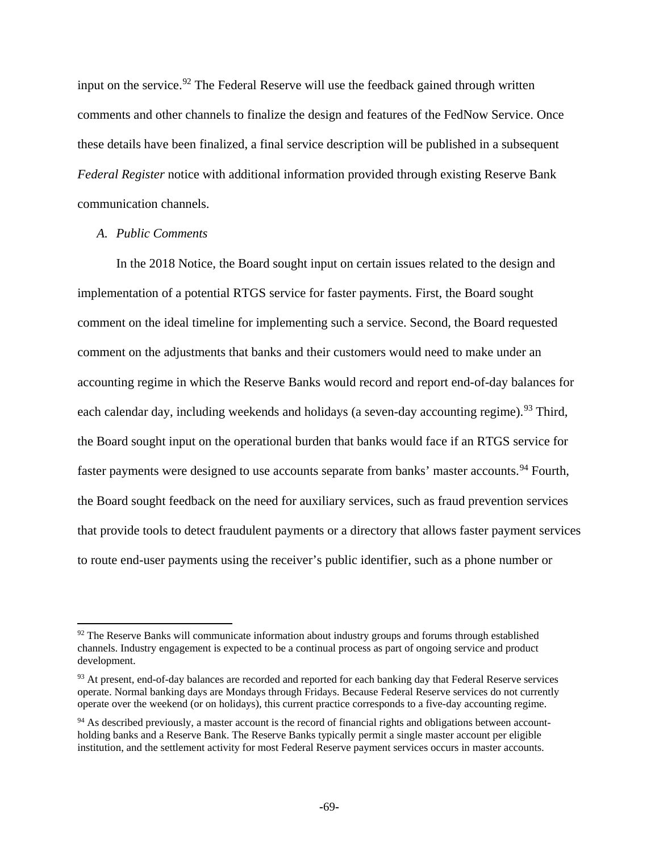input on the service.<sup>[92](#page-68-0)</sup> The Federal Reserve will use the feedback gained through written comments and other channels to finalize the design and features of the FedNow Service. Once these details have been finalized, a final service description will be published in a subsequent *Federal Register* notice with additional information provided through existing Reserve Bank communication channels.

## *A. Public Comments*

l

In the 2018 Notice, the Board sought input on certain issues related to the design and implementation of a potential RTGS service for faster payments. First, the Board sought comment on the ideal timeline for implementing such a service. Second, the Board requested comment on the adjustments that banks and their customers would need to make under an accounting regime in which the Reserve Banks would record and report end-of-day balances for each calendar day, including weekends and holidays (a seven-day accounting regime).<sup>[93](#page-68-1)</sup> Third, the Board sought input on the operational burden that banks would face if an RTGS service for faster payments were designed to use accounts separate from banks' master accounts.<sup>[94](#page-68-2)</sup> Fourth, the Board sought feedback on the need for auxiliary services, such as fraud prevention services that provide tools to detect fraudulent payments or a directory that allows faster payment services to route end-user payments using the receiver's public identifier, such as a phone number or

<span id="page-68-0"></span> $92$  The Reserve Banks will communicate information about industry groups and forums through established channels. Industry engagement is expected to be a continual process as part of ongoing service and product development.

<span id="page-68-1"></span><sup>&</sup>lt;sup>93</sup> At present, end-of-day balances are recorded and reported for each banking day that Federal Reserve services operate. Normal banking days are Mondays through Fridays. Because Federal Reserve services do not currently operate over the weekend (or on holidays), this current practice corresponds to a five-day accounting regime.

<span id="page-68-2"></span><sup>&</sup>lt;sup>94</sup> As described previously, a master account is the record of financial rights and obligations between accountholding banks and a Reserve Bank. The Reserve Banks typically permit a single master account per eligible institution, and the settlement activity for most Federal Reserve payment services occurs in master accounts.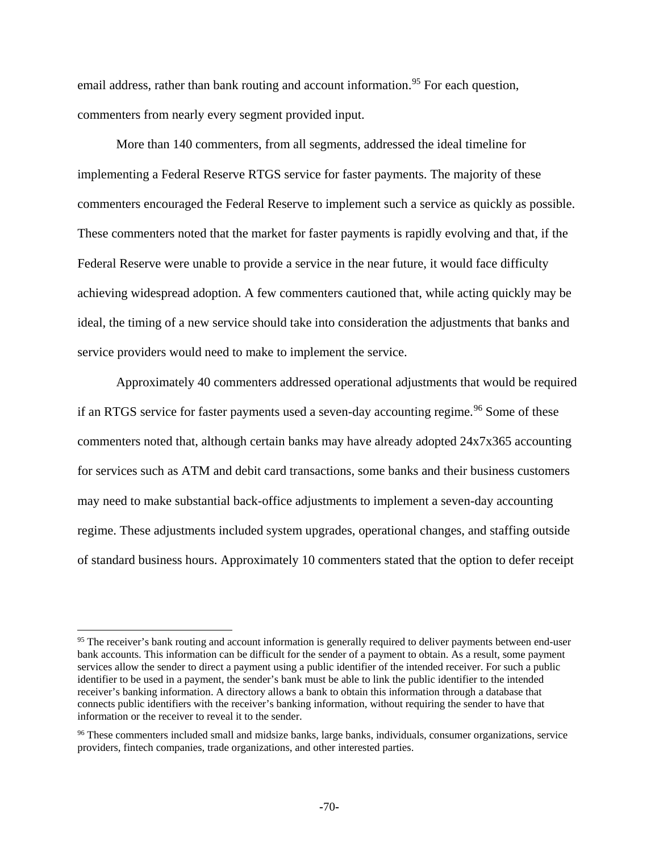email address, rather than bank routing and account information.<sup>[95](#page-69-0)</sup> For each question, commenters from nearly every segment provided input.

More than 140 commenters, from all segments, addressed the ideal timeline for implementing a Federal Reserve RTGS service for faster payments. The majority of these commenters encouraged the Federal Reserve to implement such a service as quickly as possible. These commenters noted that the market for faster payments is rapidly evolving and that, if the Federal Reserve were unable to provide a service in the near future, it would face difficulty achieving widespread adoption. A few commenters cautioned that, while acting quickly may be ideal, the timing of a new service should take into consideration the adjustments that banks and service providers would need to make to implement the service.

Approximately 40 commenters addressed operational adjustments that would be required if an RTGS service for faster payments used a seven-day accounting regime.<sup>[96](#page-69-1)</sup> Some of these commenters noted that, although certain banks may have already adopted 24x7x365 accounting for services such as ATM and debit card transactions, some banks and their business customers may need to make substantial back-office adjustments to implement a seven-day accounting regime. These adjustments included system upgrades, operational changes, and staffing outside of standard business hours. Approximately 10 commenters stated that the option to defer receipt

l

<span id="page-69-0"></span><sup>&</sup>lt;sup>95</sup> The receiver's bank routing and account information is generally required to deliver payments between end-user bank accounts. This information can be difficult for the sender of a payment to obtain. As a result, some payment services allow the sender to direct a payment using a public identifier of the intended receiver. For such a public identifier to be used in a payment, the sender's bank must be able to link the public identifier to the intended receiver's banking information. A directory allows a bank to obtain this information through a database that connects public identifiers with the receiver's banking information, without requiring the sender to have that information or the receiver to reveal it to the sender.

<span id="page-69-1"></span><sup>&</sup>lt;sup>96</sup> These commenters included small and midsize banks, large banks, individuals, consumer organizations, service providers, fintech companies, trade organizations, and other interested parties.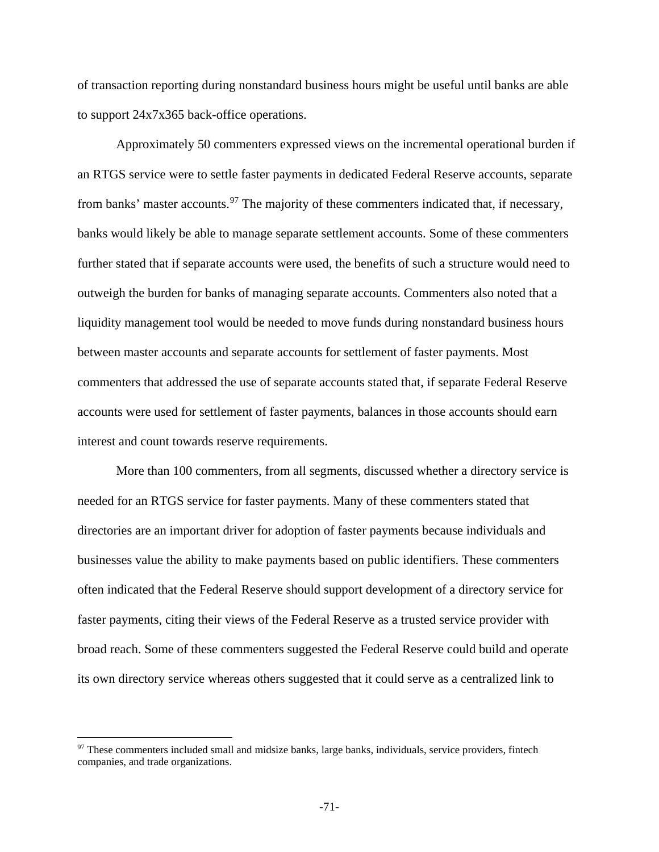of transaction reporting during nonstandard business hours might be useful until banks are able to support 24x7x365 back-office operations.

Approximately 50 commenters expressed views on the incremental operational burden if an RTGS service were to settle faster payments in dedicated Federal Reserve accounts, separate from banks' master accounts.  $97$  The majority of these commenters indicated that, if necessary, banks would likely be able to manage separate settlement accounts. Some of these commenters further stated that if separate accounts were used, the benefits of such a structure would need to outweigh the burden for banks of managing separate accounts. Commenters also noted that a liquidity management tool would be needed to move funds during nonstandard business hours between master accounts and separate accounts for settlement of faster payments. Most commenters that addressed the use of separate accounts stated that, if separate Federal Reserve accounts were used for settlement of faster payments, balances in those accounts should earn interest and count towards reserve requirements.

More than 100 commenters, from all segments, discussed whether a directory service is needed for an RTGS service for faster payments. Many of these commenters stated that directories are an important driver for adoption of faster payments because individuals and businesses value the ability to make payments based on public identifiers. These commenters often indicated that the Federal Reserve should support development of a directory service for faster payments, citing their views of the Federal Reserve as a trusted service provider with broad reach. Some of these commenters suggested the Federal Reserve could build and operate its own directory service whereas others suggested that it could serve as a centralized link to

 $\overline{\phantom{a}}$ 

<span id="page-70-0"></span><sup>&</sup>lt;sup>97</sup> These commenters included small and midsize banks, large banks, individuals, service providers, fintech companies, and trade organizations.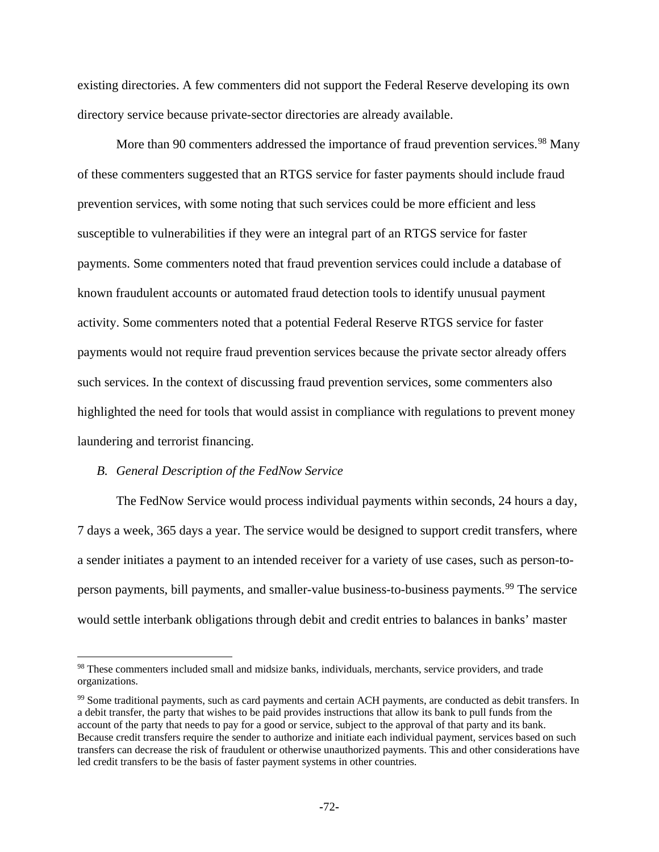existing directories. A few commenters did not support the Federal Reserve developing its own directory service because private-sector directories are already available.

More than 90 commenters addressed the importance of fraud prevention services.<sup>[98](#page-71-0)</sup> Many of these commenters suggested that an RTGS service for faster payments should include fraud prevention services, with some noting that such services could be more efficient and less susceptible to vulnerabilities if they were an integral part of an RTGS service for faster payments. Some commenters noted that fraud prevention services could include a database of known fraudulent accounts or automated fraud detection tools to identify unusual payment activity. Some commenters noted that a potential Federal Reserve RTGS service for faster payments would not require fraud prevention services because the private sector already offers such services. In the context of discussing fraud prevention services, some commenters also highlighted the need for tools that would assist in compliance with regulations to prevent money laundering and terrorist financing.

#### *B. General Description of the FedNow Service*

 $\overline{\phantom{a}}$ 

The FedNow Service would process individual payments within seconds, 24 hours a day, 7 days a week, 365 days a year. The service would be designed to support credit transfers, where a sender initiates a payment to an intended receiver for a variety of use cases, such as person-to-person payments, bill payments, and smaller-value business-to-business payments.<sup>[99](#page-71-1)</sup> The service would settle interbank obligations through debit and credit entries to balances in banks' master

<span id="page-71-0"></span><sup>98</sup> These commenters included small and midsize banks, individuals, merchants, service providers, and trade organizations.

<span id="page-71-1"></span><sup>&</sup>lt;sup>99</sup> Some traditional payments, such as card payments and certain ACH payments, are conducted as debit transfers. In a debit transfer, the party that wishes to be paid provides instructions that allow its bank to pull funds from the account of the party that needs to pay for a good or service, subject to the approval of that party and its bank. Because credit transfers require the sender to authorize and initiate each individual payment, services based on such transfers can decrease the risk of fraudulent or otherwise unauthorized payments. This and other considerations have led credit transfers to be the basis of faster payment systems in other countries.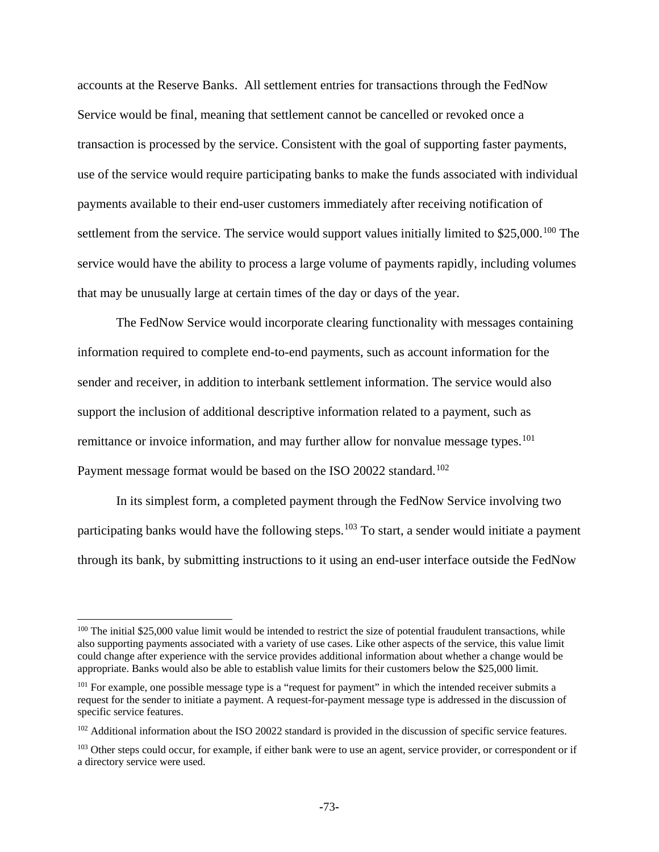accounts at the Reserve Banks. All settlement entries for transactions through the FedNow Service would be final, meaning that settlement cannot be cancelled or revoked once a transaction is processed by the service. Consistent with the goal of supporting faster payments, use of the service would require participating banks to make the funds associated with individual payments available to their end-user customers immediately after receiving notification of settlement from the service. The service would support values initially limited to \$25,000.<sup>[100](#page-72-0)</sup> The service would have the ability to process a large volume of payments rapidly, including volumes that may be unusually large at certain times of the day or days of the year.

The FedNow Service would incorporate clearing functionality with messages containing information required to complete end-to-end payments, such as account information for the sender and receiver, in addition to interbank settlement information. The service would also support the inclusion of additional descriptive information related to a payment, such as remittance or invoice information, and may further allow for nonvalue message types.<sup>[101](#page-72-1)</sup> Payment message format would be based on the ISO 20022 standard.<sup>[102](#page-72-2)</sup>

In its simplest form, a completed payment through the FedNow Service involving two participating banks would have the following steps.<sup>[103](#page-72-3)</sup> To start, a sender would initiate a payment through its bank, by submitting instructions to it using an end-user interface outside the FedNow

l

<span id="page-72-0"></span><sup>&</sup>lt;sup>100</sup> The initial \$25,000 value limit would be intended to restrict the size of potential fraudulent transactions, while also supporting payments associated with a variety of use cases. Like other aspects of the service, this value limit could change after experience with the service provides additional information about whether a change would be appropriate. Banks would also be able to establish value limits for their customers below the \$25,000 limit.

<span id="page-72-1"></span><sup>&</sup>lt;sup>101</sup> For example, one possible message type is a "request for payment" in which the intended receiver submits a request for the sender to initiate a payment. A request-for-payment message type is addressed in the discussion of specific service features.

<span id="page-72-2"></span><sup>&</sup>lt;sup>102</sup> Additional information about the ISO 20022 standard is provided in the discussion of specific service features.

<span id="page-72-3"></span><sup>&</sup>lt;sup>103</sup> Other steps could occur, for example, if either bank were to use an agent, service provider, or correspondent or if a directory service were used.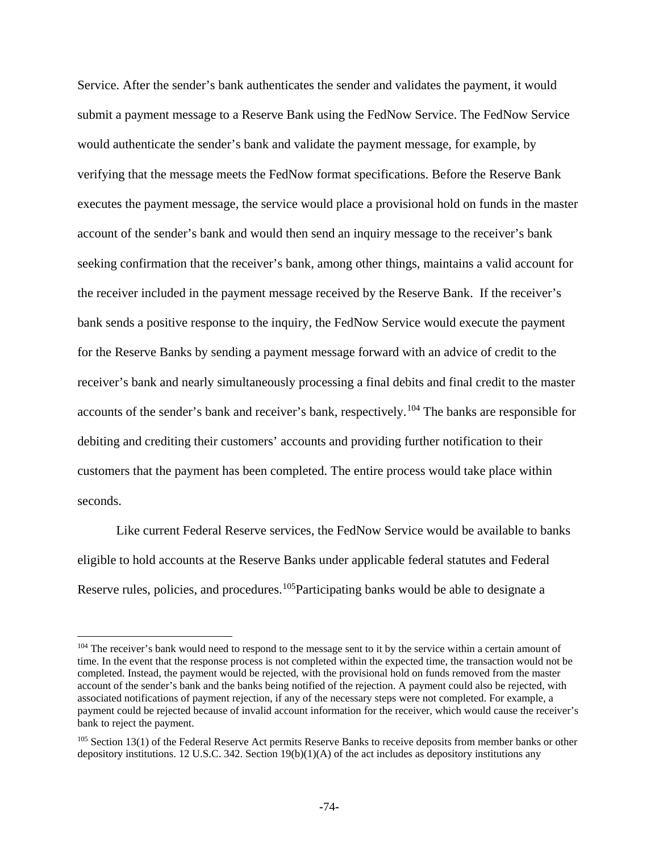Service. After the sender's bank authenticates the sender and validates the payment, it would submit a payment message to a Reserve Bank using the FedNow Service. The FedNow Service would authenticate the sender's bank and validate the payment message, for example, by verifying that the message meets the FedNow format specifications. Before the Reserve Bank executes the payment message, the service would place a provisional hold on funds in the master account of the sender's bank and would then send an inquiry message to the receiver's bank seeking confirmation that the receiver's bank, among other things, maintains a valid account for the receiver included in the payment message received by the Reserve Bank. If the receiver's bank sends a positive response to the inquiry, the FedNow Service would execute the payment for the Reserve Banks by sending a payment message forward with an advice of credit to the receiver's bank and nearly simultaneously processing a final debits and final credit to the master accounts of the sender's bank and receiver's bank, respectively.[104](#page-73-0) The banks are responsible for debiting and crediting their customers' accounts and providing further notification to their customers that the payment has been completed. The entire process would take place within seconds.

Like current Federal Reserve services, the FedNow Service would be available to banks eligible to hold accounts at the Reserve Banks under applicable federal statutes and Federal Reserve rules, policies, and procedures.<sup>105</sup>Participating banks would be able to designate a

l

<span id="page-73-0"></span><sup>&</sup>lt;sup>104</sup> The receiver's bank would need to respond to the message sent to it by the service within a certain amount of time. In the event that the response process is not completed within the expected time, the transaction would not be completed. Instead, the payment would be rejected, with the provisional hold on funds removed from the master account of the sender's bank and the banks being notified of the rejection. A payment could also be rejected, with associated notifications of payment rejection, if any of the necessary steps were not completed. For example, a payment could be rejected because of invalid account information for the receiver, which would cause the receiver's bank to reject the payment.

<span id="page-73-1"></span><sup>&</sup>lt;sup>105</sup> Section 13(1) of the Federal Reserve Act permits Reserve Banks to receive deposits from member banks or other depository institutions. 12 U.S.C. 342. Section  $19(b)(1)(A)$  of the act includes as depository institutions any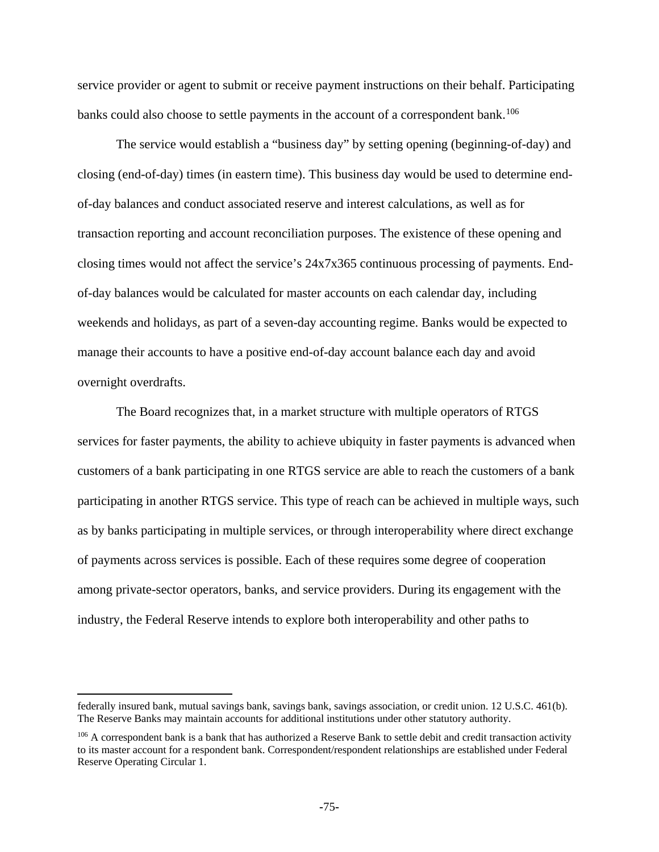service provider or agent to submit or receive payment instructions on their behalf. Participating banks could also choose to settle payments in the account of a correspondent bank.<sup>[106](#page-74-0)</sup>

The service would establish a "business day" by setting opening (beginning-of-day) and closing (end-of-day) times (in eastern time). This business day would be used to determine endof-day balances and conduct associated reserve and interest calculations, as well as for transaction reporting and account reconciliation purposes. The existence of these opening and closing times would not affect the service's 24x7x365 continuous processing of payments. Endof-day balances would be calculated for master accounts on each calendar day, including weekends and holidays, as part of a seven-day accounting regime. Banks would be expected to manage their accounts to have a positive end-of-day account balance each day and avoid overnight overdrafts.

The Board recognizes that, in a market structure with multiple operators of RTGS services for faster payments, the ability to achieve ubiquity in faster payments is advanced when customers of a bank participating in one RTGS service are able to reach the customers of a bank participating in another RTGS service. This type of reach can be achieved in multiple ways, such as by banks participating in multiple services, or through interoperability where direct exchange of payments across services is possible. Each of these requires some degree of cooperation among private-sector operators, banks, and service providers. During its engagement with the industry, the Federal Reserve intends to explore both interoperability and other paths to

 $\overline{\phantom{a}}$ 

federally insured bank, mutual savings bank, savings bank, savings association, or credit union. 12 U.S.C. 461(b). The Reserve Banks may maintain accounts for additional institutions under other statutory authority.

<span id="page-74-0"></span><sup>&</sup>lt;sup>106</sup> A correspondent bank is a bank that has authorized a Reserve Bank to settle debit and credit transaction activity to its master account for a respondent bank. Correspondent/respondent relationships are established under Federal Reserve Operating Circular 1.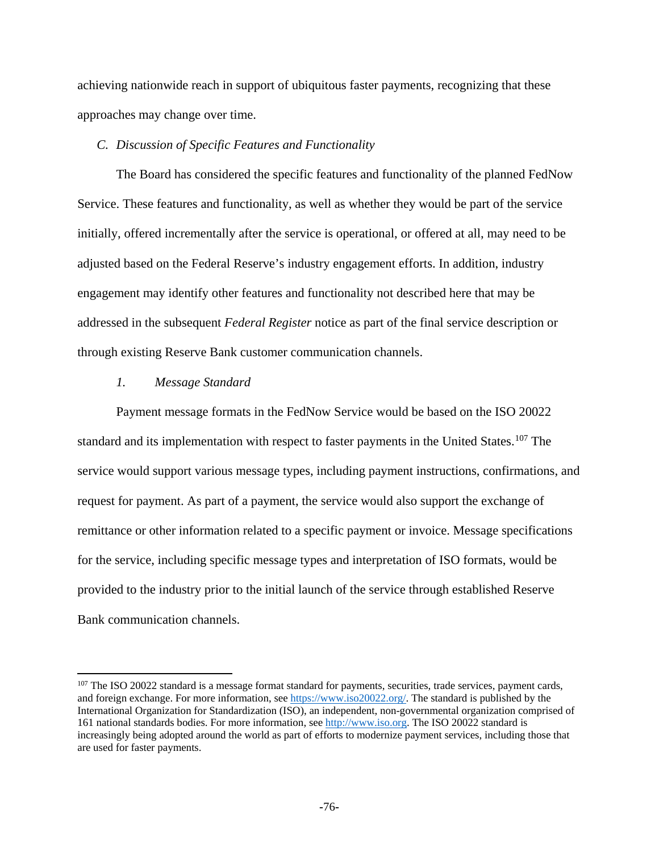achieving nationwide reach in support of ubiquitous faster payments, recognizing that these approaches may change over time.

### *C. Discussion of Specific Features and Functionality*

The Board has considered the specific features and functionality of the planned FedNow Service. These features and functionality, as well as whether they would be part of the service initially, offered incrementally after the service is operational, or offered at all, may need to be adjusted based on the Federal Reserve's industry engagement efforts. In addition, industry engagement may identify other features and functionality not described here that may be addressed in the subsequent *Federal Register* notice as part of the final service description or through existing Reserve Bank customer communication channels.

### *1. Message Standard*

l

Payment message formats in the FedNow Service would be based on the ISO 20022 standard and its implementation with respect to faster payments in the United States.<sup>[107](#page-75-0)</sup> The service would support various message types, including payment instructions, confirmations, and request for payment. As part of a payment, the service would also support the exchange of remittance or other information related to a specific payment or invoice. Message specifications for the service, including specific message types and interpretation of ISO formats, would be provided to the industry prior to the initial launch of the service through established Reserve Bank communication channels.

<span id="page-75-0"></span><sup>&</sup>lt;sup>107</sup> The ISO 20022 standard is a message format standard for payments, securities, trade services, payment cards, and foreign exchange. For more information, see [https://www.iso20022.org/.](https://www.iso20022.org/) The standard is published by the International Organization for Standardization (ISO), an independent, non-governmental organization comprised of 161 national standards bodies. For more information, se[e http://www.iso.org.](http://www.iso.org/) The ISO 20022 standard is increasingly being adopted around the world as part of efforts to modernize payment services, including those that are used for faster payments.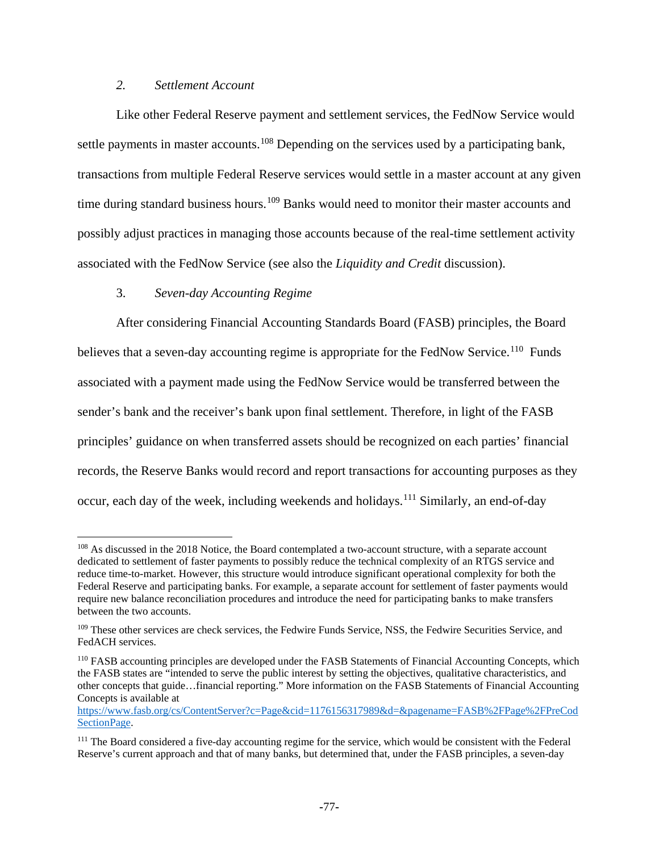# *2. Settlement Account*

Like other Federal Reserve payment and settlement services, the FedNow Service would settle payments in master accounts.<sup>[108](#page-76-0)</sup> Depending on the services used by a participating bank, transactions from multiple Federal Reserve services would settle in a master account at any given time during standard business hours.<sup>[109](#page-76-1)</sup> Banks would need to monitor their master accounts and possibly adjust practices in managing those accounts because of the real-time settlement activity associated with the FedNow Service (see also the *Liquidity and Credit* discussion).

# 3. *Seven-day Accounting Regime*

 $\overline{\phantom{a}}$ 

After considering Financial Accounting Standards Board (FASB) principles, the Board believes that a seven-day accounting regime is appropriate for the FedNow Service.<sup>[110](#page-76-2)</sup> Funds associated with a payment made using the FedNow Service would be transferred between the sender's bank and the receiver's bank upon final settlement. Therefore, in light of the FASB principles' guidance on when transferred assets should be recognized on each parties' financial records, the Reserve Banks would record and report transactions for accounting purposes as they occur, each day of the week, including weekends and holidays.<sup>[111](#page-76-3)</sup> Similarly, an end-of-day

<span id="page-76-0"></span><sup>&</sup>lt;sup>108</sup> As discussed in the 2018 Notice, the Board contemplated a two-account structure, with a separate account dedicated to settlement of faster payments to possibly reduce the technical complexity of an RTGS service and reduce time-to-market. However, this structure would introduce significant operational complexity for both the Federal Reserve and participating banks. For example, a separate account for settlement of faster payments would require new balance reconciliation procedures and introduce the need for participating banks to make transfers between the two accounts.

<span id="page-76-1"></span><sup>&</sup>lt;sup>109</sup> These other services are check services, the Fedwire Funds Service, NSS, the Fedwire Securities Service, and FedACH services.

<span id="page-76-2"></span><sup>110</sup> FASB accounting principles are developed under the FASB Statements of Financial Accounting Concepts, which the FASB states are "intended to serve the public interest by setting the objectives, qualitative characteristics, and other concepts that guide…financial reporting." More information on the FASB Statements of Financial Accounting Concepts is available at

[https://www.fasb.org/cs/ContentServer?c=Page&cid=1176156317989&d=&pagename=FASB%2FPage%2FPreCod](https://www.fasb.org/cs/ContentServer?c=Page&cid=1176156317989&d=&pagename=FASB%2FPage%2FPreCodSectionPage) SectionPage.

<span id="page-76-3"></span><sup>&</sup>lt;sup>111</sup> The Board considered a five-day accounting regime for the service, which would be consistent with the Federal Reserve's current approach and that of many banks, but determined that, under the FASB principles, a seven-day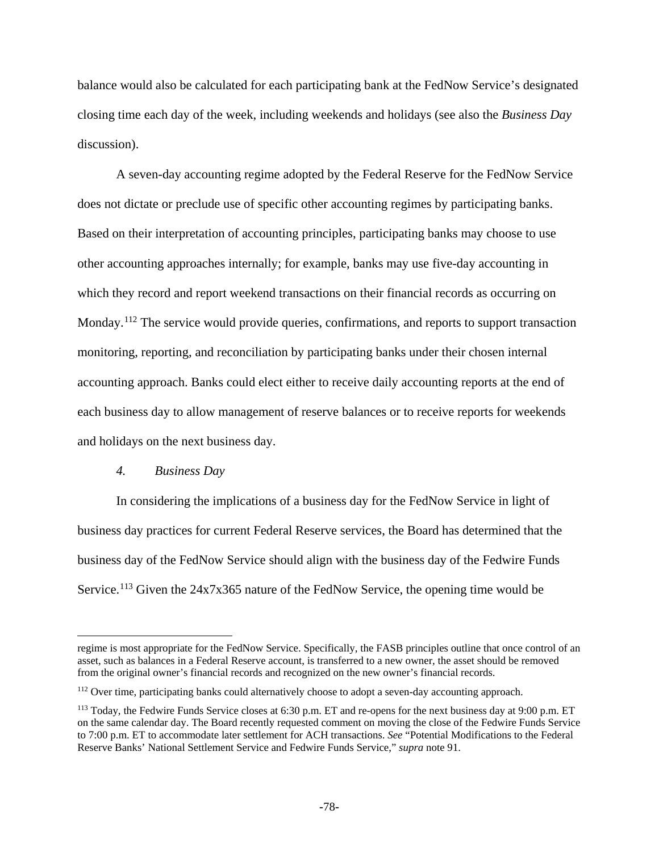balance would also be calculated for each participating bank at the FedNow Service's designated closing time each day of the week, including weekends and holidays (see also the *Business Day* discussion).

A seven-day accounting regime adopted by the Federal Reserve for the FedNow Service does not dictate or preclude use of specific other accounting regimes by participating banks. Based on their interpretation of accounting principles, participating banks may choose to use other accounting approaches internally; for example, banks may use five-day accounting in which they record and report weekend transactions on their financial records as occurring on Monday.<sup>[112](#page-77-0)</sup> The service would provide queries, confirmations, and reports to support transaction monitoring, reporting, and reconciliation by participating banks under their chosen internal accounting approach. Banks could elect either to receive daily accounting reports at the end of each business day to allow management of reserve balances or to receive reports for weekends and holidays on the next business day.

### *4. Business Day*

 $\overline{a}$ 

In considering the implications of a business day for the FedNow Service in light of business day practices for current Federal Reserve services, the Board has determined that the business day of the FedNow Service should align with the business day of the Fedwire Funds Service.<sup>[113](#page-77-1)</sup> Given the  $24x7x365$  nature of the FedNow Service, the opening time would be

regime is most appropriate for the FedNow Service. Specifically, the FASB principles outline that once control of an asset, such as balances in a Federal Reserve account, is transferred to a new owner, the asset should be removed from the original owner's financial records and recognized on the new owner's financial records.

<span id="page-77-0"></span><sup>&</sup>lt;sup>112</sup> Over time, participating banks could alternatively choose to adopt a seven-day accounting approach.

<span id="page-77-1"></span><sup>&</sup>lt;sup>113</sup> Today, the Fedwire Funds Service closes at 6:30 p.m. ET and re-opens for the next business day at 9:00 p.m. ET on the same calendar day. The Board recently requested comment on moving the close of the Fedwire Funds Service to 7:00 p.m. ET to accommodate later settlement for ACH transactions. *See* "Potential Modifications to the Federal Reserve Banks' National Settlement Service and Fedwire Funds Service," *supra* note 91.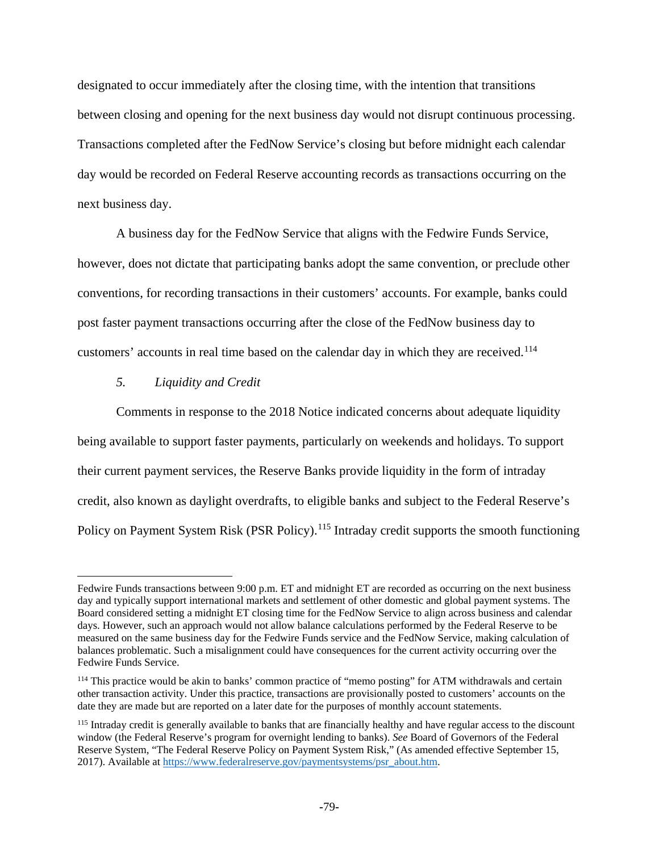designated to occur immediately after the closing time, with the intention that transitions between closing and opening for the next business day would not disrupt continuous processing. Transactions completed after the FedNow Service's closing but before midnight each calendar day would be recorded on Federal Reserve accounting records as transactions occurring on the next business day.

A business day for the FedNow Service that aligns with the Fedwire Funds Service, however, does not dictate that participating banks adopt the same convention, or preclude other conventions, for recording transactions in their customers' accounts. For example, banks could post faster payment transactions occurring after the close of the FedNow business day to customers' accounts in real time based on the calendar day in which they are received.<sup>[114](#page-78-0)</sup>

## *5. Liquidity and Credit*

 $\overline{\phantom{a}}$ 

Comments in response to the 2018 Notice indicated concerns about adequate liquidity being available to support faster payments, particularly on weekends and holidays. To support their current payment services, the Reserve Banks provide liquidity in the form of intraday credit, also known as daylight overdrafts, to eligible banks and subject to the Federal Reserve's Policy on Payment System Risk (PSR Policy).<sup>[115](#page-78-1)</sup> Intraday credit supports the smooth functioning

Fedwire Funds transactions between 9:00 p.m. ET and midnight ET are recorded as occurring on the next business day and typically support international markets and settlement of other domestic and global payment systems. The Board considered setting a midnight ET closing time for the FedNow Service to align across business and calendar days. However, such an approach would not allow balance calculations performed by the Federal Reserve to be measured on the same business day for the Fedwire Funds service and the FedNow Service, making calculation of balances problematic. Such a misalignment could have consequences for the current activity occurring over the Fedwire Funds Service.

<span id="page-78-0"></span><sup>&</sup>lt;sup>114</sup> This practice would be akin to banks' common practice of "memo posting" for ATM withdrawals and certain other transaction activity. Under this practice, transactions are provisionally posted to customers' accounts on the date they are made but are reported on a later date for the purposes of monthly account statements.

<span id="page-78-1"></span><sup>&</sup>lt;sup>115</sup> Intraday credit is generally available to banks that are financially healthy and have regular access to the discount window (the Federal Reserve's program for overnight lending to banks). *See* Board of Governors of the Federal Reserve System, "The Federal Reserve Policy on Payment System Risk," (As amended effective September 15, 2017). Available at [https://www.federalreserve.gov/paymentsystems/psr\\_about.htm.](https://www.federalreserve.gov/paymentsystems/psr_about.htm)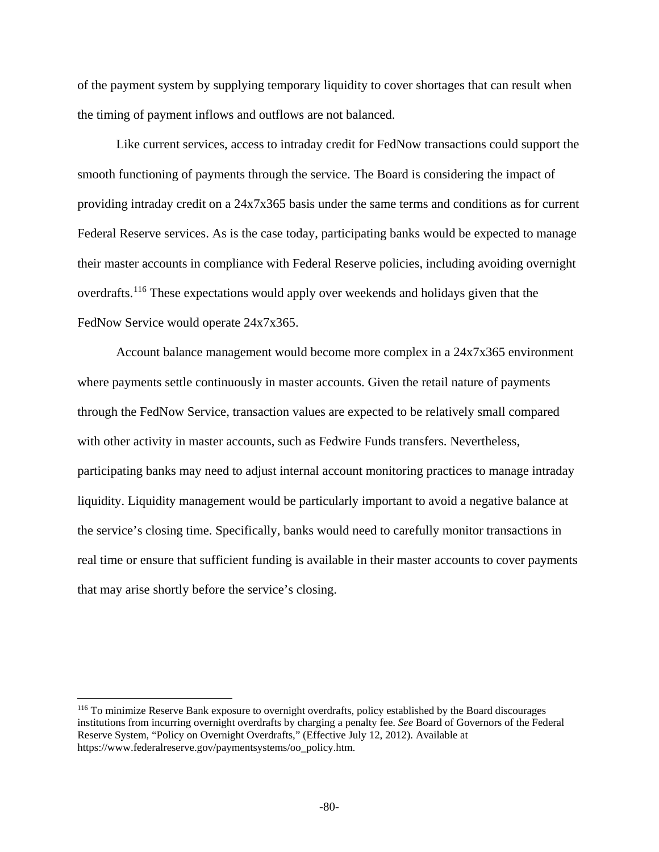of the payment system by supplying temporary liquidity to cover shortages that can result when the timing of payment inflows and outflows are not balanced.

Like current services, access to intraday credit for FedNow transactions could support the smooth functioning of payments through the service. The Board is considering the impact of providing intraday credit on a 24x7x365 basis under the same terms and conditions as for current Federal Reserve services. As is the case today, participating banks would be expected to manage their master accounts in compliance with Federal Reserve policies, including avoiding overnight overdrafts.<sup>[116](#page-79-0)</sup> These expectations would apply over weekends and holidays given that the FedNow Service would operate 24x7x365.

Account balance management would become more complex in a 24x7x365 environment where payments settle continuously in master accounts. Given the retail nature of payments through the FedNow Service, transaction values are expected to be relatively small compared with other activity in master accounts, such as Fedwire Funds transfers. Nevertheless, participating banks may need to adjust internal account monitoring practices to manage intraday liquidity. Liquidity management would be particularly important to avoid a negative balance at the service's closing time. Specifically, banks would need to carefully monitor transactions in real time or ensure that sufficient funding is available in their master accounts to cover payments that may arise shortly before the service's closing.

 $\overline{\phantom{a}}$ 

<span id="page-79-0"></span><sup>116</sup> To minimize Reserve Bank exposure to overnight overdrafts, policy established by the Board discourages institutions from incurring overnight overdrafts by charging a penalty fee. *See* Board of Governors of the Federal Reserve System, "Policy on Overnight Overdrafts," (Effective July 12, 2012). Available at https://www.federalreserve.gov/paymentsystems/oo\_policy.htm.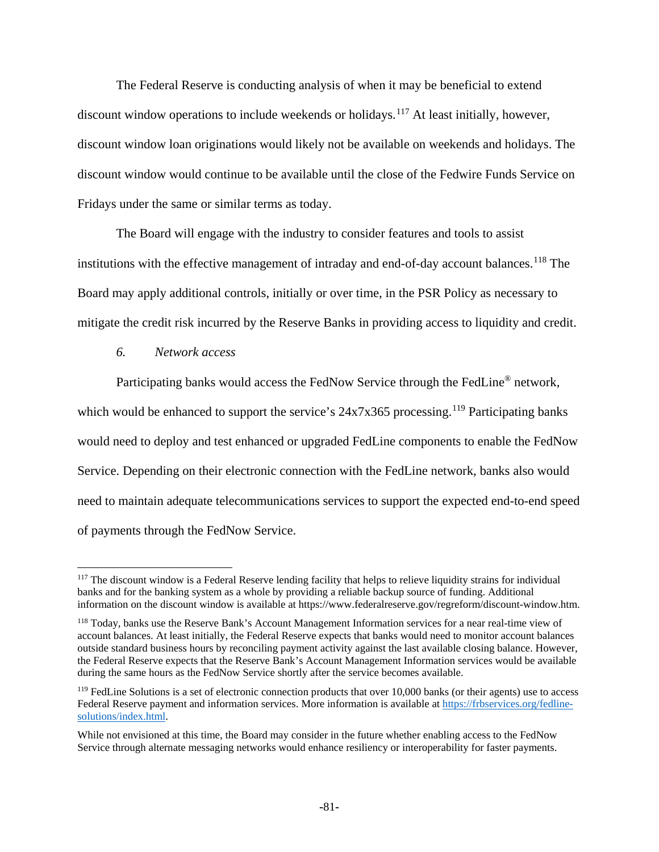The Federal Reserve is conducting analysis of when it may be beneficial to extend discount window operations to include weekends or holidays.<sup>[117](#page-80-0)</sup> At least initially, however, discount window loan originations would likely not be available on weekends and holidays. The discount window would continue to be available until the close of the Fedwire Funds Service on Fridays under the same or similar terms as today.

The Board will engage with the industry to consider features and tools to assist institutions with the effective management of intraday and end-of-day account balances.<sup>[118](#page-80-1)</sup> The Board may apply additional controls, initially or over time, in the PSR Policy as necessary to mitigate the credit risk incurred by the Reserve Banks in providing access to liquidity and credit.

*6. Network access*

 $\overline{\phantom{a}}$ 

Participating banks would access the FedNow Service through the FedLine® network, which would be enhanced to support the service's  $24x7x365$  processing.<sup>[119](#page-80-2)</sup> Participating banks would need to deploy and test enhanced or upgraded FedLine components to enable the FedNow Service. Depending on their electronic connection with the FedLine network, banks also would need to maintain adequate telecommunications services to support the expected end-to-end speed of payments through the FedNow Service.

<span id="page-80-0"></span><sup>&</sup>lt;sup>117</sup> The discount window is a Federal Reserve lending facility that helps to relieve liquidity strains for individual banks and for the banking system as a whole by providing a reliable backup source of funding. Additional information on the discount window is available at https://www.federalreserve.gov/regreform/discount-window.htm.

<span id="page-80-1"></span><sup>118</sup> Today, banks use the Reserve Bank's Account Management Information services for a near real-time view of account balances. At least initially, the Federal Reserve expects that banks would need to monitor account balances outside standard business hours by reconciling payment activity against the last available closing balance. However, the Federal Reserve expects that the Reserve Bank's Account Management Information services would be available during the same hours as the FedNow Service shortly after the service becomes available.

<span id="page-80-2"></span> $119$  FedLine Solutions is a set of electronic connection products that over 10,000 banks (or their agents) use to access Federal Reserve payment and information services. More information is available at [https://frbservices.org/fedline](https://frbservices.org/fedline-solutions/index.html)[solutions/index.html.](https://frbservices.org/fedline-solutions/index.html)

While not envisioned at this time, the Board may consider in the future whether enabling access to the FedNow Service through alternate messaging networks would enhance resiliency or interoperability for faster payments.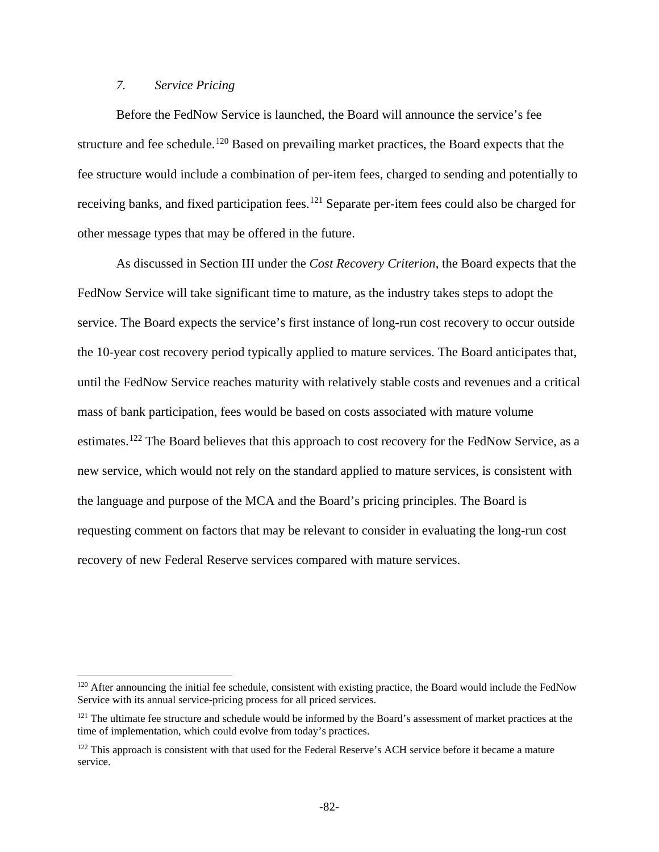### *7. Service Pricing*

 $\overline{a}$ 

Before the FedNow Service is launched, the Board will announce the service's fee structure and fee schedule.<sup>[120](#page-81-0)</sup> Based on prevailing market practices, the Board expects that the fee structure would include a combination of per-item fees, charged to sending and potentially to receiving banks, and fixed participation fees.<sup>[121](#page-81-1)</sup> Separate per-item fees could also be charged for other message types that may be offered in the future.

As discussed in Section III under the *Cost Recovery Criterion*, the Board expects that the FedNow Service will take significant time to mature, as the industry takes steps to adopt the service. The Board expects the service's first instance of long-run cost recovery to occur outside the 10-year cost recovery period typically applied to mature services. The Board anticipates that, until the FedNow Service reaches maturity with relatively stable costs and revenues and a critical mass of bank participation, fees would be based on costs associated with mature volume estimates.<sup>[122](#page-81-2)</sup> The Board believes that this approach to cost recovery for the FedNow Service, as a new service, which would not rely on the standard applied to mature services, is consistent with the language and purpose of the MCA and the Board's pricing principles. The Board is requesting comment on factors that may be relevant to consider in evaluating the long-run cost recovery of new Federal Reserve services compared with mature services.

<span id="page-81-0"></span> $120$  After announcing the initial fee schedule, consistent with existing practice, the Board would include the FedNow Service with its annual service-pricing process for all priced services.

<span id="page-81-1"></span><sup>&</sup>lt;sup>121</sup> The ultimate fee structure and schedule would be informed by the Board's assessment of market practices at the time of implementation, which could evolve from today's practices.

<span id="page-81-2"></span><sup>&</sup>lt;sup>122</sup> This approach is consistent with that used for the Federal Reserve's ACH service before it became a mature service.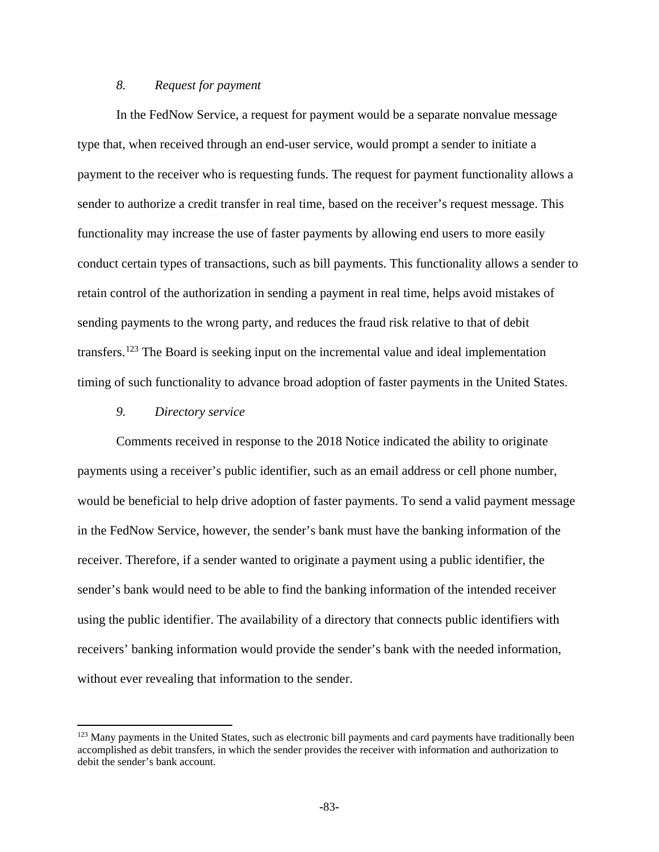### *8. Request for payment*

In the FedNow Service, a request for payment would be a separate nonvalue message type that, when received through an end-user service, would prompt a sender to initiate a payment to the receiver who is requesting funds. The request for payment functionality allows a sender to authorize a credit transfer in real time, based on the receiver's request message. This functionality may increase the use of faster payments by allowing end users to more easily conduct certain types of transactions, such as bill payments. This functionality allows a sender to retain control of the authorization in sending a payment in real time, helps avoid mistakes of sending payments to the wrong party, and reduces the fraud risk relative to that of debit transfers.[123](#page-82-0) The Board is seeking input on the incremental value and ideal implementation timing of such functionality to advance broad adoption of faster payments in the United States.

### *9. Directory service*

 $\overline{a}$ 

Comments received in response to the 2018 Notice indicated the ability to originate payments using a receiver's public identifier, such as an email address or cell phone number, would be beneficial to help drive adoption of faster payments. To send a valid payment message in the FedNow Service, however, the sender's bank must have the banking information of the receiver. Therefore, if a sender wanted to originate a payment using a public identifier, the sender's bank would need to be able to find the banking information of the intended receiver using the public identifier. The availability of a directory that connects public identifiers with receivers' banking information would provide the sender's bank with the needed information, without ever revealing that information to the sender.

<span id="page-82-0"></span><sup>&</sup>lt;sup>123</sup> Many payments in the United States, such as electronic bill payments and card payments have traditionally been accomplished as debit transfers, in which the sender provides the receiver with information and authorization to debit the sender's bank account.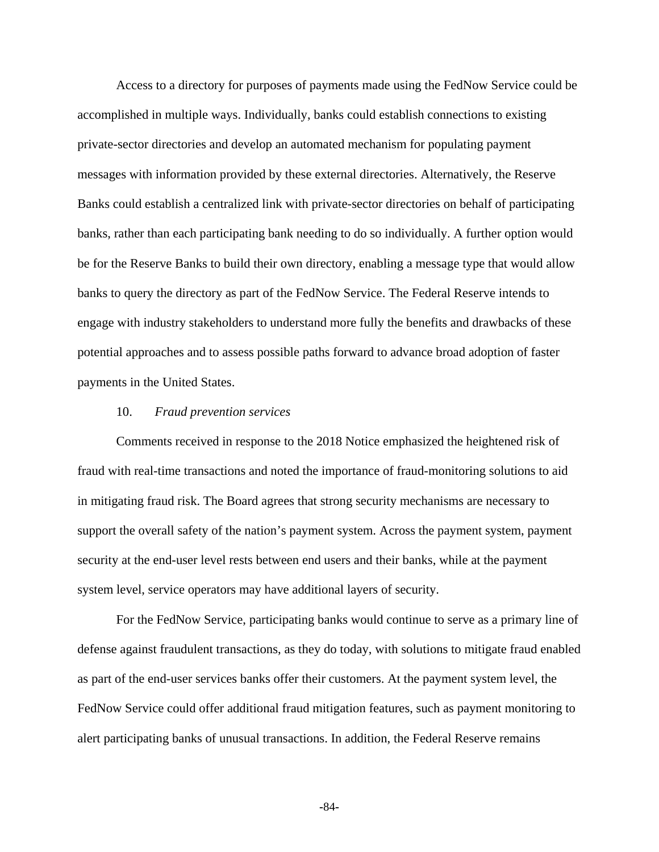Access to a directory for purposes of payments made using the FedNow Service could be accomplished in multiple ways. Individually, banks could establish connections to existing private-sector directories and develop an automated mechanism for populating payment messages with information provided by these external directories. Alternatively, the Reserve Banks could establish a centralized link with private-sector directories on behalf of participating banks, rather than each participating bank needing to do so individually. A further option would be for the Reserve Banks to build their own directory, enabling a message type that would allow banks to query the directory as part of the FedNow Service. The Federal Reserve intends to engage with industry stakeholders to understand more fully the benefits and drawbacks of these potential approaches and to assess possible paths forward to advance broad adoption of faster payments in the United States.

#### 10. *Fraud prevention services*

Comments received in response to the 2018 Notice emphasized the heightened risk of fraud with real-time transactions and noted the importance of fraud-monitoring solutions to aid in mitigating fraud risk. The Board agrees that strong security mechanisms are necessary to support the overall safety of the nation's payment system. Across the payment system, payment security at the end-user level rests between end users and their banks, while at the payment system level, service operators may have additional layers of security.

For the FedNow Service, participating banks would continue to serve as a primary line of defense against fraudulent transactions, as they do today, with solutions to mitigate fraud enabled as part of the end-user services banks offer their customers. At the payment system level, the FedNow Service could offer additional fraud mitigation features, such as payment monitoring to alert participating banks of unusual transactions. In addition, the Federal Reserve remains

**-**84**-**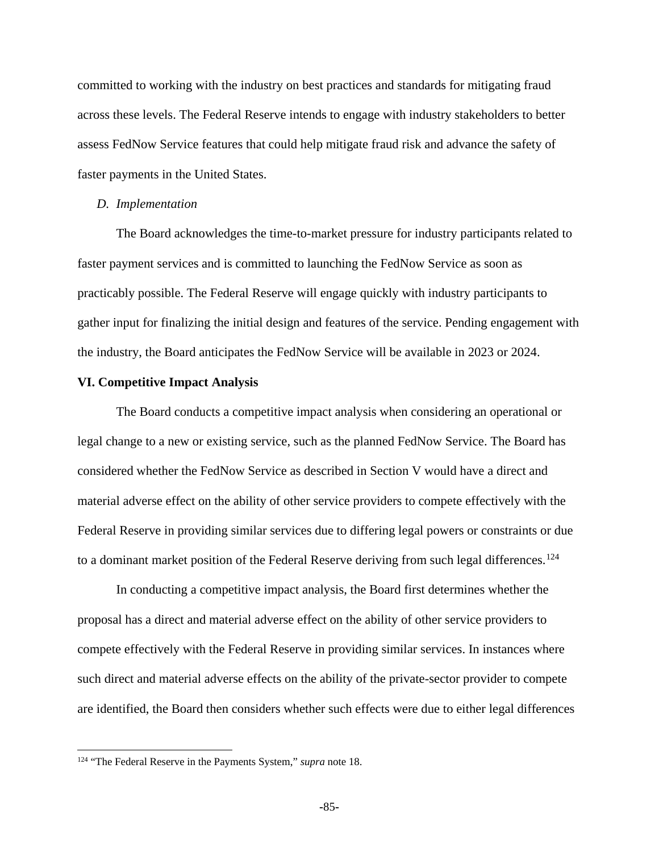committed to working with the industry on best practices and standards for mitigating fraud across these levels. The Federal Reserve intends to engage with industry stakeholders to better assess FedNow Service features that could help mitigate fraud risk and advance the safety of faster payments in the United States.

#### *D. Implementation*

The Board acknowledges the time-to-market pressure for industry participants related to faster payment services and is committed to launching the FedNow Service as soon as practicably possible. The Federal Reserve will engage quickly with industry participants to gather input for finalizing the initial design and features of the service. Pending engagement with the industry, the Board anticipates the FedNow Service will be available in 2023 or 2024.

### **VI. Competitive Impact Analysis**

The Board conducts a competitive impact analysis when considering an operational or legal change to a new or existing service, such as the planned FedNow Service. The Board has considered whether the FedNow Service as described in Section V would have a direct and material adverse effect on the ability of other service providers to compete effectively with the Federal Reserve in providing similar services due to differing legal powers or constraints or due to a dominant market position of the Federal Reserve deriving from such legal differences.<sup>[124](#page-84-0)</sup>

In conducting a competitive impact analysis, the Board first determines whether the proposal has a direct and material adverse effect on the ability of other service providers to compete effectively with the Federal Reserve in providing similar services. In instances where such direct and material adverse effects on the ability of the private-sector provider to compete are identified, the Board then considers whether such effects were due to either legal differences

l

<span id="page-84-0"></span><sup>124</sup> "The Federal Reserve in the Payments System," *supra* note 18.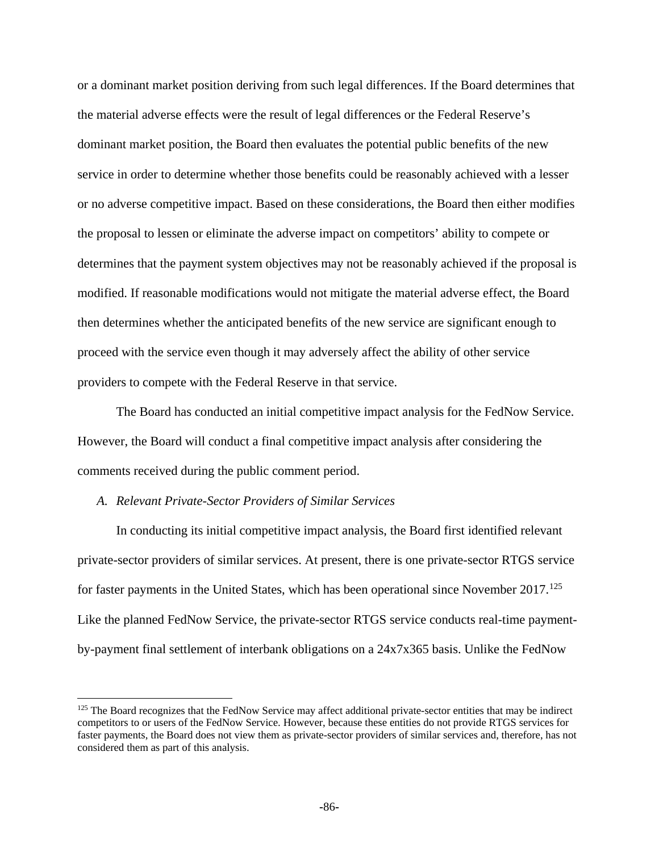or a dominant market position deriving from such legal differences. If the Board determines that the material adverse effects were the result of legal differences or the Federal Reserve's dominant market position, the Board then evaluates the potential public benefits of the new service in order to determine whether those benefits could be reasonably achieved with a lesser or no adverse competitive impact. Based on these considerations, the Board then either modifies the proposal to lessen or eliminate the adverse impact on competitors' ability to compete or determines that the payment system objectives may not be reasonably achieved if the proposal is modified. If reasonable modifications would not mitigate the material adverse effect, the Board then determines whether the anticipated benefits of the new service are significant enough to proceed with the service even though it may adversely affect the ability of other service providers to compete with the Federal Reserve in that service.

The Board has conducted an initial competitive impact analysis for the FedNow Service. However, the Board will conduct a final competitive impact analysis after considering the comments received during the public comment period.

### *A. Relevant Private-Sector Providers of Similar Services*

 $\overline{\phantom{a}}$ 

In conducting its initial competitive impact analysis, the Board first identified relevant private-sector providers of similar services. At present, there is one private-sector RTGS service for faster payments in the United States, which has been operational since November  $2017$ <sup>[125](#page-85-0)</sup> Like the planned FedNow Service, the private-sector RTGS service conducts real-time paymentby-payment final settlement of interbank obligations on a 24x7x365 basis. Unlike the FedNow

<span id="page-85-0"></span><sup>&</sup>lt;sup>125</sup> The Board recognizes that the FedNow Service may affect additional private-sector entities that may be indirect competitors to or users of the FedNow Service. However, because these entities do not provide RTGS services for faster payments, the Board does not view them as private-sector providers of similar services and, therefore, has not considered them as part of this analysis.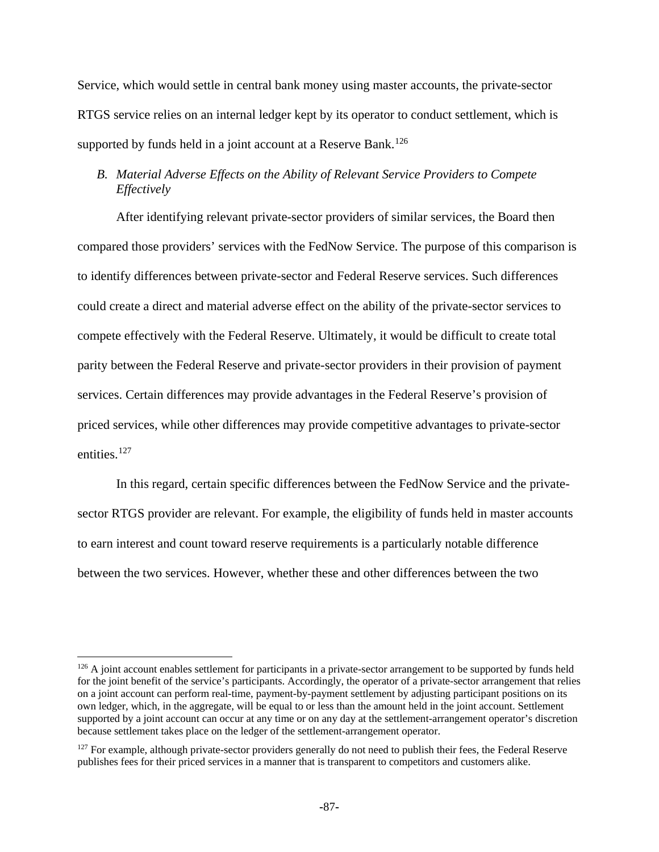Service, which would settle in central bank money using master accounts, the private-sector RTGS service relies on an internal ledger kept by its operator to conduct settlement, which is supported by funds held in a joint account at a Reserve Bank.<sup>[126](#page-86-0)</sup>

# *B. Material Adverse Effects on the Ability of Relevant Service Providers to Compete Effectively*

After identifying relevant private-sector providers of similar services, the Board then compared those providers' services with the FedNow Service. The purpose of this comparison is to identify differences between private-sector and Federal Reserve services. Such differences could create a direct and material adverse effect on the ability of the private-sector services to compete effectively with the Federal Reserve. Ultimately, it would be difficult to create total parity between the Federal Reserve and private-sector providers in their provision of payment services. Certain differences may provide advantages in the Federal Reserve's provision of priced services, while other differences may provide competitive advantages to private-sector entities.<sup>[127](#page-86-1)</sup>

In this regard, certain specific differences between the FedNow Service and the privatesector RTGS provider are relevant. For example, the eligibility of funds held in master accounts to earn interest and count toward reserve requirements is a particularly notable difference between the two services. However, whether these and other differences between the two

 $\overline{\phantom{a}}$ 

<span id="page-86-0"></span><sup>&</sup>lt;sup>126</sup> A joint account enables settlement for participants in a private-sector arrangement to be supported by funds held for the joint benefit of the service's participants. Accordingly, the operator of a private-sector arrangement that relies on a joint account can perform real-time, payment-by-payment settlement by adjusting participant positions on its own ledger, which, in the aggregate, will be equal to or less than the amount held in the joint account. Settlement supported by a joint account can occur at any time or on any day at the settlement-arrangement operator's discretion because settlement takes place on the ledger of the settlement-arrangement operator.

<span id="page-86-1"></span><sup>&</sup>lt;sup>127</sup> For example, although private-sector providers generally do not need to publish their fees, the Federal Reserve publishes fees for their priced services in a manner that is transparent to competitors and customers alike.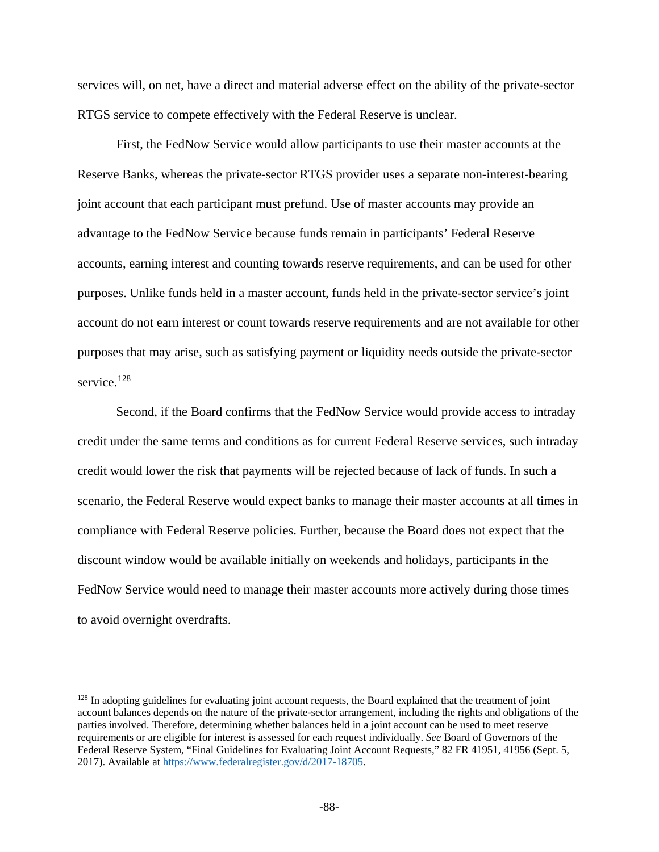services will, on net, have a direct and material adverse effect on the ability of the private-sector RTGS service to compete effectively with the Federal Reserve is unclear.

First, the FedNow Service would allow participants to use their master accounts at the Reserve Banks, whereas the private-sector RTGS provider uses a separate non-interest-bearing joint account that each participant must prefund. Use of master accounts may provide an advantage to the FedNow Service because funds remain in participants' Federal Reserve accounts, earning interest and counting towards reserve requirements, and can be used for other purposes. Unlike funds held in a master account, funds held in the private-sector service's joint account do not earn interest or count towards reserve requirements and are not available for other purposes that may arise, such as satisfying payment or liquidity needs outside the private-sector service.<sup>[128](#page-87-0)</sup>

Second, if the Board confirms that the FedNow Service would provide access to intraday credit under the same terms and conditions as for current Federal Reserve services, such intraday credit would lower the risk that payments will be rejected because of lack of funds. In such a scenario, the Federal Reserve would expect banks to manage their master accounts at all times in compliance with Federal Reserve policies. Further, because the Board does not expect that the discount window would be available initially on weekends and holidays, participants in the FedNow Service would need to manage their master accounts more actively during those times to avoid overnight overdrafts.

 $\overline{a}$ 

<span id="page-87-0"></span> $128$  In adopting guidelines for evaluating joint account requests, the Board explained that the treatment of joint account balances depends on the nature of the private-sector arrangement, including the rights and obligations of the parties involved. Therefore, determining whether balances held in a joint account can be used to meet reserve requirements or are eligible for interest is assessed for each request individually. *See* Board of Governors of the Federal Reserve System, "Final Guidelines for Evaluating Joint Account Requests," 82 FR 41951, 41956 (Sept. 5, 2017). Available at [https://www.federalregister.gov/d/2017-18705.](https://www.federalregister.gov/d/2017-18705)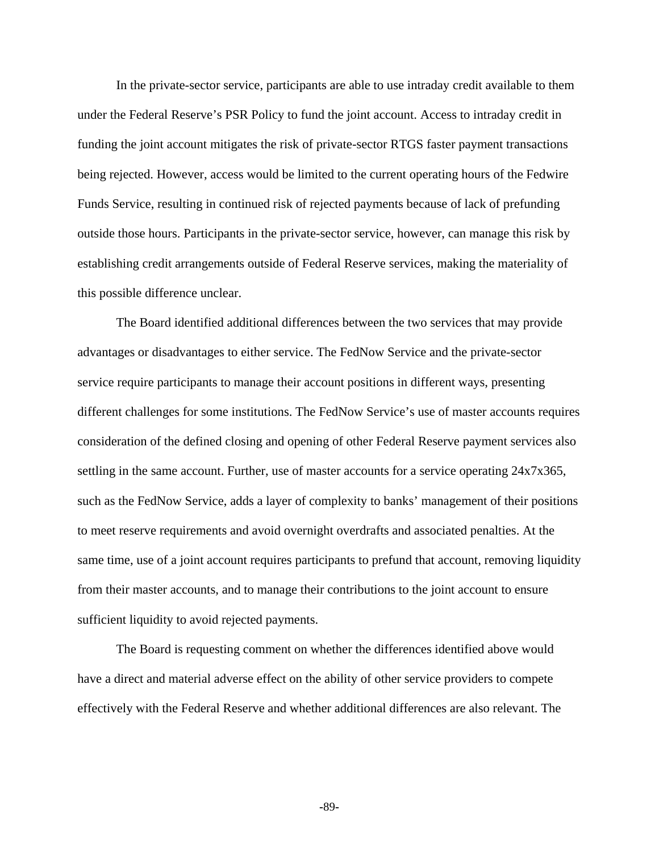In the private-sector service, participants are able to use intraday credit available to them under the Federal Reserve's PSR Policy to fund the joint account. Access to intraday credit in funding the joint account mitigates the risk of private-sector RTGS faster payment transactions being rejected. However, access would be limited to the current operating hours of the Fedwire Funds Service, resulting in continued risk of rejected payments because of lack of prefunding outside those hours. Participants in the private-sector service, however, can manage this risk by establishing credit arrangements outside of Federal Reserve services, making the materiality of this possible difference unclear.

The Board identified additional differences between the two services that may provide advantages or disadvantages to either service. The FedNow Service and the private-sector service require participants to manage their account positions in different ways, presenting different challenges for some institutions. The FedNow Service's use of master accounts requires consideration of the defined closing and opening of other Federal Reserve payment services also settling in the same account. Further, use of master accounts for a service operating 24x7x365, such as the FedNow Service, adds a layer of complexity to banks' management of their positions to meet reserve requirements and avoid overnight overdrafts and associated penalties. At the same time, use of a joint account requires participants to prefund that account, removing liquidity from their master accounts, and to manage their contributions to the joint account to ensure sufficient liquidity to avoid rejected payments.

The Board is requesting comment on whether the differences identified above would have a direct and material adverse effect on the ability of other service providers to compete effectively with the Federal Reserve and whether additional differences are also relevant. The

**-**89**-**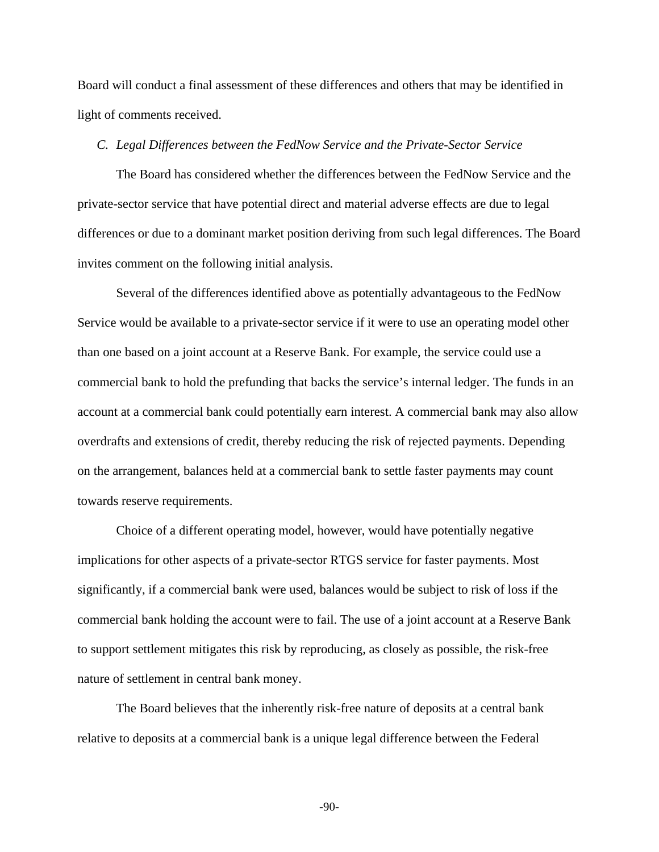Board will conduct a final assessment of these differences and others that may be identified in light of comments received.

# *C. Legal Differences between the FedNow Service and the Private-Sector Service*

The Board has considered whether the differences between the FedNow Service and the private-sector service that have potential direct and material adverse effects are due to legal differences or due to a dominant market position deriving from such legal differences. The Board invites comment on the following initial analysis.

Several of the differences identified above as potentially advantageous to the FedNow Service would be available to a private-sector service if it were to use an operating model other than one based on a joint account at a Reserve Bank. For example, the service could use a commercial bank to hold the prefunding that backs the service's internal ledger. The funds in an account at a commercial bank could potentially earn interest. A commercial bank may also allow overdrafts and extensions of credit, thereby reducing the risk of rejected payments. Depending on the arrangement, balances held at a commercial bank to settle faster payments may count towards reserve requirements.

Choice of a different operating model, however, would have potentially negative implications for other aspects of a private-sector RTGS service for faster payments. Most significantly, if a commercial bank were used, balances would be subject to risk of loss if the commercial bank holding the account were to fail. The use of a joint account at a Reserve Bank to support settlement mitigates this risk by reproducing, as closely as possible, the risk-free nature of settlement in central bank money.

The Board believes that the inherently risk-free nature of deposits at a central bank relative to deposits at a commercial bank is a unique legal difference between the Federal

**-**90**-**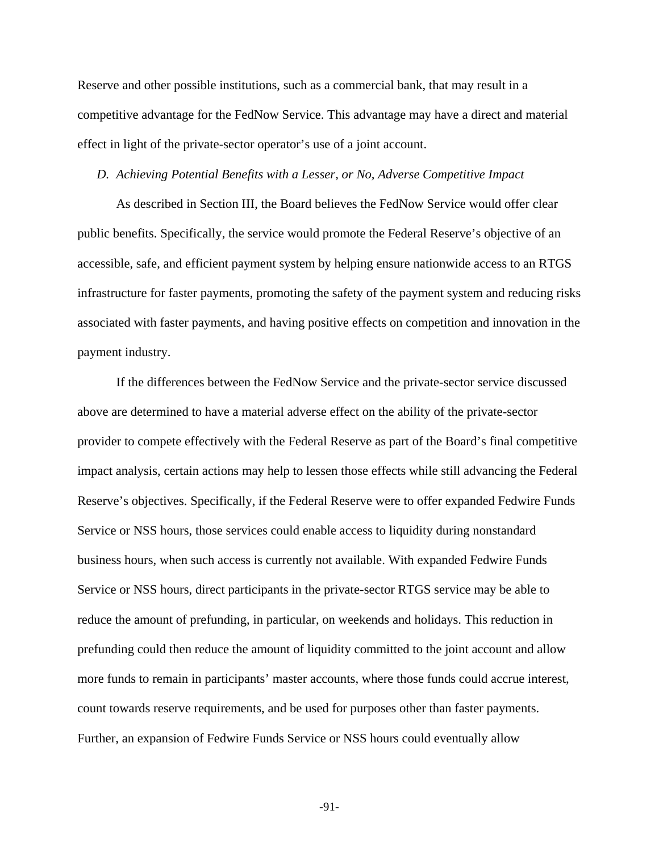Reserve and other possible institutions, such as a commercial bank, that may result in a competitive advantage for the FedNow Service. This advantage may have a direct and material effect in light of the private-sector operator's use of a joint account.

### *D. Achieving Potential Benefits with a Lesser, or No, Adverse Competitive Impact*

As described in Section III, the Board believes the FedNow Service would offer clear public benefits. Specifically, the service would promote the Federal Reserve's objective of an accessible, safe, and efficient payment system by helping ensure nationwide access to an RTGS infrastructure for faster payments, promoting the safety of the payment system and reducing risks associated with faster payments, and having positive effects on competition and innovation in the payment industry.

If the differences between the FedNow Service and the private-sector service discussed above are determined to have a material adverse effect on the ability of the private-sector provider to compete effectively with the Federal Reserve as part of the Board's final competitive impact analysis, certain actions may help to lessen those effects while still advancing the Federal Reserve's objectives. Specifically, if the Federal Reserve were to offer expanded Fedwire Funds Service or NSS hours, those services could enable access to liquidity during nonstandard business hours, when such access is currently not available. With expanded Fedwire Funds Service or NSS hours, direct participants in the private-sector RTGS service may be able to reduce the amount of prefunding, in particular, on weekends and holidays. This reduction in prefunding could then reduce the amount of liquidity committed to the joint account and allow more funds to remain in participants' master accounts, where those funds could accrue interest, count towards reserve requirements, and be used for purposes other than faster payments. Further, an expansion of Fedwire Funds Service or NSS hours could eventually allow

**-**91**-**